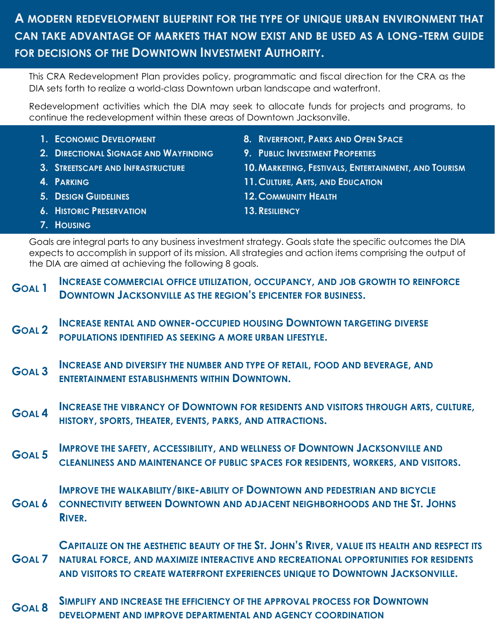# **A MODERN REDEVELOPMENT BLUEPRINT FOR THE TYPE OF UNIQUE URBAN ENVIRONMENT THAT CAN TAKE ADVANTAGE OF MARKETS THAT NOW EXIST AND BE USED AS A LONG-TERM GUIDE FOR DECISIONS OF THE DOWNTOWN INVESTMENT AUTHORITY.**

This CRA Redevelopment Plan provides policy, programmatic and fiscal direction for the CRA as the DIA sets forth to realize a world-class Downtown urban landscape and waterfront.

Redevelopment activities which the DIA may seek to allocate funds for projects and programs, to continue the redevelopment within these areas of Downtown Jacksonville.

- **1. ECONOMIC DEVELOPMENT**
- **2. DIRECTIONAL SIGNAGE AND WAYFINDING**
- **3. STREETSCAPE AND INFRASTRUCTURE**
- **4. PARKING**
- **5. DESIGN GUIDELINES**
- **6. HISTORIC PRESERVATION**
- **8. RIVERFRONT, PARKS AND OPEN SPACE**
- **9. PUBLIC INVESTMENT PROPERTIES**
- **10.MARKETING, FESTIVALS, ENTERTAINMENT, AND TOURISM**
- **11.CULTURE, ARTS, AND EDUCATION**
- **12.COMMUNITY HEALTH**
- **13.RESILIENCY**

**7. HOUSING**

Goals are integral parts to any business investment strategy. Goals state the specific outcomes the DIA expects to accomplish in support of its mission. All strategies and action items comprising the output of the DIA are aimed at achieving the following 8 goals.

- **GOAL 1 INCREASE COMMERCIAL OFFICE UTILIZATION, OCCUPANCY, AND JOB GROWTH TO REINFORCE DOWNTOWN JACKSONVILLE AS THE REGION'S EPICENTER FOR BUSINESS.**
- **GOAL 2 INCREASE RENTAL AND OWNER-OCCUPIED HOUSING DOWNTOWN TARGETING DIVERSE POPULATIONS IDENTIFIED AS SEEKING A MORE URBAN LIFESTYLE.**
- **GOAL 3 INCREASE AND DIVERSIFY THE NUMBER AND TYPE OF RETAIL, FOOD AND BEVERAGE, AND ENTERTAINMENT ESTABLISHMENTS WITHIN DOWNTOWN.**
- **GOAL 4 INCREASE THE VIBRANCY OF DOWNTOWN FOR RESIDENTS AND VISITORS THROUGH ARTS, CULTURE, HISTORY, SPORTS, THEATER, EVENTS, PARKS, AND ATTRACTIONS.**
- **GOAL 5 IMPROVE THE SAFETY, ACCESSIBILITY, AND WELLNESS OF DOWNTOWN JACKSONVILLE AND CLEANLINESS AND MAINTENANCE OF PUBLIC SPACES FOR RESIDENTS, WORKERS, AND VISITORS.**

**IMPROVE THE WALKABILITY/BIKE-ABILITY OF DOWNTOWN AND PEDESTRIAN AND BICYCLE** 

**GOAL 6 CONNECTIVITY BETWEEN DOWNTOWN AND ADJACENT NEIGHBORHOODS AND THE ST. JOHNS RIVER.**

**GOAL 7 CAPITALIZE ON THE AESTHETIC BEAUTY OF THE ST. JOHN'S RIVER, VALUE ITS HEALTH AND RESPECT ITS NATURAL FORCE, AND MAXIMIZE INTERACTIVE AND RECREATIONAL OPPORTUNITIES FOR RESIDENTS AND VISITORS TO CREATE WATERFRONT EXPERIENCES UNIQUE TO DOWNTOWN JACKSONVILLE.**

**GOAL 8 SIMPLIFY AND INCREASE THE EFFICIENCY OF THE APPROVAL PROCESS FOR DOWNTOWN DEVELOPMENT AND IMPROVE DEPARTMENTAL AND AGENCY COORDINATION**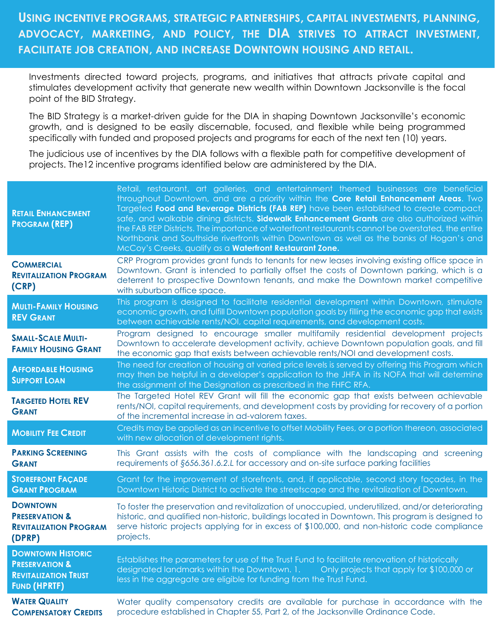## **USING INCENTIVE PROGRAMS, STRATEGIC PARTNERSHIPS, CAPITAL INVESTMENTS, PLANNING, ADVOCACY, MARKETING, AND POLICY, THE DIA STRIVES TO ATTRACT INVESTMENT, FACILITATE JOB CREATION, AND INCREASE DOWNTOWN HOUSING AND RETAIL.**

Investments directed toward projects, programs, and initiatives that attracts private capital and stimulates development activity that generate new wealth within Downtown Jacksonville is the focal point of the BID Strategy.

The BID Strategy is a market-driven guide for the DIA in shaping Downtown Jacksonville's economic growth, and is designed to be easily discernable, focused, and flexible while being programmed specifically with funded and proposed projects and programs for each of the next ten (10) years.

The judicious use of incentives by the DIA follows with a flexible path for competitive development of projects. The12 incentive programs identified below are administered by the DIA.

| <b>RETAIL ENHANCEMENT</b><br><b>PROGRAM (REP)</b>                                                           | Retail, restaurant, art galleries, and entertainment themed businesses are beneficial<br>throughout Downtown, and are a priority within the Core Retail Enhancement Areas. Two<br>Targeted Food and Beverage Districts (FAB REP) have been established to create compact,<br>safe, and walkable dining districts. Sidewalk Enhancement Grants are also authorized within<br>the FAB REP Districts. The importance of waterfront restaurants cannot be overstated, the entire<br>Northbank and Southside riverfronts within Downtown as well as the banks of Hogan's and<br>McCoy's Creeks, qualify as a Waterfront Restaurant Zone. |
|-------------------------------------------------------------------------------------------------------------|-------------------------------------------------------------------------------------------------------------------------------------------------------------------------------------------------------------------------------------------------------------------------------------------------------------------------------------------------------------------------------------------------------------------------------------------------------------------------------------------------------------------------------------------------------------------------------------------------------------------------------------|
| <b>COMMERCIAL</b><br><b>REVITALIZATION PROGRAM</b><br>(CRP)                                                 | CRP Program provides grant funds to tenants for new leases involving existing office space in<br>Downtown. Grant is intended to partially offset the costs of Downtown parking, which is a<br>deterrent to prospective Downtown tenants, and make the Downtown market competitive<br>with suburban office space.                                                                                                                                                                                                                                                                                                                    |
| <b>MULTI-FAMILY HOUSING</b><br><b>REV GRANT</b>                                                             | This program is designed to facilitate residential development within Downtown, stimulate<br>economic growth, and fulfill Downtown population goals by filling the economic gap that exists<br>between achievable rents/NOI, capital requirements, and development costs.                                                                                                                                                                                                                                                                                                                                                           |
| <b>SMALL-SCALE MULTI-</b><br><b>FAMILY HOUSING GRANT</b>                                                    | Program designed to encourage smaller multifamily residential development projects<br>Downtown to accelerate development activity, achieve Downtown population goals, and fill<br>the economic gap that exists between achievable rents/NOI and development costs.                                                                                                                                                                                                                                                                                                                                                                  |
| <b>AFFORDABLE HOUSING</b><br><b>SUPPORT LOAN</b>                                                            | The need for creation of housing at varied price levels is served by offering this Program which<br>may then be helpful in a developer's application to the JHFA in its NOFA that will determine<br>the assignment of the Designation as prescribed in the FHFC RFA.                                                                                                                                                                                                                                                                                                                                                                |
| <b>TARGETED HOTEL REV</b><br><b>GRANT</b>                                                                   | The Targeted Hotel REV Grant will fill the economic gap that exists between achievable<br>rents/NOI, capital requirements, and development costs by providing for recovery of a portion<br>of the incremental increase in ad-valorem taxes.                                                                                                                                                                                                                                                                                                                                                                                         |
| <b>MOBILITY FEE CREDIT</b>                                                                                  | Credits may be applied as an incentive to offset Mobility Fees, or a portion thereon, associated<br>with new allocation of development rights.                                                                                                                                                                                                                                                                                                                                                                                                                                                                                      |
| <b>PARKING SCREENING</b><br><b>GRANT</b>                                                                    | This Grant assists with the costs of compliance with the landscaping and screening<br>requirements of §656.361.6.2.L for accessory and on-site surface parking facilities                                                                                                                                                                                                                                                                                                                                                                                                                                                           |
| <b>STOREFRONT FAÇADE</b><br><b>GRANT PROGRAM</b>                                                            | Grant for the improvement of storefronts, and, if applicable, second story façades, in the<br>Downtown Historic District to activate the streetscape and the revitalization of Downtown.                                                                                                                                                                                                                                                                                                                                                                                                                                            |
| <b>DOWNTOWN</b><br><b>PRESERVATION &amp;</b><br><b>REVITALIZATION PROGRAM</b><br>(DPRP)                     | To foster the preservation and revitalization of unoccupied, underutilized, and/or deteriorating<br>historic, and qualified non-historic, buildings located in Downtown. This program is designed to<br>serve historic projects applying for in excess of \$100,000, and non-historic code compliance<br>projects.                                                                                                                                                                                                                                                                                                                  |
| <b>DOWNTOWN HISTORIC</b><br><b>PRESERVATION &amp;</b><br><b>REVITALIZATION TRUST</b><br><b>FUND (HPRTF)</b> | Establishes the parameters for use of the Trust Fund to facilitate renovation of historically<br>designated landmarks within the Downtown. 1.<br>Only projects that apply for \$100,000 or<br>less in the aggregate are eligible for funding from the Trust Fund.                                                                                                                                                                                                                                                                                                                                                                   |
| <b>WATER QUALITY</b><br><b>COMPENSATORY CREDITS</b>                                                         | Water quality compensatory credits are available for purchase in accordance with the<br>procedure established in Chapter 55, Part 2, of the Jacksonville Ordinance Code.                                                                                                                                                                                                                                                                                                                                                                                                                                                            |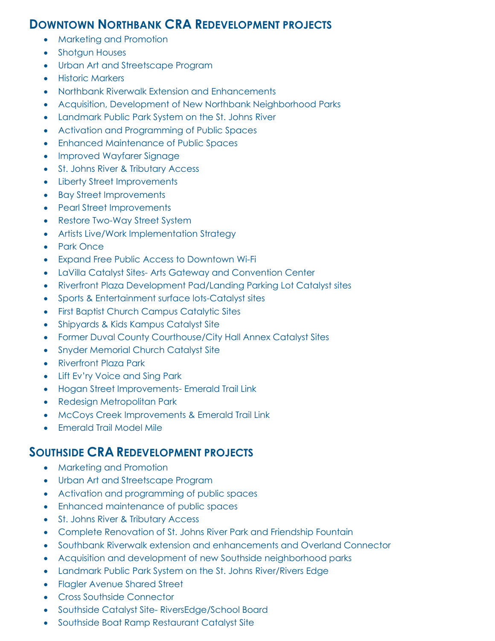### **DOWNTOWN NORTHBANK CRA REDEVELOPMENT PROJECTS**

- Marketing and Promotion
- Shotgun Houses
- Urban Art and Streetscape Program
- Historic Markers
- Northbank Riverwalk Extension and Enhancements
- Acquisition, Development of New Northbank Neighborhood Parks
- Landmark Public Park System on the St. Johns River
- Activation and Programming of Public Spaces
- Enhanced Maintenance of Public Spaces
- Improved Wayfarer Signage
- St. Johns River & Tributary Access
- Liberty Street Improvements
- Bay Street Improvements
- Pearl Street Improvements
- Restore Two-Way Street System
- Artists Live/Work Implementation Strategy
- Park Once
- Expand Free Public Access to Downtown Wi-Fi
- LaVilla Catalyst Sites- Arts Gateway and Convention Center
- Riverfront Plaza Development Pad/Landing Parking Lot Catalyst sites
- Sports & Entertainment surface lots-Catalyst sites
- First Baptist Church Campus Catalytic Sites
- Shipyards & Kids Kampus Catalyst Site
- Former Duval County Courthouse/City Hall Annex Catalyst Sites
- Snyder Memorial Church Catalyst Site
- Riverfront Plaza Park
- Lift Ev'ry Voice and Sing Park
- Hogan Street Improvements- Emerald Trail Link
- Redesign Metropolitan Park
- McCoys Creek Improvements & Emerald Trail Link
- Emerald Trail Model Mile

### **SOUTHSIDE CRA REDEVELOPMENT PROJECTS**

- Marketing and Promotion
- Urban Art and Streetscape Program
- Activation and programming of public spaces
- Enhanced maintenance of public spaces
- St. Johns River & Tributary Access
- Complete Renovation of St. Johns River Park and Friendship Fountain
- Southbank Riverwalk extension and enhancements and Overland Connector
- Acquisition and development of new Southside neighborhood parks
- Landmark Public Park System on the St. Johns River/Rivers Edge
- Flagler Avenue Shared Street
- Cross Southside Connector
- Southside Catalyst Site- RiversEdge/School Board
- Southside Boat Ramp Restaurant Catalyst Site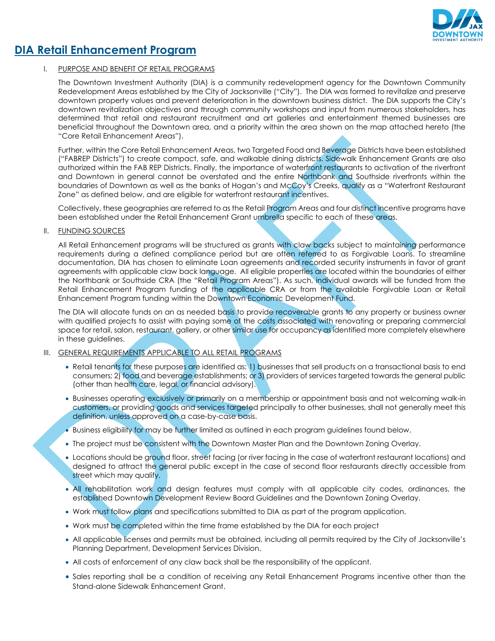

### **DIA Retail Enhancement Program**

### I. PURPOSE AND BENEFIT OF RETAIL PROGRAMS

The Downtown Investment Authority (DIA) is a community redevelopment agency for the Downtown Community Redevelopment Areas established by the City of Jacksonville ("City"). The DIA was formed to revitalize and preserve downtown property values and prevent deterioration in the downtown business district. The DIA supports the City's downtown revitalization objectives and through community workshops and input from numerous stakeholders, has determined that retail and restaurant recruitment and art galleries and entertainment themed businesses are beneficial throughout the Downtown area, and a priority within the area shown on the map attached hereto (the "Core Retail Enhancement Areas").

Further, within the Core Retail Enhancement Areas, two Targeted Food and Beverage Districts have been established ("FABREP Districts") to create compact, safe, and walkable dining districts. Sidewalk Enhancement Grants are also authorized within the FAB REP Districts. Finally, the importance of waterfront restaurants to activation of the riverfront and Downtown in general cannot be overstated and the entire Northbank and Southside riverfronts within the boundaries of Downtown as well as the banks of Hogan's and McCoy's Creeks, qualify as a "Waterfront Restaurant Zone" as defined below, and are eligible for waterfront restaurant incentives.

Collectively, these geographies are referred to as the Retail Program Areas and four distinct incentive programs have been established under the Retail Enhancement Grant umbrella specific to each of these areas.

#### II. FUNDING SOURCES

All Retail Enhancement programs will be structured as grants with claw backs subject to maintaining performance requirements during a defined compliance period but are often referred to as Forgivable Loans. To streamline documentation, DIA has chosen to eliminate Loan agreements and recorded security instruments in favor of grant agreements with applicable claw back language. All eligible properties are located within the boundaries of either the Northbank or Southside CRA (the "Retail Program Areas"). As such, individual awards will be funded from the Retail Enhancement Program funding of the applicable CRA or from the available Forgivable Loan or Retail Enhancement Program funding within the Downtown Economic Development Fund.

The DIA will allocate funds on an as needed basis to provide recoverable grants to any property or business owner with qualified projects to assist with paying some of the costs associated with renovating or preparing commercial space for retail, salon, restaurant, gallery, or other similar use for occupancy as identified more completely elsewhere in these guidelines.

#### III. GENERAL REQUIREMENTS APPLICABLE TO ALL RETAIL PROGRAMS

- Retail tenants for these purposes are identified as: 1) businesses that sell products on a transactional basis to end consumers; 2) food and beverage establishments; or 3) providers of services targeted towards the general public (other than health care, legal, or financial advisory).
- Businesses operating exclusively or primarily on a membership or appointment basis and not welcoming walk-in customers, or providing goods and services targeted principally to other businesses, shall not generally meet this definition, unless approved on a case-by-case basis.
- Business eligibility for may be further limited as outlined in each program guidelines found below.
- The project must be consistent with the Downtown Master Plan and the Downtown Zoning Overlay.
- Locations should be ground floor, street facing (or river facing in the case of waterfront restaurant locations) and designed to attract the general public except in the case of second floor restaurants directly accessible from street which may qualify.
- All rehabilitation work and design features must comply with all applicable city codes, ordinances, the established Downtown Development Review Board Guidelines and the Downtown Zoning Overlay.
- Work must follow plans and specifications submitted to DIA as part of the program application.
- Work must be completed within the time frame established by the DIA for each project
- All applicable licenses and permits must be obtained, including all permits required by the City of Jacksonville's Planning Department, Development Services Division.
- All costs of enforcement of any claw back shall be the responsibility of the applicant.
- Sales reporting shall be a condition of receiving any Retail Enhancement Programs incentive other than the Stand-alone Sidewalk Enhancement Grant.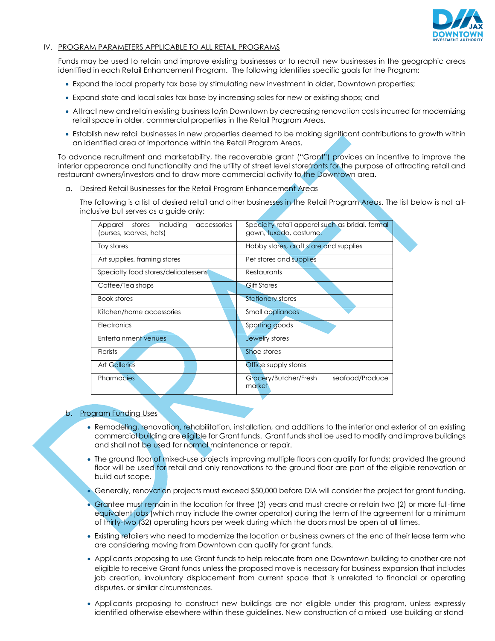

#### IV. PROGRAM PARAMETERS APPLICABLE TO ALL RETAIL PROGRAMS

Funds may be used to retain and improve existing businesses or to recruit new businesses in the geographic areas identified in each Retail Enhancement Program. The following identifies specific goals for the Program:

- Expand the local property tax base by stimulating new investment in older, Downtown properties;
- Expand state and local sales tax base by increasing sales for new or existing shops; and
- Attract new and retain existing business to/in Downtown by decreasing renovation costs incurred for modernizing retail space in older, commercial properties in the Retail Program Areas.
- Establish new retail businesses in new properties deemed to be making significant contributions to growth within an identified area of importance within the Retail Program Areas.

To advance recruitment and marketability, the recoverable grant ("Grant") provides an incentive to improve the interior appearance and functionality and the utility of street level storefronts for the purpose of attracting retail and restaurant owners/investors and to draw more commercial activity to the Downtown area.

a. Desired Retail Businesses for the Retail Program Enhancement Areas

The following is a list of desired retail and other businesses in the Retail Program Areas. The list below is not allinclusive but serves as a guide only:

| stores<br>including<br>Apparel<br>accessories<br>(purses, scarves, hats) | Specialty retail apparel such as bridal, formal<br>gown, tuxedo, costume. |
|--------------------------------------------------------------------------|---------------------------------------------------------------------------|
| Toy stores                                                               | Hobby stores, craft store and supplies                                    |
| Art supplies, framing stores                                             | Pet stores and supplies                                                   |
| Specialty food stores/delicatessens                                      | Restaurants                                                               |
| Coffee/Tea shops                                                         | <b>Gift Stores</b>                                                        |
| Book stores                                                              | <b>Stationery stores</b>                                                  |
| Kitchen/home accessories                                                 | <b>Small appliances</b>                                                   |
| Electronics                                                              | Sporting goods                                                            |
| <b>Entertainment venues</b>                                              | Jewelry stores                                                            |
| <b>Florists</b>                                                          | Shoe stores                                                               |
| <b>Art Galleries</b>                                                     | Office supply stores                                                      |
| <b>Pharmacies</b>                                                        | Grocery/Butcher/Fresh<br>seafood/Produce<br>market                        |

#### b. Program Funding Uses

- Remodeling, renovation, rehabilitation, installation, and additions to the interior and exterior of an existing commercial building are eligible for Grant funds. Grant funds shall be used to modify and improve buildings and shall not be used for normal maintenance or repair.
- The ground floor of mixed-use projects improving multiple floors can qualify for funds; provided the ground floor will be used for retail and only renovations to the ground floor are part of the eligible renovation or build out scope.
- Generally, renovation projects must exceed \$50,000 before DIA will consider the project for grant funding.
- Grantee must remain in the location for three (3) years and must create or retain two (2) or more full-time equivalent jobs (which may include the owner operator) during the term of the agreement for a minimum of thirty-two (32) operating hours per week during which the doors must be open at all times.
- Existing retailers who need to modernize the location or business owners at the end of their lease term who are considering moving from Downtown can qualify for grant funds.
- Applicants proposing to use Grant funds to help relocate from one Downtown building to another are not eligible to receive Grant funds unless the proposed move is necessary for business expansion that includes job creation, involuntary displacement from current space that is unrelated to financial or operating disputes, or similar circumstances.
- Applicants proposing to construct new buildings are not eligible under this program, unless expressly identified otherwise elsewhere within these guidelines. New construction of a mixed- use building or stand-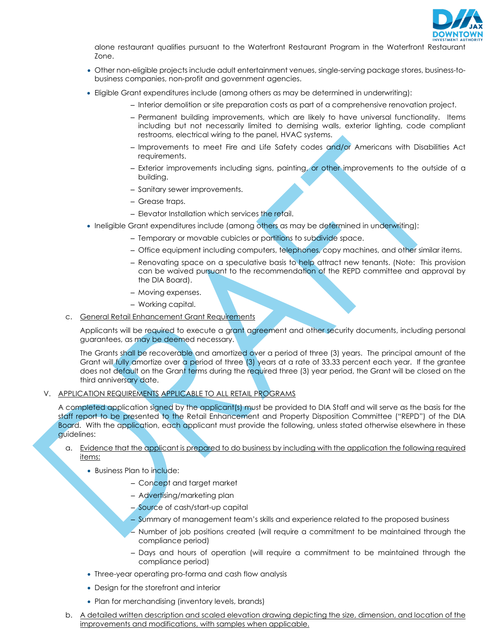

alone restaurant qualifies pursuant to the Waterfront Restaurant Program in the Waterfront Restaurant Zone.

- Other non-eligible projects include adult entertainment venues, single-serving package stores, business-tobusiness companies, non-profit and government agencies.
- Eligible Grant expenditures include (among others as may be determined in underwriting):
	- Interior demolition or site preparation costs as part of a comprehensive renovation project.
	- Permanent building improvements, which are likely to have universal functionality. Items including but not necessarily limited to demising walls, exterior lighting, code compliant restrooms, electrical wiring to the panel, HVAC systems.
	- Improvements to meet Fire and Life Safety codes and/or Americans with Disabilities Act requirements.
	- Exterior improvements including signs, painting, or other improvements to the outside of a building.
	- Sanitary sewer improvements.
	- Grease traps.
	- Elevator Installation which services the retail.
- Ineligible Grant expenditures include (among others as may be determined in underwriting):
	- Temporary or movable cubicles or partitions to subdivide space.
	- Office equipment including computers, telephones, copy machines, and other similar items.
	- Renovating space on a speculative basis to help attract new tenants. (Note: This provision can be waived pursuant to the recommendation of the REPD committee and approval by the DIA Board).
	- Moving expenses.
	- Working capital.
- c. General Retail Enhancement Grant Requirements

Applicants will be required to execute a grant agreement and other security documents, including personal guarantees, as may be deemed necessary.

The Grants shall be recoverable and amortized over a period of three (3) years. The principal amount of the Grant will fully amortize over a period of three (3) years at a rate of 33.33 percent each year. If the grantee does not default on the Grant terms during the required three (3) year period, the Grant will be closed on the third anniversary date.

#### V. APPLICATION REQUIREMENTS APPLICABLE TO ALL RETAIL PROGRAMS

A completed application signed by the applicant(s) must be provided to DIA Staff and will serve as the basis for the staff report to be presented to the Retail Enhancement and Property Disposition Committee ("REPD") of the DIA Board. With the application, each applicant must provide the following, unless stated otherwise elsewhere in these guidelines:

- a. Evidence that the applicant is prepared to do business by including with the application the following required items:
	- Business Plan to include:
		- Concept and target market
		- Advertising/marketing plan
		- Source of cash/start-up capital
		- Summary of management team's skills and experience related to the proposed business
		- Number of job positions created (will require a commitment to be maintained through the compliance period)
		- Days and hours of operation (will require a commitment to be maintained through the compliance period)
	- Three-year operating pro-forma and cash flow analysis
	- Design for the storefront and interior
	- Plan for merchandising (inventory levels, brands)
- b. A detailed written description and scaled elevation drawing depicting the size, dimension, and location of the improvements and modifications, with samples when applicable.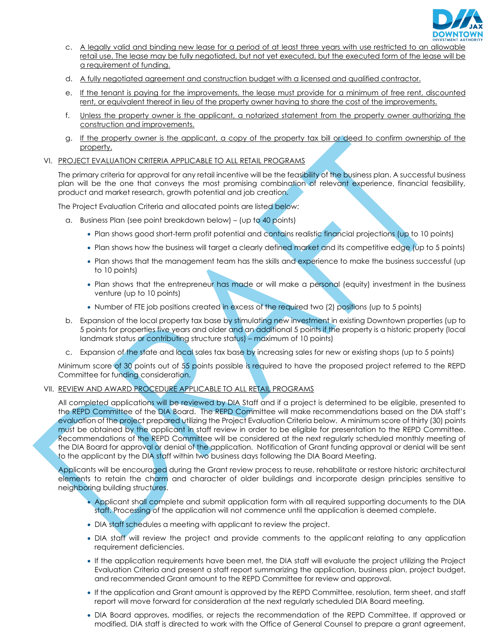

- c. A legally valid and binding new lease for a period of at least three years with use restricted to an allowable retail use. The lease may be fully negotiated, but not yet executed, but the executed form of the lease will be a requirement of funding.
- d. A fully negotiated agreement and construction budget with a licensed and qualified contractor.
- e. If the tenant is paying for the improvements, the lease must provide for a minimum of free rent, discounted rent, or equivalent thereof in lieu of the property owner having to share the cost of the improvements.
- f. Unless the property owner is the applicant, a notarized statement from the property owner authorizing the construction and improvements.
- g. If the property owner is the applicant, a copy of the property tax bill or deed to confirm ownership of the property.
- VI. PROJECT EVALUATION CRITERIA APPLICABLE TO ALL RETAIL PROGRAMS

The primary criteria for approval for any retail incentive will be the feasibility of the business plan. A successful business plan will be the one that conveys the most promising combination of relevant experience, financial feasibility, product and market research, growth potential and job creation.

The Project Evaluation Criteria and allocated points are listed below:

- a. Business Plan (see point breakdown below) (up to 40 points)
	- Plan shows good short-term profit potential and contains realistic financial projections (up to 10 points)
	- Plan shows how the business will target a clearly defined market and its competitive edge (up to 5 points)
	- Plan shows that the management team has the skills and experience to make the business successful (up to 10 points)
	- Plan shows that the entrepreneur has made or will make a personal (equity) investment in the business venture (up to 10 points)
	- Number of FTE job positions created in excess of the required two (2) positions (up to 5 points)
- b. Expansion of the local property tax base by stimulating new investment in existing Downtown properties (up to 5 points for properties five years and older and an additional 5 points if the property is a historic property (local landmark status or contributing structure status) – maximum of 10 points)
- c. Expansion of the state and local sales tax base by increasing sales for new or existing shops (up to 5 points)

Minimum score of 30 points out of 55 points possible is required to have the proposed project referred to the REPD Committee for funding consideration.

#### VII. REVIEW AND AWARD PROCEDURE APPLICABLE TO ALL RETAIL PROGRAMS

All completed applications will be reviewed by DIA Staff and if a project is determined to be eligible, presented to the REPD Committee of the DIA Board. The REPD Committee will make recommendations based on the DIA staff's evaluation of the project prepared utilizing the Project Evaluation Criteria below. A minimum score of thirty (30) points must be obtained by the applicant in staff review in order to be eligible for presentation to the REPD Committee. Recommendations of the REPD Committee will be considered at the next regularly scheduled monthly meeting of the DIA Board for approval or denial of the application. Notification of Grant funding approval or denial will be sent to the applicant by the DIA staff within two business days following the DIA Board Meeting.

Applicants will be encouraged during the Grant review process to reuse, rehabilitate or restore historic architectural elements to retain the charm and character of older buildings and incorporate design principles sensitive to neighboring building structures.

- Applicant shall complete and submit application form with all required supporting documents to the DIA staff. Processing of the application will not commence until the application is deemed complete.
- DIA staff schedules a meeting with applicant to review the project.
- DIA staff will review the project and provide comments to the applicant relating to any application requirement deficiencies.
- If the application requirements have been met, the DIA staff will evaluate the project utilizing the Project Evaluation Criteria and present a staff report summarizing the application, business plan, project budget, and recommended Grant amount to the REPD Committee for review and approval.
- If the application and Grant amount is approved by the REPD Committee, resolution, term sheet, and staff report will move forward for consideration at the next regularly scheduled DIA Board meeting.
- DIA Board approves, modifies, or rejects the recommendation of the REPD Committee. If approved or modified, DIA staff is directed to work with the Office of General Counsel to prepare a grant agreement,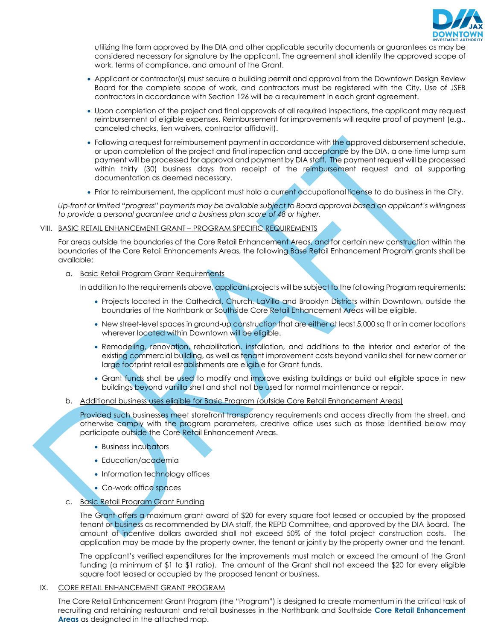

utilizing the form approved by the DIA and other applicable security documents or guarantees as may be considered necessary for signature by the applicant. The agreement shall identify the approved scope of work, terms of compliance, and amount of the Grant.

- Applicant or contractor(s) must secure a building permit and approval from the Downtown Design Review Board for the complete scope of work, and contractors must be registered with the City. Use of JSEB contractors in accordance with Section 126 will be a requirement in each grant agreement.
- Upon completion of the project and final approvals of all required inspections, the applicant may request reimbursement of eligible expenses. Reimbursement for improvements will require proof of payment (e.g., canceled checks, lien waivers, contractor affidavit).
- Following a request for reimbursement payment in accordance with the approved disbursement schedule, or upon completion of the project and final inspection and acceptance by the DIA, a one-time lump sum payment will be processed for approval and payment by DIA staff. The payment request will be processed within thirty (30) business days from receipt of the reimbursement request and all supporting documentation as deemed necessary.
- Prior to reimbursement, the applicant must hold a current occupational license to do business in the City.

*Up-front or limited "progress" payments may be available subject to Board approval based on applicant's willingness to provide a personal guarantee and a business plan score of 48 or higher.*

#### VIII. BASIC RETAIL ENHANCEMENT GRANT – PROGRAM SPECIFIC REQUIREMENTS

For areas outside the boundaries of the Core Retail Enhancement Areas, and for certain new construction within the boundaries of the Core Retail Enhancements Areas, the following Base Retail Enhancement Program grants shall be available:

a. Basic Retail Program Grant Requirements

In addition to the requirements above, applicant projects will be subject to the following Program requirements:

- Projects located in the Cathedral, Church, LaVilla and Brooklyn Districts within Downtown, outside the boundaries of the Northbank or Southside Core Retail Enhancement Areas will be eligible.
- New street-level spaces in ground-up construction that are either at least 5,000 sq ft or in corner locations wherever located within Downtown will be eligible.
- Remodeling, renovation, rehabilitation, installation, and additions to the interior and exterior of the existing commercial building, as well as tenant improvement costs beyond vanilla shell for new corner or large footprint retail establishments are eligible for Grant funds.
- Grant funds shall be used to modify and improve existing buildings or build out eligible space in new buildings beyond vanilla shell and shall not be used for normal maintenance or repair.
- b. Additional business uses eligible for Basic Program (outside Core Retail Enhancement Areas)

Provided such businesses meet storefront transparency requirements and access directly from the street, and otherwise comply with the program parameters, creative office uses such as those identified below may participate outside the Core Retail Enhancement Areas.

- Business incubators
- Education/academia
- Information technology offices
- Co-work office spaces
- c. Basic Retail Program Grant Funding

The Grant offers a maximum grant award of \$20 for every square foot leased or occupied by the proposed tenant or business as recommended by DIA staff, the REPD Committee, and approved by the DIA Board. The amount of incentive dollars awarded shall not exceed 50% of the total project construction costs. The application may be made by the property owner, the tenant or jointly by the property owner and the tenant.

The applicant's verified expenditures for the improvements must match or exceed the amount of the Grant funding (a minimum of \$1 to \$1 ratio). The amount of the Grant shall not exceed the \$20 for every eligible square foot leased or occupied by the proposed tenant or business.

#### IX. CORE RETAIL ENHANCEMENT GRANT PROGRAM

The Core Retail Enhancement Grant Program (the "Program") is designed to create momentum in the critical task of recruiting and retaining restaurant and retail businesses in the Northbank and Southside **Core Retail Enhancement Areas** as designated in the attached map.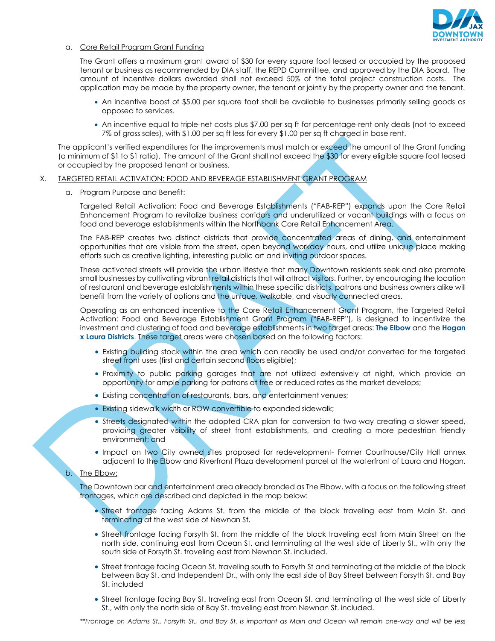

#### a. Core Retail Program Grant Funding

The Grant offers a maximum grant award of \$30 for every square foot leased or occupied by the proposed tenant or business as recommended by DIA staff, the REPD Committee, and approved by the DIA Board.The amount of incentive dollars awarded shall not exceed 50% of the total project construction costs. The application may be made by the property owner, the tenant or jointly by the property owner and the tenant.

- An incentive boost of \$5.00 per square foot shall be available to businesses primarily selling goods as opposed to services.
- An incentive equal to triple-net costs plus \$7.00 per sq ft for percentage-rent only deals (not to exceed 7% of gross sales), with \$1.00 per sq ft less for every \$1.00 per sq ft charged in base rent.

The applicant's verified expenditures for the improvements must match or exceed the amount of the Grant funding (a minimum of \$1 to \$1 ratio). The amount of the Grant shall not exceed the \$30 for every eligible square foot leased or occupied by the proposed tenant or business.

- X. TARGETED RETAIL ACTIVATION: FOOD AND BEVERAGE ESTABLISHMENT GRANT PROGRAM
	- a. Program Purpose and Benefit:

Targeted Retail Activation: Food and Beverage Establishments ("FAB-REP") expands upon the Core Retail Enhancement Program to revitalize business corridors and underutilized or vacant buildings with a focus on food and beverage establishments within the Northbank Core Retail Enhancement Area.

The FAB-REP creates two distinct districts that provide concentrated areas of dining, and entertainment opportunities that are visible from the street, open beyond workday hours, and utilize unique place making efforts such as creative lighting, interesting public art and inviting outdoor spaces.

These activated streets will provide the urban lifestyle that many Downtown residents seek and also promote small businesses by cultivating vibrant retail districts that will attract visitors. Further, by encouraging the location of restaurant and beverage establishments within these specific districts, patrons and business owners alike will benefit from the variety of options and the unique, walkable, and visually connected areas.

Operating as an enhanced incentive to the Core Retail Enhancement Grant Program, the Targeted Retail Activation: Food and Beverage Establishment Grant Program ("FAB-REP"), is designed to incentivize the investment and clustering of food and beverage establishments in two target areas: **The Elbow** and the **Hogan x Laura Districts**. These target areas were chosen based on the following factors:

- Existing building stock within the area which can readily be used and/or converted for the targeted street front uses (first and certain second floors eligible);
- Proximity to public parking garages that are not utilized extensively at night, which provide an opportunity for ample parking for patrons at free or reduced rates as the market develops;
- Existing concentration of restaurants, bars, and entertainment venues;
- Existing sidewalk width or ROW convertible to expanded sidewalk;
- Streets designated within the adopted CRA plan for conversion to two-way creating a slower speed, providing greater visibility of street front establishments, and creating a more pedestrian friendly environment; and
- Impact on two City owned sites proposed for redevelopment- Former Courthouse/City Hall annex adjacent to the Elbow and Riverfront Plaza development parcel at the waterfront of Laura and Hogan.

#### b. The Elbow:

The Downtown bar and entertainment area already branded as The Elbow, with a focus on the following street frontages, which are described and depicted in the map below:

- Street frontage facing Adams St. from the middle of the block traveling east from Main St. and terminating at the west side of Newnan St.
- Street frontage facing Forsyth St. from the middle of the block traveling east from Main Street on the north side, continuing east from Ocean St. and terminating at the west side of Liberty St., with only the south side of Forsyth St. traveling east from Newnan St. included.
- Street frontage facing Ocean St. traveling south to Forsyth St and terminating at the middle of the block between Bay St. and Independent Dr., with only the east side of Bay Street between Forsyth St. and Bay St. included
- Street frontage facing Bay St. traveling east from Ocean St. and terminating at the west side of Liberty St., with only the north side of Bay St. traveling east from Newnan St. included.

*\*\*Frontage on Adams St., Forsyth St., and Bay St. is important as Main and Ocean will remain one-way and will be less*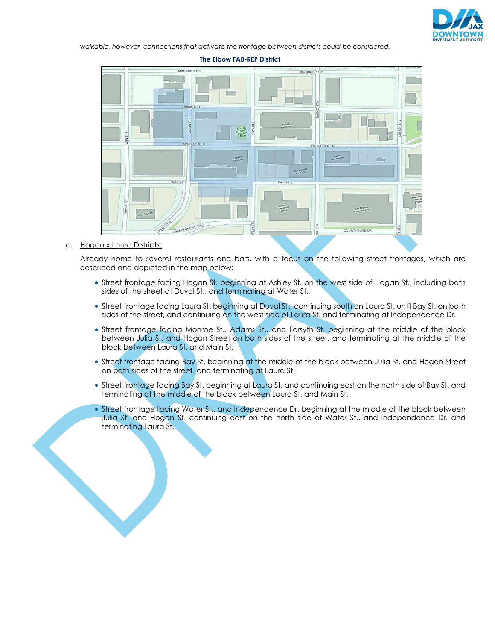

*walkable, however, connections that activate the frontage between districts could be considered.*

#### **The Elbow FAB-REP District**



c. Hogan x Laura Districts:

Already home to several restaurants and bars, with a focus on the following street frontages, which are described and depicted in the map below:

- Street frontage facing Hogan St. beginning at Ashley St. on the west side of Hogan St., including both sides of the street at Duval St., and terminating at Water St.
- Street frontage facing Laura St. beginning at Duval St., continuing south on Laura St. until Bay St. on both sides of the street, and continuing on the west side of Laura St. and terminating at Independence Dr.
- Street frontage facing Monroe St., Adams St., and Forsyth St. beginning at the middle of the block between Julia St. and Hogan Street on both sides of the street, and terminating at the middle of the block between Laura St. and Main St.
- Street frontage facing Bay St. beginning at the middle of the block between Julia St. and Hogan Street on both sides of the street, and terminating at Laura St.
- Street frontage facing Bay St. beginning at Laura St. and continuing east on the north side of Bay St. and terminating at the middle of the block between Laura St. and Main St.
- Street frontage facing Water St., and Independence Dr. beginning at the middle of the block between Julia St. and Hogan St. continuing east on the north side of Water St., and Independence Dr. and terminating Laura St.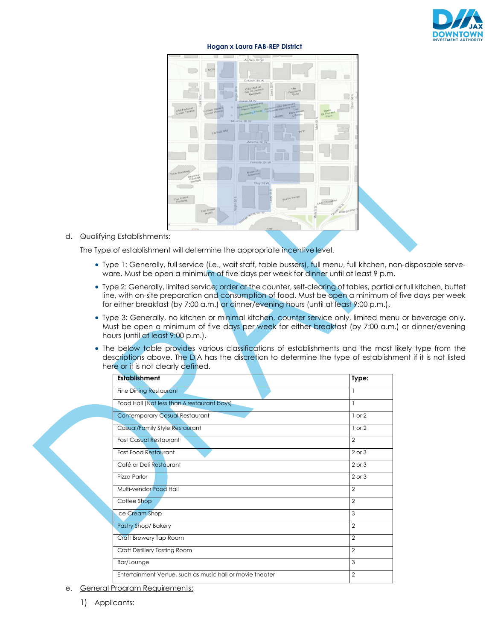

# **Hogan x Laura FAB-REP District**



### d. Qualifying Establishments:

The Type of establishment will determine the appropriate incentive level.

- Type 1: Generally, full service (i.e., wait staff, table bussers), full menu, full kitchen, non-disposable serveware. Must be open a minimum of five days per week for dinner until at least 9 p.m.
- Type 2: Generally, limited service; order at the counter, self-clearing of tables, partial or full kitchen, buffet line, with on-site preparation and consumption of food. Must be open a minimum of five days per week for either breakfast (by 7:00 a.m.) or dinner/evening hours (until at least 9:00 p.m.).
- Type 3: Generally, no kitchen or minimal kitchen, counter service only, limited menu or beverage only. Must be open a minimum of five days per week for either breakfast (by 7:00 a.m.) or dinner/evening hours (until at least 9:00 p.m.).
- The below table provides various classifications of establishments and the most likely type from the descriptions above. The DIA has the discretion to determine the type of establishment if it is not listed here or it is not clearly defined.

| <b>Establishment</b>                                     | Type:          |
|----------------------------------------------------------|----------------|
| <b>Fine Dining Restaurant</b>                            | 1              |
| Food Hall (Not less than 6 restaurant bays)              | 1              |
| <b>Contemporary Casual Restaurant</b>                    | $1$ or $2$     |
| Casual/Family Style Restaurant                           | $1$ or $2$     |
| <b>Fast Casual Restaurant</b>                            | $\overline{2}$ |
| <b>Fast Food Restaurant</b>                              | 2 or 3         |
| Café or Deli Restaurant                                  | $2$ or $3$     |
| Pizza Parlor                                             | $2$ or $3$     |
| Multi-vendor Food Hall                                   | $\mathfrak{D}$ |
| Coffee Shop                                              | $\mathfrak{D}$ |
| Ice Cream Shop                                           | 3              |
| Pastry Shop/Bakery                                       | $\overline{2}$ |
| Craft Brewery Tap Room                                   | $\mathfrak{p}$ |
| Craft Distillery Tasting Room                            | $\mathfrak{D}$ |
| Bar/Lounge                                               | 3              |
| Entertainment Venue, such as music hall or movie theater | $\mathfrak{p}$ |

e. General Program Requirements: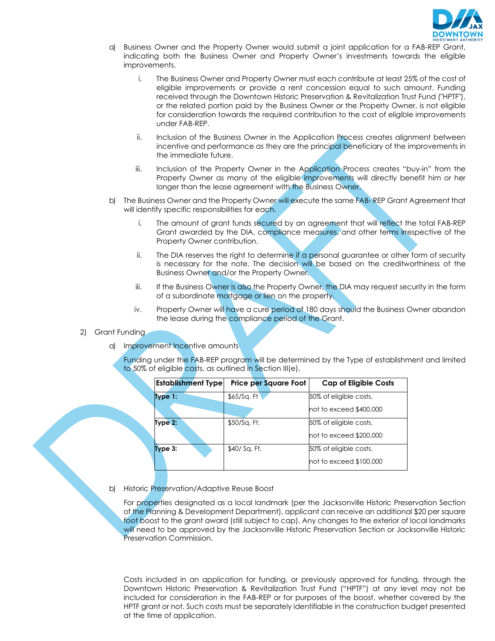

- a) Business Owner and the Property Owner would submit a joint application for a FAB-REP Grant, indicating both the Business Owner and Property Owner's investments towards the eligible improvements.
	- i. The Business Owner and Property Owner must each contribute at least 25% of the cost of eligible improvements or provide a rent concession equal to such amount. Funding received through the Downtown Historic Preservation & Revitalization Trust Fund ("HPTF"), or the related portion paid by the Business Owner or the Property Owner, is not eligible for consideration towards the required contribution to the cost of eligible improvements under FAB-REP.
	- ii. Inclusion of the Business Owner in the Application Process creates alignment between incentive and performance as they are the principal beneficiary of the improvements in the immediate future.
	- iii. Inclusion of the Property Owner in the Application Process creates "buy-in" from the Property Owner as many of the eligible improvements will directly benefit him or her longer than the lease agreement with the Business Owner.
- b) The Business Owner and the Property Owner will execute the same FAB- REP Grant Agreement that will identify specific responsibilities for each.
	- i. The amount of grant funds secured by an agreement that will reflect the total FAB-REP Grant awarded by the DIA, compliance measures, and other terms irrespective of the Property Owner contribution.
	- ii. The DIA reserves the right to determine if a personal guarantee or other form of security is necessary for the note. The decision will be based on the creditworthiness of the Business Owner and/or the Property Owner.
	- iii. If the Business Owner is also the Property Owner, the DIA may request security in the form of a subordinate mortgage or lien on the property.
	- iv. Property Owner will have a cure period of 180 days should the Business Owner abandon the lease during the compliance period of the Grant.

#### 2) Grant Funding

a) Improvement Incentive amounts

Funding under the FAB-REP program will be determined by the Type of establishment and limited to 50% of eligible costs, as outlined in Section III(e).

| <b>Establishment Type</b> | <b>Price per Square Foot</b> | <b>Cap of Eligible Costs</b> |
|---------------------------|------------------------------|------------------------------|
| Type 1:                   | \$65/Sq. F1                  | 50% of eligible costs,       |
|                           |                              | not to exceed \$400,000      |
| Type 2:                   | \$50/Sq. Ft.                 | 50% of eligible costs,       |
|                           |                              | not to exceed \$200,000      |
| Type 3:                   | $$40/$ Sq. Ft.               | 50% of eligible costs,       |
|                           |                              | not to exceed \$100,000      |

b) Historic Preservation/Adaptive Reuse Boost

For properties designated as a local landmark (per the Jacksonville Historic Preservation Section of the Planning & Development Department), applicant can receive an additional \$20 per square foot boost to the grant award (still subject to cap). Any changes to the exterior of local landmarks will need to be approved by the Jacksonville Historic Preservation Section or Jacksonville Historic Preservation Commission.

Costs included in an application for funding, or previously approved for funding, through the Downtown Historic Preservation & Revitalization Trust Fund ("HPTF") at any level may not be included for consideration in the FAB-REP or for purposes of the boost, whether covered by the HPTF grant or not. Such costs must be separately identifiable in the construction budget presented at the time of application.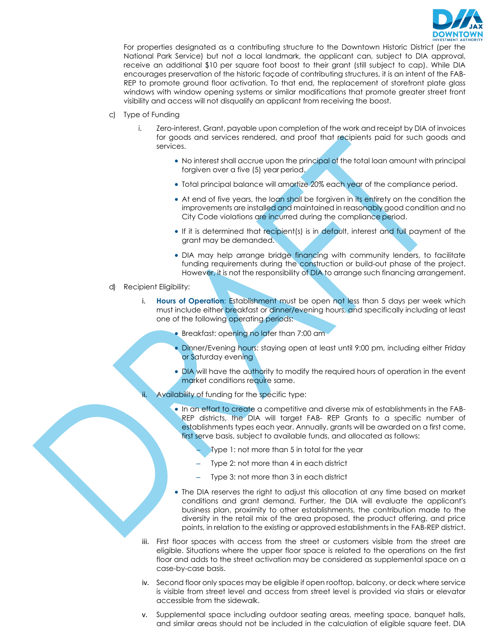

For properties designated as a contributing structure to the Downtown Historic District (per the National Park Service) but not a local landmark, the applicant can, subject to DIA approval, receive an additional \$10 per square foot boost to their grant (still subject to cap). While DIA encourages preservation of the historic façade of contributing structures, it is an intent of the FAB-REP to promote ground floor activation. To that end, the replacement of storefront plate glass windows with window opening systems or similar modifications that promote greater street front visibility and access will not disqualify an applicant from receiving the boost.

- c) Type of Funding
	- i. Zero-interest, Grant, payable upon completion of the work and receipt by DIA of invoices for goods and services rendered, and proof that recipients paid for such goods and services.
		- No interest shall accrue upon the principal of the total loan amount with principal forgiven over a five (5) year period.
		- Total principal balance will amortize 20% each year of the compliance period.
		- At end of five years, the loan shall be forgiven in its entirety on the condition the improvements are installed and maintained in reasonably good condition and no City Code violations are incurred during the compliance period.
		- If it is determined that recipient(s) is in default, interest and full payment of the grant may be demanded.
		- DIA may help arrange bridge financing with community lenders, to facilitate funding requirements during the construction or build-out phase of the project. However, it is not the responsibility of DIA to arrange such financing arrangement.
- d) Recipient Eligibility:
	- i. **Hours of Operation**: Establishment must be open not less than 5 days per week which must include either breakfast or dinner/evening hours, and specifically including at least one of the following operating periods:
		- Breakfast: opening no later than 7:00 am
		- Dinner/Evening hours: staying open at least until 9:00 pm, including either Friday or Saturday evening
		- DIA will have the authority to modify the required hours of operation in the event market conditions require same.
		- Availability of funding for the specific type:
			- In an effort to create a competitive and diverse mix of establishments in the FAB-REP districts, the DIA will target FAB- REP Grants to a specific number of establishments types each year. Annually, grants will be awarded on a first come, first serve basis, subject to available funds, and allocated as follows:
				- Type 1: not more than 5 in total for the year
				- Type 2: not more than 4 in each district
				- Type 3: not more than 3 in each district
			- The DIA reserves the right to adjust this allocation at any time based on market conditions and grant demand. Further, the DIA will evaluate the applicant's business plan, proximity to other establishments, the contribution made to the diversity in the retail mix of the area proposed, the product offering, and price points, in relation to the existing or approved establishments in the FAB-REP district.
	- iii. First floor spaces with access from the street or customers visible from the street are eligible. Situations where the upper floor space is related to the operations on the first floor and adds to the street activation may be considered as supplemental space on a case-by-case basis.
	- iv. Second floor only spaces may be eligible if open rooftop, balcony, or deck where service is visible from street level and access from street level is provided via stairs or elevator accessible from the sidewalk.
	- v. Supplemental space including outdoor seating areas, meeting space, banquet halls, and similar areas should not be included in the calculation of eligible square feet. DIA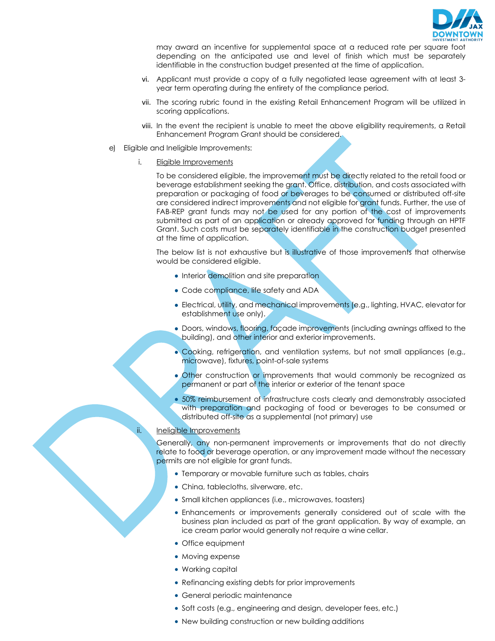

may award an incentive for supplemental space at a reduced rate per square foot depending on the anticipated use and level of finish which must be separately identifiable in the construction budget presented at the time of application.

- vi. Applicant must provide a copy of a fully negotiated lease agreement with at least 3 year term operating during the entirety of the compliance period.
- vii. The scoring rubric found in the existing Retail Enhancement Program will be utilized in scoring applications.
- viii. In the event the recipient is unable to meet the above eligibility requirements, a Retail Enhancement Program Grant should be considered.
- e) Eligible and Ineligible Improvements:
	- i. Eligible Improvements

To be considered eligible, the improvement must be directly related to the retail food or beverage establishment seeking the grant. Office, distribution, and costs associated with preparation or packaging of food or beverages to be consumed or distributed off-site are considered indirect improvements and not eligible for grant funds. Further, the use of FAB-REP grant funds may not be used for any portion of the cost of improvements submitted as part of an application or already approved for funding through an HPTF Grant. Such costs must be separately identifiable in the construction budget presented at the time of application.

The below list is not exhaustive but is illustrative of those improvements that otherwise would be considered eligible.

- Interior demolition and site preparation
- Code compliance, life safety and ADA
- Electrical, utility, and mechanical improvements (e.g., lighting, HVAC, elevator for establishment use only).
- Doors, windows, flooring, façade improvements (including awnings affixed to the building), and other interior and exterior improvements.
- Cooking, refrigeration, and ventilation systems, but not small appliances (e.g., microwave), fixtures, point-of-sale systems
- Other construction or improvements that would commonly be recognized as permanent or part of the interior or exterior of the tenant space
- 50% reimbursement of infrastructure costs clearly and demonstrably associated with preparation and packaging of food or beverages to be consumed or distributed off-site as a supplemental (not primary) use

#### ii. Ineligible Improvements

Generally, any non-permanent improvements or improvements that do not directly relate to food or beverage operation, or any improvement made without the necessary permits are not eligible for grant funds.

- Temporary or movable furniture such as tables, chairs
- China, tablecloths, silverware, etc.
- Small kitchen appliances (i.e., microwaves, toasters)
- Enhancements or improvements generally considered out of scale with the business plan included as part of the grant application. By way of example, an ice cream parlor would generally not require a wine cellar.
- Office equipment
- Moving expense
- Working capital
- Refinancing existing debts for prior improvements
- General periodic maintenance
- Soft costs (e.g., engineering and design, developer fees, etc.)
- New building construction or new building additions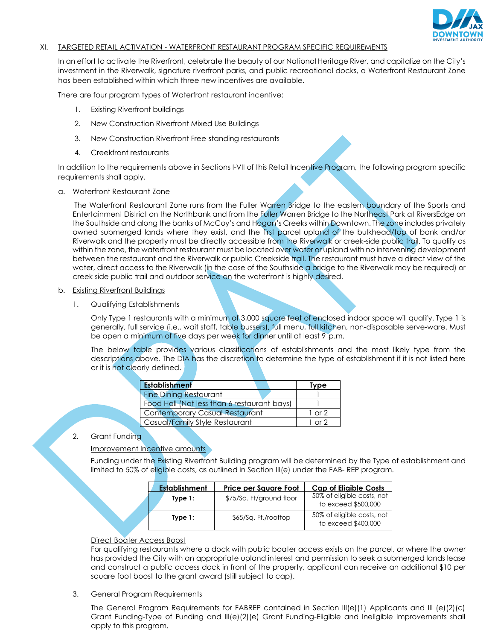

#### XI. TARGETED RETAIL ACTIVATION - WATERFRONT RESTAURANT PROGRAM SPECIFIC REQUIREMENTS

In an effort to activate the Riverfront, celebrate the beauty of our National Heritage River, and capitalize on the City's investment in the Riverwalk, signature riverfront parks, and public recreational docks, a Waterfront Restaurant Zone has been established within which three new incentives are available.

There are four program types of Waterfront restaurant incentive:

- 1. Existing Riverfront buildings
- 2. New Construction Riverfront Mixed Use Buildings
- 3. New Construction Riverfront Free-standing restaurants
- 4. Creekfront restaurants

In addition to the requirements above in Sections I-VII of this Retail Incentive Program, the following program specific requirements shall apply.

#### a. Waterfront Restaurant Zone

 The Waterfront Restaurant Zone runs from the Fuller Warren Bridge to the eastern boundary of the Sports and Entertainment District on the Northbank and from the Fuller Warren Bridge to the Northeast Park at RiversEdge on the Southside and along the banks of McCoy's and Hogan's Creeks within Downtown. The zone includes privately owned submerged lands where they exist, and the first parcel upland of the bulkhead/top of bank and/or Riverwalk and the property must be directly accessible from the Riverwalk or creek-side public trail. To qualify as within the zone, the waterfront restaurant must be located over water or upland with no intervening development between the restaurant and the Riverwalk or public Creekside trail. The restaurant must have a direct view of the water, direct access to the Riverwalk (in the case of the Southside a bridge to the Riverwalk may be required) or creek side public trail and outdoor service on the waterfront is highly desired.

#### b. Existing Riverfront Buildings

#### 1. Qualifying Establishments

Only Type 1 restaurants with a minimum of 3,000 square feet of enclosed indoor space will qualify. Type 1 is generally, full service (i.e., wait staff, table bussers), full menu, full kitchen, non-disposable serve-ware. Must be open a minimum of five days per week for dinner until at least 9 p.m.

The below table provides various classifications of establishments and the most likely type from the descriptions above. The DIA has the discretion to determine the type of establishment if it is not listed here or it is not clearly defined.

| <b>Establishment</b>                        | <b>Type</b>       |
|---------------------------------------------|-------------------|
| <b>Fine Dining Restaurant</b>               |                   |
| Food Hall (Not less than 6 restaurant bays) |                   |
| <b>Contemporary Casual Restaurant</b>       | $1 \text{ or } 2$ |
| Casual/Family Style Restaurant              | $1 \cap r$ ?      |

#### 2. Grant Funding

Improvement Incentive amounts

Funding under the Existing Riverfront Building program will be determined by the Type of establishment and limited to 50% of eligible costs, as outlined in Section III(e) under the FAB- REP program.

| <b>Establishment</b> | Price per Square Foot    | <b>Cap of Eligible Costs</b>                      |
|----------------------|--------------------------|---------------------------------------------------|
| Type $1:$            | \$75/Sq. Ft/ground floor | 50% of eligible costs, not<br>to exceed \$500,000 |
| Type $1:$            | \$65/Sq. Ft./rooftop     | 50% of eligible costs, not<br>to exceed \$400,000 |

#### Direct Boater Access Boost

For qualifying restaurants where a dock with public boater access exists on the parcel, or where the owner has provided the City with an appropriate upland interest and permission to seek a submerged lands lease and construct a public access dock in front of the property, applicant can receive an additional \$10 per square foot boost to the grant award (still subject to cap).

3. General Program Requirements

The General Program Requirements for FABREP contained in Section III(e)(1) Applicants and III (e)(2)(c) Grant Funding-Type of Funding and III(e)(2)(e) Grant Funding-Eligible and Ineligible Improvements shall apply to this program.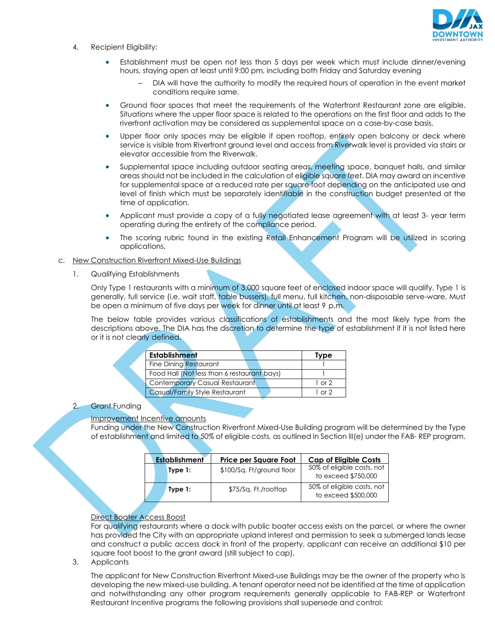

- 4. Recipient Eligibility:
	- Establishment must be open not less than 5 days per week which must include dinner/evening hours, staying open at least until 9:00 pm, including both Friday and Saturday evening
		- DIA will have the authority to modify the required hours of operation in the event market conditions require same.
	- Ground floor spaces that meet the requirements of the Waterfront Restaurant zone are eligible. Situations where the upper floor space is related to the operations on the first floor and adds to the riverfront activation may be considered as supplemental space on a case-by-case basis.
	- Upper floor only spaces may be eligible if open rooftop, entirely open balcony or deck where service is visible from Riverfront ground level and access from Riverwalk level is provided via stairs or elevator accessible from the Riverwalk.
	- Supplemental space including outdoor seating areas, meeting space, banquet halls, and similar areas should not be included in the calculation of eligible square feet. DIA may award an incentive for supplemental space at a reduced rate per square foot depending on the anticipated use and level of finish which must be separately identifiable in the construction budget presented at the time of application.
	- Applicant must provide a copy of a fully negotiated lease agreement with at least 3- year term operating during the entirety of the compliance period.
	- The scoring rubric found in the existing Retail Enhancement Program will be utilized in scoring applications.

#### c. New Construction Riverfront Mixed-Use Buildings

1. Qualifying Establishments

Only Type 1 restaurants with a minimum of 3,000 square feet of enclosed indoor space will qualify. Type 1 is generally, full service (i.e. wait staff, table bussers), full menu, full kitchen, non-disposable serve-ware. Must be open a minimum of five days per week for dinner until at least 9 p.m.

The below table provides various classifications of establishments and the most likely type from the descriptions above. The DIA has the discretion to determine the type of establishment if it is not listed here or it is not clearly defined.

| <b>Establishment</b>                        | Tvpe       |
|---------------------------------------------|------------|
| <b>Fine Dining Restaurant</b>               |            |
| Food Hall (Not less than 6 restaurant bays) |            |
| Contemporary Casual Restaurant              | $1$ or $2$ |
| Casual/Family Style Restaurant              | $1 \cap 2$ |

#### 2. Grant Funding

#### Improvement Incentive amounts

Funding under the New Construction Riverfront Mixed-Use Building program will be determined by the Type of establishment and limited to 50% of eligible costs, as outlined in Section III(e) under the FAB- REP program.

| <b>Establishment</b> | <b>Price per Square Foot</b> | <b>Cap of Eligible Costs</b>                      |
|----------------------|------------------------------|---------------------------------------------------|
| Type $1:$            | \$100/Sq. Ft/ground floor    | 50% of eligible costs, not<br>to exceed \$750,000 |
| Type $1:$            | \$75/Sq. Ft./rooftop         | 50% of eligible costs, not<br>to exceed \$500,000 |

#### Direct Boater Access Boost

For qualifying restaurants where a dock with public boater access exists on the parcel, or where the owner has provided the City with an appropriate upland interest and permission to seek a submerged lands lease and construct a public access dock in front of the property, applicant can receive an additional \$10 per square foot boost to the grant award (still subject to cap).

3. Applicants

The applicant for New Construction Riverfront Mixed-use Buildings may be the owner of the property who is developing the new mixed-use building. A tenant operator need not be identified at the time of application and notwithstanding any other program requirements generally applicable to FAB-REP or Waterfront Restaurant Incentive programs the following provisions shall supersede and control: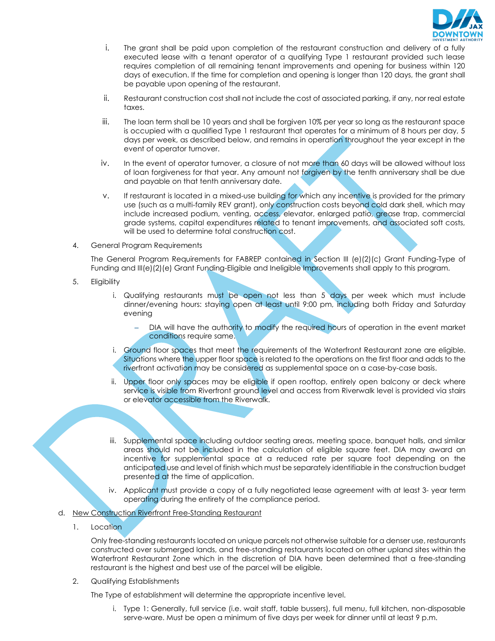

- i. The grant shall be paid upon completion of the restaurant construction and delivery of a fully executed lease with a tenant operator of a qualifying Type 1 restaurant provided such lease requires completion of all remaining tenant improvements and opening for business within 120 days of execution. If the time for completion and opening is longer than 120 days, the grant shall be payable upon opening of the restaurant.
- ii. Restaurant construction cost shall not include the cost of associated parking, if any, nor real estate taxes.
- iii. The loan term shall be 10 years and shall be forgiven 10% per year so long as the restaurant space is occupied with a qualified Type 1 restaurant that operates for a minimum of 8 hours per day, 5 days per week, as described below, and remains in operation throughout the year except in the event of operator turnover.
- iv. In the event of operator turnover, a closure of not more than 60 days will be allowed without loss of loan forgiveness for that year. Any amount not forgiven by the tenth anniversary shall be due and payable on that tenth anniversary date.
- v. If restaurant is located in a mixed-use building for which any incentive is provided for the primary use (such as a multi-family REV grant), only construction costs beyond cold dark shell, which may include increased podium, venting, access, elevator, enlarged patio, grease trap, commercial grade systems, capital expenditures related to tenant improvements, and associated soft costs, will be used to determine total construction cost.
- 4. General Program Requirements

The General Program Requirements for FABREP contained in Section III (e)(2)(c) Grant Funding-Type of Funding and III(e)(2)(e) Grant Funding-Eligible and Ineligible Improvements shall apply to this program.

- 5. Eligibility
	- i. Qualifying restaurants must be open not less than 5 days per week which must include dinner/evening hours: staying open at least until 9:00 pm, including both Friday and Saturday evening
		- DIA will have the authority to modify the required hours of operation in the event market conditions require same.
	- i. Ground floor spaces that meet the requirements of the Waterfront Restaurant zone are eligible. Situations where the upper floor space is related to the operations on the first floor and adds to the riverfront activation may be considered as supplemental space on a case-by-case basis.
	- ii. Upper floor only spaces may be eligible if open rooftop, entirely open balcony or deck where service is visible from Riverfront ground level and access from Riverwalk level is provided via stairs or elevator accessible from the Riverwalk.
	- iii. Supplemental space including outdoor seating areas, meeting space, banquet halls, and similar areas should not be included in the calculation of eligible square feet. DIA may award an incentive for supplemental space at a reduced rate per square foot depending on the anticipated use and level of finish which must be separately identifiable in the construction budget presented at the time of application.
	- iv. Applicant must provide a copy of a fully negotiated lease agreement with at least 3- year term operating during the entirety of the compliance period.

#### d. New Construction Riverfront Free-Standing Restaurant

1. Location

Only free-standing restaurants located on unique parcels not otherwise suitable for a denser use, restaurants constructed over submerged lands, and free-standing restaurants located on other upland sites within the Waterfront Restaurant Zone which in the discretion of DIA have been determined that a free-standing restaurant is the highest and best use of the parcel will be eligible.

2. Qualifying Establishments

The Type of establishment will determine the appropriate incentive level.

i. Type 1: Generally, full service (i.e. wait staff, table bussers), full menu, full kitchen, non-disposable serve-ware. Must be open a minimum of five days per week for dinner until at least 9 p.m.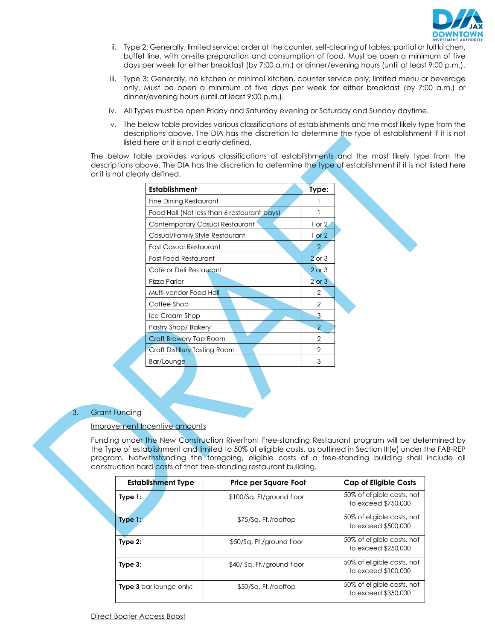

- ii. Type 2: Generally, limited service; order at the counter, self-clearing of tables, partial or full kitchen, buffet line, with on-site preparation and consumption of food. Must be open a minimum of five days per week for either breakfast (by 7:00 a.m.) or dinner/evening hours (until at least 9:00 p.m.).
- iii. Type 3: Generally, no kitchen or minimal kitchen, counter service only, limited menu or beverage only. Must be open a minimum of five days per week for either breakfast (by 7:00 a.m.) or dinner/evening hours (until at least 9:00 p.m.).
- iv. All Types must be open Friday and Saturday evening or Saturday and Sunday daytime.
- v. The below table provides various classifications of establishments and the most likely type from the descriptions above. The DIA has the discretion to determine the type of establishment if it is not listed here or it is not clearly defined.

The below table provides various classifications of establishments and the most likely type from the descriptions above. The DIA has the discretion to determine the type of establishment if it is not listed here or it is not clearly defined.

| Establishment                               | Type:          |
|---------------------------------------------|----------------|
| Fine Dining Restaurant                      |                |
| Food Hall (Not less than 6 restaurant bays) |                |
| Contemporary Casual Restaurant              | $1$ or $2$     |
| Casual/Family Style Restaurant              | $1$ or $2$     |
| <b>Fast Casual Restaurant</b>               | $\overline{2}$ |
| Fast Food Restaurant                        | $2$ or $3$     |
| Café or Deli Restaurant                     | $2$ or $3$     |
| Pizza Parlor                                | $2$ or $3$     |
| Multi-vendor Food Ha <mark>ll</mark>        | 2              |
| Coffee Shop                                 | 2              |
| Ice Cream Shop                              | 3              |
| Pastry Shop/Bakery                          | $\overline{2}$ |
| Craft Brewery Tap Room                      | 2              |
| Craft Distillery Tasting Room               | 2              |
| Bar/Lounge                                  | 3              |

### 3. Grant Funding

### Improvement Incentive amounts

Funding under the New Construction Riverfront Free-standing Restaurant program will be determined by the Type of establishment and limited to 50% of eligible costs, as outlined in Section III(e) under the FAB-REP program. Notwithstanding the foregoing, eligible costs of a free-standing building shall include all construction hard costs of that free-standing restaurant building.

| <b>Establishment Type</b>      | Price per Square Foot      | <b>Cap of Eligible Costs</b>                      |
|--------------------------------|----------------------------|---------------------------------------------------|
| Type $1:$                      | \$100/Sq. Ft/ground floor  | 50% of eligible costs, not<br>to exceed \$750,000 |
| Type $1:$                      | \$75/Sa. Ft./rooftop       | 50% of eligible costs, not<br>to exceed \$500,000 |
| Type $2:$                      | \$50/Sq. Ft./ground floor  | 50% of eligible costs, not<br>to exceed \$250,000 |
| Type $3:$                      | \$40/ Sq. Ft./ground floor | 50% of eligible costs, not<br>to exceed \$100,000 |
| <b>Type 3</b> bar lounge only: | \$50/Sa. Ft./rooftop       | 50% of eligible costs, not<br>to exceed \$350,000 |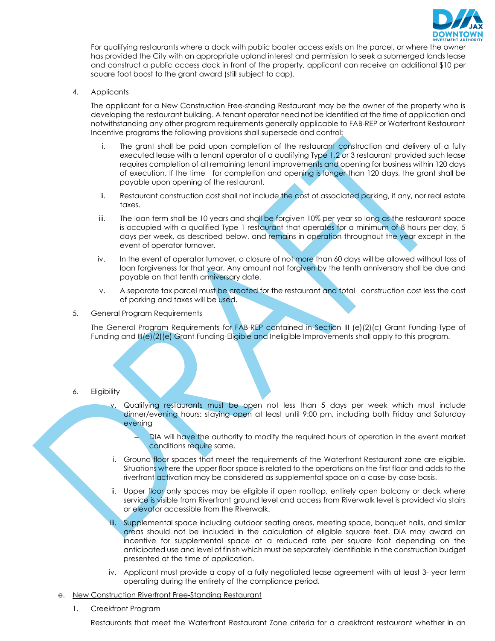

For qualifying restaurants where a dock with public boater access exists on the parcel, or where the owner has provided the City with an appropriate upland interest and permission to seek a submerged lands lease and construct a public access dock in front of the property, applicant can receive an additional \$10 per square foot boost to the grant award (still subject to cap).

4. Applicants

The applicant for a New Construction Free-standing Restaurant may be the owner of the property who is developing the restaurant building. A tenant operator need not be identified at the time of application and notwithstanding any other program requirements generally applicable to FAB-REP or Waterfront Restaurant Incentive programs the following provisions shall supersede and control:

- i. The grant shall be paid upon completion of the restaurant construction and delivery of a fully executed lease with a tenant operator of a qualifying Type 1,2 or 3 restaurant provided such lease requires completion of all remaining tenant improvements and opening for business within 120 days of execution. If the time for completion and opening is longer than 120 days, the grant shall be payable upon opening of the restaurant.
- ii. Restaurant construction cost shall not include the cost of associated parking, if any, nor real estate taxes.
- iii. The loan term shall be 10 years and shall be forgiven 10% per year so long as the restaurant space is occupied with a qualified Type 1 restaurant that operates for a minimum of 8 hours per day, 5 days per week, as described below, and remains in operation throughout the year except in the event of operator turnover.
- iv. In the event of operator turnover, a closure of not more than 60 days will be allowed without loss of loan forgiveness for that year. Any amount not forgiven by the tenth anniversary shall be due and payable on that tenth anniversary date.
- v. A separate tax parcel must be created for the restaurant and total construction cost less the cost of parking and taxes will be used.
- 5. General Program Requirements

The General Program Requirements for FAB-REP contained in Section III (e)(2)(c) Grant Funding-Type of Funding and III(e)(2)(e) Grant Funding-Eligible and Ineligible Improvements shall apply to this program.

- 6. Eligibility
	- v. Qualifying restaurants must be open not less than 5 days per week which must include dinner/evening hours: staying open at least until 9:00 pm, including both Friday and Saturday evening
		- DIA will have the authority to modify the required hours of operation in the event market conditions require same.
	- i. Ground floor spaces that meet the requirements of the Waterfront Restaurant zone are eligible. Situations where the upper floor space is related to the operations on the first floor and adds to the riverfront activation may be considered as supplemental space on a case-by-case basis.
	- ii. Upper floor only spaces may be eligible if open rooftop, entirely open balcony or deck where service is visible from Riverfront ground level and access from Riverwalk level is provided via stairs or elevator accessible from the Riverwalk.
	- iii. Supplemental space including outdoor seating areas, meeting space, banquet halls, and similar areas should not be included in the calculation of eligible square feet. DIA may award an incentive for supplemental space at a reduced rate per square foot depending on the anticipated use and level of finish which must be separately identifiable in the construction budget presented at the time of application.
	- iv. Applicant must provide a copy of a fully negotiated lease agreement with at least 3- year term operating during the entirety of the compliance period.
- e. New Construction Riverfront Free-Standing Restaurant
	- 1. Creekfront Program

Restaurants that meet the Waterfront Restaurant Zone criteria for a creekfront restaurant whether in an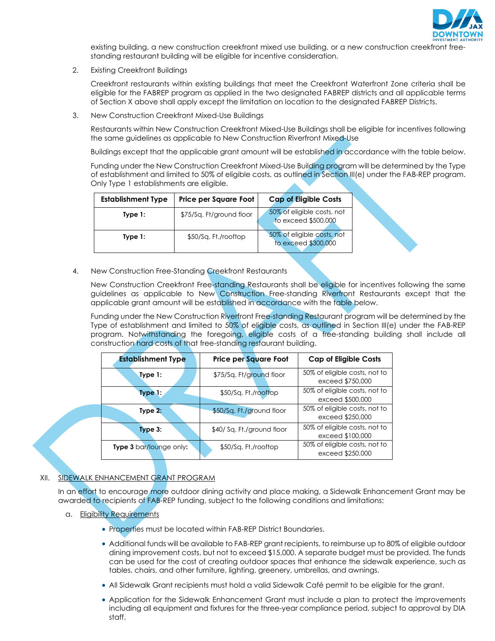

existing building, a new construction creekfront mixed use building, or a new construction creekfront freestanding restaurant building will be eligible for incentive consideration.

2. Existing Creekfront Buildings

Creekfront restaurants within existing buildings that meet the Creekfront Waterfront Zone criteria shall be eligible for the FABREP program as applied in the two designated FABREP districts and all applicable terms of Section X above shall apply except the limitation on location to the designated FABREP Districts.

3. New Construction Creekfront Mixed-Use Buildings

Restaurants within New Construction Creekfront Mixed-Use Buildings shall be eligible for incentives following the same guidelines as applicable to New Construction Riverfront Mixed-Use

Buildings except that the applicable grant amount will be established in accordance with the table below.

Funding under the New Construction Creekfront Mixed-Use Building program will be determined by the Type of establishment and limited to 50% of eligible costs, as outlined in Section III(e) under the FAB-REP program. Only Type 1 establishments are eligible.

| <b>Establishment Type</b> | Price per Square Foot    | <b>Cap of Eligible Costs</b>                      |
|---------------------------|--------------------------|---------------------------------------------------|
| Type 1:                   | \$75/Sq. Ft/ground floor | 50% of eligible costs, not<br>to exceed \$500,000 |
| Type $1:$                 | \$50/Sq. Ft./rooftop     | 50% of eligible costs, not<br>to exceed \$300,000 |

4. New Construction Free-Standing Creekfront Restaurants

New Construction Creekfront Free-standing Restaurants shall be eligible for incentives following the same guidelines as applicable to New Construction Free-standing Riverfront Restaurants except that the applicable grant amount will be established in accordance with the table below.

Funding under the New Construction Riverfront Free-standing Restaurant program will be determined by the Type of establishment and limited to 50% of eligible costs, as outlined in Section III(e) under the FAB-REP program. Notwithstanding the foregoing, eligible costs of a free-standing building shall include all construction hard costs of that free-standing restaurant building.

| <b>Establishment Type</b> | <b>Price per Square Foot</b> | <b>Cap of Eligible Costs</b>                      |
|---------------------------|------------------------------|---------------------------------------------------|
| Type $1:$                 | \$75/Sq. Ft/ground floor     | 50% of eligible costs, not to<br>exceed \$750,000 |
| Type 1:                   | \$50/Sq. Ft./rooftop         | 50% of eligible costs, not to<br>exceed \$500,000 |
| Type $2:$                 | \$50/Sq. Ft./ground floor    | 50% of eligible costs, not to<br>exceed \$250,000 |
| Type $3:$                 | \$40/ Sq. Ft./ground floor   | 50% of eligible costs, not to<br>exceed \$100,000 |
| Type 3 bar/lounge only:   | \$50/Sq. Ft./rooftop         | 50% of eligible costs, not to<br>exceed \$250,000 |

### XII. SIDEWALK ENHANCEMENT GRANT PROGRAM

In an effort to encourage more outdoor dining activity and place making, a Sidewalk Enhancement Grant may be awarded to recipients of FAB-REP funding, subject to the following conditions and limitations:

- a. Eligibility Requirements
	- Properties must be located within FAB-REP District Boundaries.
	- Additional funds will be available to FAB-REP grant recipients, to reimburse up to 80% of eligible outdoor dining improvement costs, but not to exceed \$15,000. A separate budget must be provided. The funds can be used for the cost of creating outdoor spaces that enhance the sidewalk experience, such as tables, chairs, and other furniture, lighting, greenery, umbrellas, and awnings.
	- All Sidewalk Grant recipients must hold a valid Sidewalk Café permit to be eligible for the grant.
	- Application for the Sidewalk Enhancement Grant must include a plan to protect the improvements including all equipment and fixtures for the three-year compliance period, subject to approval by DIA staff.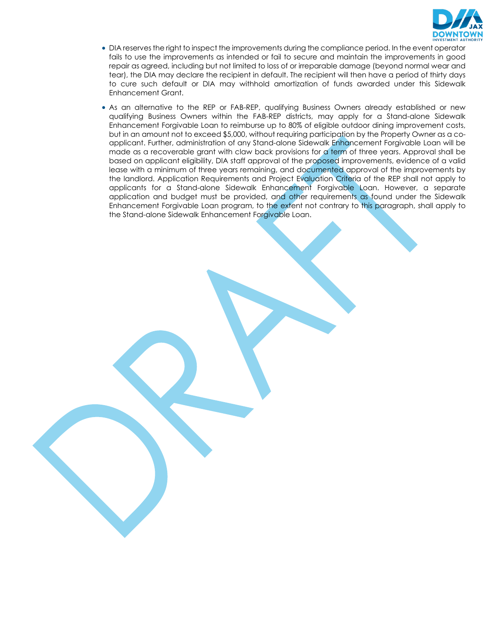

- DIA reserves the right to inspect the improvements during the compliance period. In the event operator fails to use the improvements as intended or fail to secure and maintain the improvements in good repair as agreed, including but not limited to loss of or irreparable damage (beyond normal wear and tear), the DIA may declare the recipient in default. The recipient will then have a period of thirty days to cure such default or DIA may withhold amortization of funds awarded under this Sidewalk Enhancement Grant.
- As an alternative to the REP or FAB-REP, qualifying Business Owners already established or new qualifying Business Owners within the FAB-REP districts, may apply for a Stand-alone Sidewalk Enhancement Forgivable Loan to reimburse up to 80% of eligible outdoor dining improvement costs, but in an amount not to exceed \$5,000, without requiring participation by the Property Owner as a coapplicant. Further, administration of any Stand-alone Sidewalk Enhancement Forgivable Loan will be made as a recoverable grant with claw back provisions for a term of three years. Approval shall be based on applicant eligibility, DIA staff approval of the proposed improvements, evidence of a valid lease with a minimum of three years remaining, and documented approval of the improvements by the landlord. Application Requirements and Project Evaluation Criteria of the REP shall not apply to applicants for a Stand-alone Sidewalk Enhancement Forgivable Loan. However, a separate application and budget must be provided, and other requirements as found under the Sidewalk Enhancement Forgivable Loan program, to the extent not contrary to this paragraph, shall apply to the Stand-alone Sidewalk Enhancement Forgivable Loan.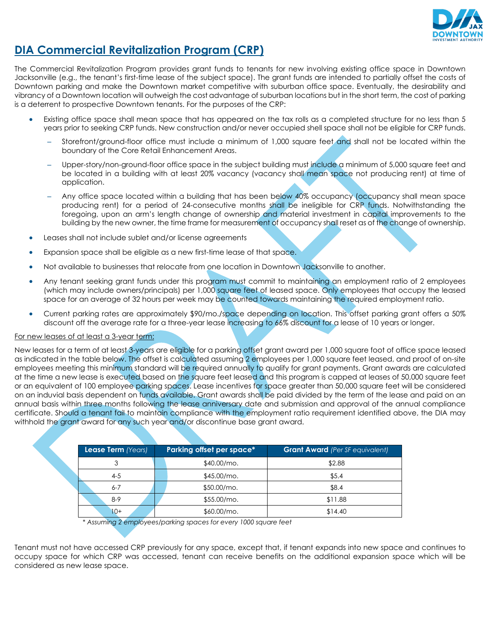

### **DIA Commercial Revitalization Program (CRP)**

The Commercial Revitalization Program provides grant funds to tenants for new involving existing office space in Downtown Jacksonville (e.g., the tenant's first-time lease of the subject space). The grant funds are intended to partially offset the costs of Downtown parking and make the Downtown market competitive with suburban office space. Eventually, the desirability and vibrancy of a Downtown location will outweigh the cost advantage of suburban locations but in the short term, the cost of parking is a deterrent to prospective Downtown tenants. For the purposes of the CRP:

- Existing office space shall mean space that has appeared on the tax rolls as a completed structure for no less than 5 years prior to seeking CRP funds. New construction and/or never occupied shell space shall not be eligible for CRP funds.
	- Storefront/ground-floor office must include a minimum of 1,000 square feet and shall not be located within the boundary of the Core Retail Enhancement Areas.
	- Upper-story/non-ground-floor office space in the subject building must include a minimum of 5,000 square feet and be located in a building with at least 20% vacancy (vacancy shall mean space not producing rent) at time of application.
	- Any office space located within a building that has been below 40% occupancy (occupancy shall mean space producing rent) for a period of 24-consecutive months shall be ineligible for CRP funds. Notwithstanding the foregoing, upon an arm's length change of ownership and material investment in capital improvements to the building by the new owner, the time frame for measurement of occupancy shall reset as of the change of ownership.
- Leases shall not include sublet and/or license agreements
- Expansion space shall be eligible as a new first-time lease of that space.
- Not available to businesses that relocate from one location in Downtown Jacksonville to another.
- Any tenant seeking grant funds under this program must commit to maintaining an employment ratio of 2 employees (which may include owners/principals) per 1,000 square feet of leased space. Only employees that occupy the leased space for an average of 32 hours per week may be counted towards maintaining the required employment ratio.
- Current parking rates are approximately \$90/mo./space depending on location. This offset parking grant offers a 50% discount off the average rate for a three-year lease increasing to 66% discount for a lease of 10 years or longer.

#### For new leases of at least a 3-year term:

New leases for a term of at least 3-years are eligible for a parking offset grant award per 1,000 square foot of office space leased as indicated in the table below. The offset is calculated assuming 2 employees per 1,000 square feet leased, and proof of on-site employees meeting this minimum standard will be required annually to qualify for grant payments. Grant awards are calculated at the time a new lease is executed based on the square feet leased and this program is capped at leases of 50,000 square feet or an equivalent of 100 employee parking spaces. Lease incentives for space greater than 50,000 square feet will be considered on an induvial basis dependent on funds available. Grant awards shall be paid divided by the term of the lease and paid on an annual basis within three months following the lease anniversary date and submission and approval of the annual compliance certificate. Should a tenant fail to maintain compliance with the employment ratio requirement identified above, the DIA may withhold the grant award for any such year and/or discontinue base grant award.

| Lease Term (Years) | Parking offset per space* | <b>Grant Award</b> (Per SF equivalent) |
|--------------------|---------------------------|----------------------------------------|
| 3                  | $$40.00/mo$ .             | \$2.88                                 |
| $4 - 5$            | $$45.00/mo$ .             | \$5.4                                  |
| $6 - 7$            | \$50.00/mo.               | \$8.4                                  |
| $8-9$              | $$55.00/mo$ .             | \$11.88                                |
| $10+$              | $$60.00/mo$ .             | \$14.40                                |

*\* Assuming 2 employees/parking spaces for every 1000 square feet*

Tenant must not have accessed CRP previously for any space, except that, if tenant expands into new space and continues to occupy space for which CRP was accessed, tenant can receive benefits on the additional expansion space which will be considered as new lease space.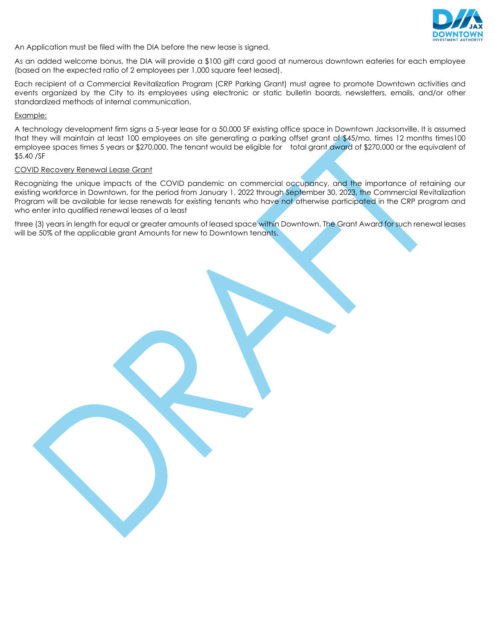

An Application must be filed with the DIA before the new lease is signed.

As an added welcome bonus, the DIA will provide a \$100 gift card good at numerous downtown eateries for each employee (based on the expected ratio of 2 employees per 1,000 square feet leased).

Each recipient of a Commercial Revitalization Program (CRP Parking Grant) must agree to promote Downtown activities and events organized by the City to its employees using electronic or static bulletin boards, newsletters, emails, and/or other standardized methods of internal communication.

#### Example:

A technology development firm signs a 5-year lease for a 50,000 SF existing office space in Downtown Jacksonville. It is assumed that they will maintain at least 100 employees on site generating a parking offset grant of \$45/mo. times 12 months times100 employee spaces times 5 years or \$270,000. The tenant would be eligible for total grant award of \$270,000 or the equivalent of \$5.40 /SF

#### COVID Recovery Renewal Lease Grant

Recognizing the unique impacts of the COVID pandemic on commercial occupancy, and the importance of retaining our existing workforce in Downtown, for the period from January 1, 2022 through September 30, 2023, the Commercial Revitalization Program will be available for lease renewals for existing tenants who have not otherwise participated in the CRP program and who enter into qualified renewal leases of a least

three (3) years in length for equal or greater amounts of leased space within Downtown. The Grant Award for such renewal leases will be 50% of the applicable grant Amounts for new to Downtown tenants.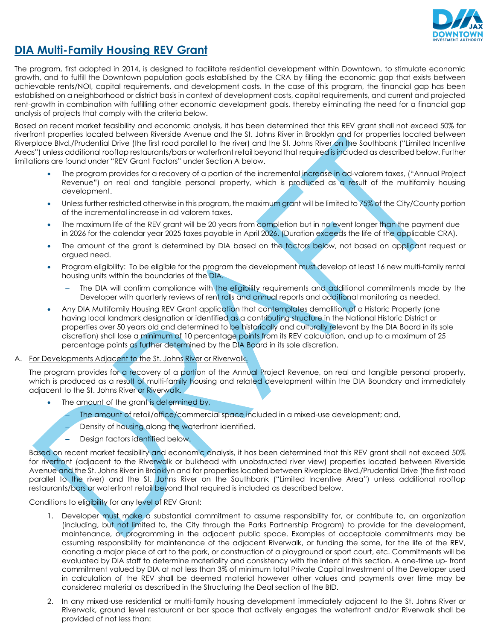

### **DIA Multi-Family Housing REV Grant**

The program, first adopted in 2014, is designed to facilitate residential development within Downtown, to stimulate economic growth, and to fulfill the Downtown population goals established by the CRA by filling the economic gap that exists between achievable rents/NOI, capital requirements, and development costs. In the case of this program, the financial gap has been established on a neighborhood or district basis in context of development costs, capital requirements, and current and projected rent-growth in combination with fulfilling other economic development goals, thereby eliminating the need for a financial gap analysis of projects that comply with the criteria below.

Based on recent market feasibility and economic analysis, it has been determined that this REV grant shall not exceed 50% for riverfront properties located between Riverside Avenue and the St. Johns River in Brooklyn and for properties located between Riverplace Blvd./Prudential Drive (the first road parallel to the river) and the St. Johns River on the Southbank ("Limited Incentive Areas") unless additional rooftop restaurants/bars or waterfront retail beyond that required is included as described below. Further limitations are found under "REV Grant Factors" under Section A below.

- The program provides for a recovery of a portion of the incremental increase in ad-valorem taxes, ("Annual Project Revenue") on real and tangible personal property, which is produced as a result of the multifamily housing development.
- Unless further restricted otherwise in this program, the maximum grant will be limited to 75% of the City/County portion of the incremental increase in ad valorem taxes.
- The maximum life of the REV grant will be 20 years from completion but in no event longer than the payment due in 2026 for the calendar year 2025 taxes payable in April 2026. (Duration exceeds the life of the applicable CRA).
- The amount of the grant is determined by DIA based on the factors below, not based on applicant request or argued need.
- Program eligibility: To be eligible for the program the development must develop at least 16 new multi-family rental housing units within the boundaries of the DIA.
	- The DIA will confirm compliance with the eligibility requirements and additional commitments made by the Developer with quarterly reviews of rent rolls and annual reports and additional monitoring as needed.
- Any DIA Multifamily Housing REV Grant application that contemplates demolition of a Historic Property (one having local landmark designation or identified as a contributing structure in the National Historic District or properties over 50 years old and determined to be historically and culturally relevant by the DIA Board in its sole discretion) shall lose a minimum of 10 percentage points from its REV calculation, and up to a maximum of 25 percentage points as further determined by the DIA Board in its sole discretion.

#### A. For Developments Adjacent to the St. Johns River or Riverwalk.

The program provides for a recovery of a portion of the Annual Project Revenue, on real and tangible personal property, which is produced as a result of multi-family housing and related development within the DIA Boundary and immediately adjacent to the St. Johns River or Riverwalk.

- The amount of the grant is determined by,
	- The amount of retail/office/commercial space included in a mixed-use development; and,
	- Density of housing along the waterfront identified.
	- Design factors identified below.

Based on recent market feasibility and economic analysis, it has been determined that this REV grant shall not exceed 50% for riverfront (adjacent to the Riverwalk or bulkhead with unobstructed river view) properties located between Riverside Avenue and the St. Johns River in Brooklyn and for properties located between Riverplace Blvd./Prudential Drive (the first road parallel to the river) and the St. Johns River on the Southbank ("Limited Incentive Area") unless additional rooftop restaurants/bars or waterfront retail beyond that required is included as described below.

#### Conditions to eligibility for any level of REV Grant:

- 1. Developer must make a substantial commitment to assume responsibility for, or contribute to, an organization (including, but not limited to, the City through the Parks Partnership Program) to provide for the development, maintenance, or programming in the adjacent public space. Examples of acceptable commitments may be assuming responsibility for maintenance of the adjacent Riverwalk, or funding the same, for the life of the REV, donating a major piece of art to the park, or construction of a playground or sport court, etc. Commitments will be evaluated by DIA staff to determine materiality and consistency with the intent of this section. A one-time up- front commitment valued by DIA at not less than 3% of minimum total Private Capital Investment of the Developer used in calculation of the REV shall be deemed material however other values and payments over time may be considered material as described in the Structuring the Deal section of the BID.
- 2. In any mixed-use residential or multi-family housing development immediately adjacent to the St. Johns River or Riverwalk, ground level restaurant or bar space that actively engages the waterfront and/or Riverwalk shall be provided of not less than: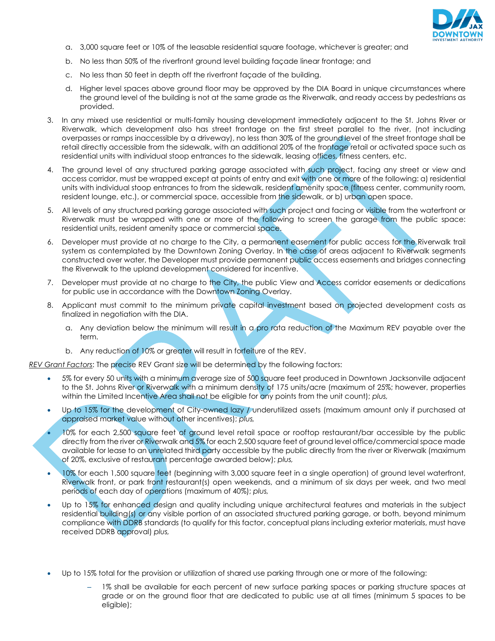

- a. 3,000 square feet or 10% of the leasable residential square footage, whichever is greater; and
- b. No less than 50% of the riverfront ground level building façade linear frontage; and
- c. No less than 50 feet in depth off the riverfront façade of the building.
- d. Higher level spaces above ground floor may be approved by the DIA Board in unique circumstances where the ground level of the building is not at the same grade as the Riverwalk, and ready access by pedestrians as provided.
- 3. In any mixed use residential or multi-family housing development immediately adjacent to the St. Johns River or Riverwalk, which development also has street frontage on the first street parallel to the river, (not including overpasses or ramps inaccessible by a driveway), no less than 30% of the ground level of the street frontage shall be retail directly accessible from the sidewalk, with an additional 20% of the frontage retail or activated space such as residential units with individual stoop entrances to the sidewalk, leasing offices, fitness centers, etc.
- 4. The ground level of any structured parking garage associated with such project, facing any street or view and access corridor, must be wrapped except at points of entry and exit with one or more of the following: a) residential units with individual stoop entrances to from the sidewalk, resident amenity space (fitness center, community room, resident lounge, etc.), or commercial space, accessible from the sidewalk, or b) urban open space.
- 5. All levels of any structured parking garage associated with such project and facing or visible from the waterfront or Riverwalk must be wrapped with one or more of the following to screen the garage from the public space: residential units, resident amenity space or commercial space.
- 6. Developer must provide at no charge to the City, a permanent easement for public access for the Riverwalk trail system as contemplated by the Downtown Zoning Overlay. In the case of areas adjacent to Riverwalk segments constructed over water, the Developer must provide permanent public access easements and bridges connecting the Riverwalk to the upland development considered for incentive.
- 7. Developer must provide at no charge to the City, the public View and Access corridor easements or dedications for public use in accordance with the Downtown Zoning Overlay.
- 8. Applicant must commit to the minimum private capital investment based on projected development costs as finalized in negotiation with the DIA.
	- a. Any deviation below the minimum will result in a pro rata reduction of the Maximum REV payable over the term.
	- b. Any reduction of 10% or greater will result in forfeiture of the REV.

*REV Grant Factors*: The precise REV Grant size will be determined by the following factors:

- 5% for every 50 units with a minimum average size of 500 square feet produced in Downtown Jacksonville adjacent to the St. Johns River or Riverwalk with a minimum density of 175 units/acre (maximum of 25%; however, properties within the Limited Incentive Area shall not be eligible for any points from the unit count); *plus,*
- Up to 15% for the development of City-owned lazy / underutilized assets (maximum amount only if purchased at appraised market value without other incentives); *plus,*
- 10% for each 2,500 square feet of ground level retail space or rooftop restaurant/bar accessible by the public directly from the river or Riverwalk and 5% for each 2,500 square feet of ground level office/commercial space made available for lease to an unrelated third party accessible by the public directly from the river or Riverwalk (maximum of 20%, exclusive of restaurant percentage awarded below); *plus,*
- 10% for each 1,500 square feet (beginning with 3,000 square feet in a single operation) of ground level waterfront, Riverwalk front, or park front restaurant(s) open weekends, and a minimum of six days per week, and two meal periods of each day of operations (maximum of 40%); *plus,*
- Up to 15% for enhanced design and quality including unique architectural features and materials in the subject residential building(s) or any visible portion of an associated structured parking garage, or both, beyond minimum compliance with DDRB standards (to qualify for this factor, conceptual plans including exterior materials, must have received DDRB approval) *plus,*
- Up to 15% total for the provision or utilization of shared use parking through one or more of the following:
	- 1% shall be available for each percent of new surface parking spaces or parking structure spaces at grade or on the ground floor that are dedicated to public use at all times (minimum 5 spaces to be eligible);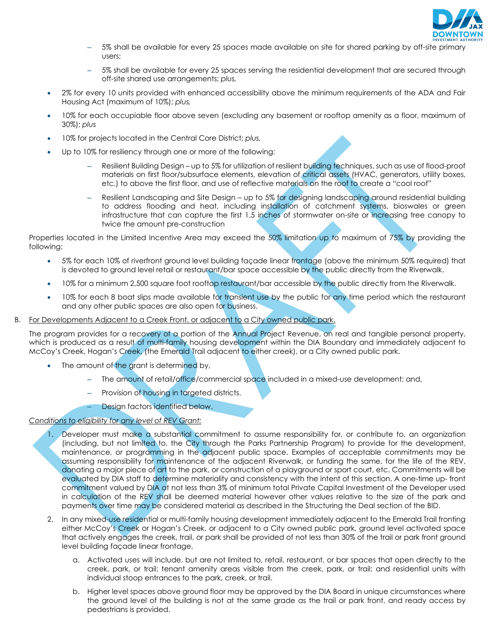

- 5% shall be available for every 25 spaces made available on site for shared parking by off-site primary users;
- 5% shall be available for every 25 spaces serving the residential development that are secured through off-site shared use arrangements; *plus,*
- 2% for every 10 units provided with enhanced accessibility above the minimum requirements of the ADA and Fair Housing Act (maximum of 10%); *plus,*
- 10% for each occupiable floor above seven (excluding any basement or rooftop amenity as a floor, maximum of 30%); *plus*
- 10% for projects located in the Central Core District; *plus,*
- Up to 10% for resiliency through one or more of the following:
	- Resilient Building Design up to 5% for utilization of resilient building techniques, such as use of flood-proof materials on first floor/subsurface elements, elevation of critical assets (HVAC, generators, utility boxes, etc.) to above the first floor, and use of reflective materials on the roof to create a "cool roof"
	- Resilient Landscaping and Site Design up to 5% for designing landscaping around residential building to address flooding and heat, including installation of catchment systems, bioswales or green infrastructure that can capture the first 1.5 inches of stormwater on-site or increasing tree canopy to twice the amount pre-construction

Properties located in the Limited Incentive Area may exceed the 50% limitation up to maximum of 75% by providing the following:

- 5% for each 10% of riverfront ground level building façade linear frontage (above the minimum 50% required) that is devoted to ground level retail or restaurant/bar space accessible by the public directly from the Riverwalk.
- 10% for a minimum 2,500 square foot rooftop restaurant/bar accessible by the public directly from the Riverwalk.
- 10% for each 8 boat slips made available for transient use by the public for any time period which the restaurant and any other public spaces are also open for business.
- B. For Developments Adjacent to a Creek Front, or adjacent to a City owned public park.

The program provides for a recovery of a portion of the Annual Project Revenue, on real and tangible personal property, which is produced as a result of multi-family housing development within the DIA Boundary and immediately adjacent to McCoy's Creek, Hogan's Creek, (the Emerald Trail adjacent to either creek), or a City owned public park.

- The amount of the grant is determined by,
	- The amount of retail/office/commercial space included in a mixed-use development; and,
	- Provision of housing in targeted districts.
	- Design factors identified below.

#### *Conditions to eligibility for any level of REV Grant:*

- 1. Developer must make a substantial commitment to assume responsibility for, or contribute to, an organization (including, but not limited to, the City through the Parks Partnership Program) to provide for the development, maintenance, or programming in the adjacent public space. Examples of acceptable commitments may be assuming responsibility for maintenance of the adjacent Riverwalk, or funding the same, for the life of the REV, donating a major piece of art to the park, or construction of a playground or sport court, etc. Commitments will be evaluated by DIA staff to determine materiality and consistency with the intent of this section. A one-time up- front commitment valued by DIA at not less than 3% of minimum total Private Capital Investment of the Developer used in calculation of the REV shall be deemed material however other values relative to the size of the park and payments over time may be considered material as described in the Structuring the Deal section of the BID.
- 2. In any mixed-use residential or multi-family housing development immediately adjacent to the Emerald Trail fronting either McCoy's Creek or Hogan's Creek, or adjacent to a City owned public park, ground level activated space that actively engages the creek, trail, or park shall be provided of not less than 30% of the trail or park front ground level building façade linear frontage.
	- a. Activated uses will include, but are not limited to, retail, restaurant, or bar spaces that open directly to the creek, park, or trail; tenant amenity areas visible from the creek, park, or trail; and residential units with individual stoop entrances to the park, creek, or trail.
	- b. Higher level spaces above ground floor may be approved by the DIA Board in unique circumstances where the ground level of the building is not at the same grade as the trail or park front, and ready access by pedestrians is provided.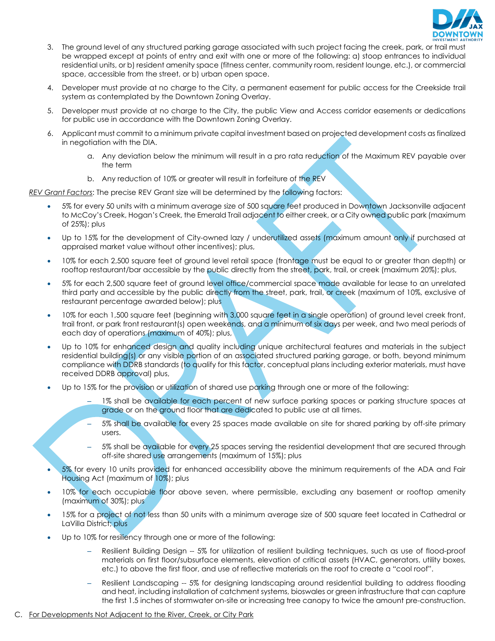

- 3. The ground level of any structured parking garage associated with such project facing the creek, park, or trail must be wrapped except at points of entry and exit with one or more of the following: a) stoop entrances to individual residential units, or b) resident amenity space (fitness center, community room, resident lounge, etc.), or commercial space, accessible from the street, or b) urban open space.
- 4. Developer must provide at no charge to the City, a permanent easement for public access for the Creekside trail system as contemplated by the Downtown Zoning Overlay.
- 5. Developer must provide at no charge to the City, the public View and Access corridor easements or dedications for public use in accordance with the Downtown Zoning Overlay.
- 6. Applicant must commit to a minimum private capital investment based on projected development costs as finalized in negotiation with the DIA.
	- a. Any deviation below the minimum will result in a pro rata reduction of the Maximum REV payable over the term
	- b. Any reduction of 10% or greater will result in forfeiture of the REV

*REV Grant Factors*: The precise REV Grant size will be determined by the following factors:

- 5% for every 50 units with a minimum average size of 500 square feet produced in Downtown Jacksonville adjacent to McCoy's Creek, Hogan's Creek, the Emerald Trail adjacent to either creek, or a City owned public park (maximum of 25%); plus
- Up to 15% for the development of City-owned lazy / underutilized assets (maximum amount only if purchased at appraised market value without other incentives); plus,
- 10% for each 2,500 square feet of ground level retail space (frontage must be equal to or greater than depth) or rooftop restaurant/bar accessible by the public directly from the street, park, trail, or creek (maximum 20%); plus,
- 5% for each 2,500 square feet of ground level office/commercial space made available for lease to an unrelated third party and accessible by the public directly from the street, park, trail, or creek (maximum of 10%, exclusive of restaurant percentage awarded below); plus
- 10% for each 1,500 square feet (beginning with 3,000 square feet in a single operation) of ground level creek front, trail front, or park front restaurant(s) open weekends, and a minimum of six days per week, and two meal periods of each day of operations (maximum of 40%); plus,
- Up to 10% for enhanced design and quality including unique architectural features and materials in the subject residential building(s) or any visible portion of an associated structured parking garage, or both, beyond minimum compliance with DDRB standards (to qualify for this factor, conceptual plans including exterior materials, must have received DDRB approval) plus,
- Up to 15% for the provision or utilization of shared use parking through one or more of the following:
	- 1% shall be available for each percent of new surface parking spaces or parking structure spaces at grade or on the ground floor that are dedicated to public use at all times.
	- 5% shall be available for every 25 spaces made available on site for shared parking by off-site primary users.
	- 5% shall be available for every 25 spaces serving the residential development that are secured through off-site shared use arrangements (maximum of 15%); plus
- 5% for every 10 units provided for enhanced accessibility above the minimum requirements of the ADA and Fair Housing Act (maximum of 10%); plus
- 10% for each occupiable floor above seven, where permissible, excluding any basement or rooftop amenity (maximum of 30%); plus
- 15% for a project of not less than 50 units with a minimum average size of 500 square feet located in Cathedral or LaVilla District; plus
- Up to 10% for resiliency through one or more of the following:
	- Resilient Building Design -- 5% for utilization of resilient building techniques, such as use of flood-proof materials on first floor/subsurface elements, elevation of critical assets (HVAC, generators, utility boxes, etc.) to above the first floor, and use of reflective materials on the roof to create a "cool roof".
	- Resilient Landscaping -- 5% for designing landscaping around residential building to address flooding and heat, including installation of catchment systems, bioswales or green infrastructure that can capture the first 1.5 inches of stormwater on-site or increasing tree canopy to twice the amount pre-construction.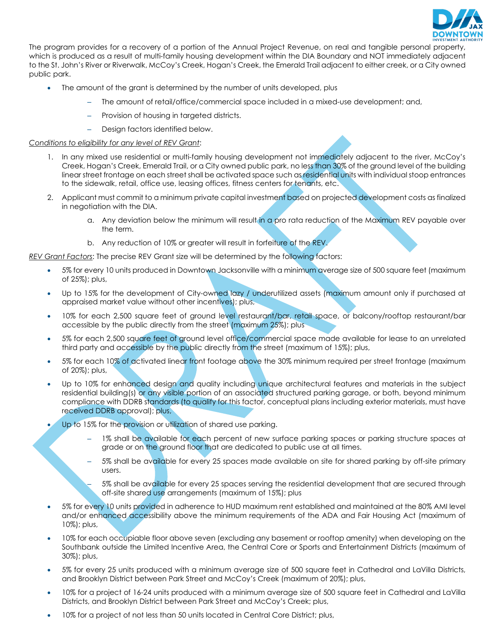

The program provides for a recovery of a portion of the Annual Project Revenue, on real and tangible personal property, which is produced as a result of multi-family housing development within the DIA Boundary and NOT immediately adjacent to the St. John's River or Riverwalk, McCoy's Creek, Hogan's Creek, the Emerald Trail adjacent to either creek, or a City owned public park.

- The amount of the grant is determined by the number of units developed, plus
	- The amount of retail/office/commercial space included in a mixed-use development; and,
	- Provision of housing in targeted districts.
	- Design factors identified below.

#### *Conditions to eligibility for any level of REV Grant*:

- 1. In any mixed use residential or multi-family housing development not immediately adjacent to the river, McCoy's Creek, Hogan's Creek, Emerald Trail, or a City owned public park, no less than 30% of the ground level of the building linear street frontage on each street shall be activated space such as residential units with individual stoop entrances to the sidewalk, retail, office use, leasing offices, fitness centers for tenants, etc.
- 2. Applicant must commit to a minimum private capital investment based on projected development costs as finalized in negotiation with the DIA.
	- a. Any deviation below the minimum will result in a pro rata reduction of the Maximum REV payable over the term.
	- b. Any reduction of 10% or greater will result in forfeiture of the REV.

*REV Grant Factors*: The precise REV Grant size will be determined by the following factors:

- 5% for every 10 units produced in Downtown Jacksonville with a minimum average size of 500 square feet (maximum of 25%); plus,
- Up to 15% for the development of City-owned lazy / underutilized assets (maximum amount only if purchased at appraised market value without other incentives); plus,
- 10% for each 2,500 square feet of ground level restaurant/bar, retail space, or balcony/rooftop restaurant/bar accessible by the public directly from the street (maximum 25%); plus
- 5% for each 2,500 square feet of ground level office/commercial space made available for lease to an unrelated third party and accessible by the public directly from the street (maximum of 15%); plus,
- 5% for each 10% of activated linear front footage above the 30% minimum required per street frontage (maximum of 20%); plus,
- Up to 10% for enhanced design and quality including unique architectural features and materials in the subject residential building(s) or any visible portion of an associated structured parking garage, or both, beyond minimum compliance with DDRB standards (to qualify for this factor, conceptual plans including exterior materials, must have received DDRB approval); plus,
- Up to 15% for the provision or utilization of shared use parking.
	- 1% shall be available for each percent of new surface parking spaces or parking structure spaces at grade or on the ground floor that are dedicated to public use at all times.
	- 5% shall be available for every 25 spaces made available on site for shared parking by off-site primary users.

– 5% shall be available for every 25 spaces serving the residential development that are secured through off-site shared use arrangements (maximum of 15%); plus

- 5% for every 10 units provided in adherence to HUD maximum rent established and maintained at the 80% AMI level and/or enhanced accessibility above the minimum requirements of the ADA and Fair Housing Act (maximum of 10%); plus,
- 10% for each occupiable floor above seven (excluding any basement or rooftop amenity) when developing on the Southbank outside the Limited Incentive Area, the Central Core or Sports and Entertainment Districts (maximum of 30%); plus,
- 5% for every 25 units produced with a minimum average size of 500 square feet in Cathedral and LaVilla Districts, and Brooklyn District between Park Street and McCoy's Creek (maximum of 20%); plus,
- 10% for a project of 16-24 units produced with a minimum average size of 500 square feet in Cathedral and LaVilla Districts, and Brooklyn District between Park Street and McCoy's Creek; plus,
- 10% for a project of not less than 50 units located in Central Core District; plus,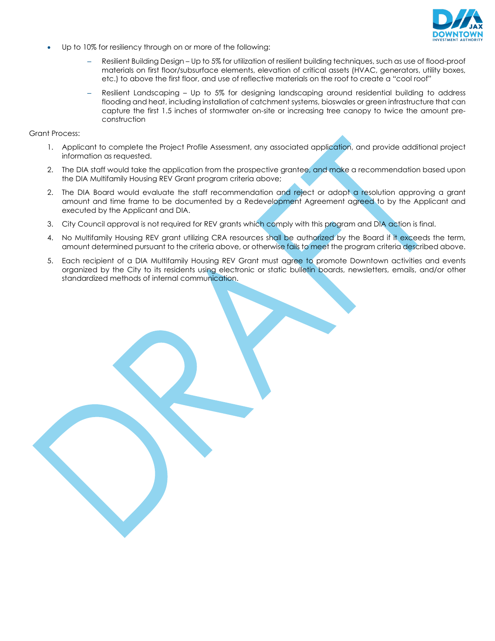

- Up to 10% for resiliency through on or more of the following:
	- Resilient Building Design Up to 5% for utilization of resilient building techniques, such as use of flood-proof materials on first floor/subsurface elements, elevation of critical assets (HVAC, generators, utility boxes, etc.) to above the first floor, and use of reflective materials on the roof to create a "cool roof"
	- Resilient Landscaping Up to 5% for designing landscaping around residential building to address flooding and heat, including installation of catchment systems, bioswales or green infrastructure that can capture the first 1.5 inches of stormwater on-site or increasing tree canopy to twice the amount preconstruction

Grant Process:

- 1. Applicant to complete the Project Profile Assessment, any associated application, and provide additional project information as requested.
- 2. The DIA staff would take the application from the prospective grantee, and make a recommendation based upon the DIA Multifamily Housing REV Grant program criteria above;
- 2. The DIA Board would evaluate the staff recommendation and reject or adopt a resolution approving a grant amount and time frame to be documented by a Redevelopment Agreement agreed to by the Applicant and executed by the Applicant and DIA.
- 3. City Council approval is not required for REV grants which comply with this program and DIA action is final.
- 4. No Multifamily Housing REV grant utilizing CRA resources shall be authorized by the Board if it exceeds the term, amount determined pursuant to the criteria above, or otherwise fails to meet the program criteria described above.
- 5. Each recipient of a DIA Multifamily Housing REV Grant must agree to promote Downtown activities and events organized by the City to its residents using electronic or static bulletin boards, newsletters, emails, and/or other standardized methods of internal communication.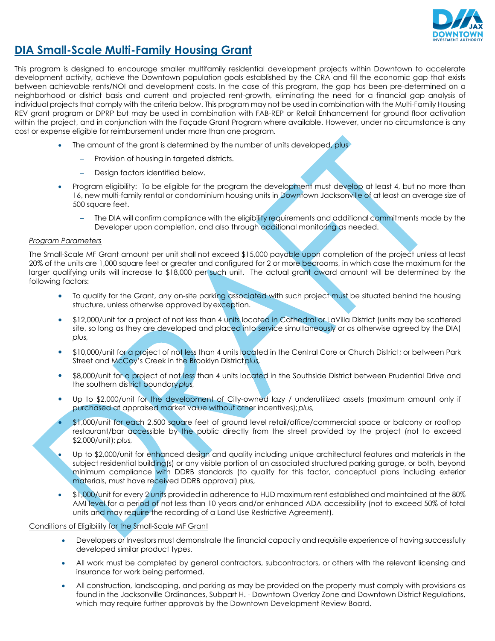

### **DIA Small-Scale Multi-Family Housing Grant**

This program is designed to encourage smaller multifamily residential development projects within Downtown to accelerate development activity, achieve the Downtown population goals established by the CRA and fill the economic gap that exists between achievable rents/NOI and development costs. In the case of this program, the gap has been pre-determined on a neighborhood or district basis and current and projected rent-growth, eliminating the need for a financial gap analysis of individual projects that comply with the criteria below. This program may not be used in combination with the Multi-Family Housing REV grant program or DPRP but may be used in combination with FAB-REP or Retail Enhancement for ground floor activation within the project, and in conjunction with the Façade Grant Program where available. However, under no circumstance is any cost or expense eligible for reimbursement under more than one program.

- The amount of the grant is determined by the number of units developed, plus
	- Provision of housing in targeted districts.
	- Design factors identified below.
- Program eligibility: To be eligible for the program the development must develop at least 4, but no more than 16, new multi-family rental or condominium housing units in Downtown Jacksonville of at least an average size of 500 square feet.
	- The DIA will confirm compliance with the eligibility requirements and additional commitments made by the Developer upon completion, and also through additional monitoring as needed.

#### *Program Parameters*

The Small-Scale MF Grant amount per unit shall not exceed \$15,000 payable upon completion of the project unless at least 20% of the units are 1,000 square feet or greater and configured for 2 or more bedrooms, in which case the maximum for the larger qualifying units will increase to \$18,000 per such unit. The actual grant award amount will be determined by the following factors:

- To qualify for the Grant, any on-site parking associated with such project must be situated behind the housing structure, unless otherwise approved by exception.
- \$12,000/unit for a project of not less than 4 units located in Cathedral or LaVilla District (units may be scattered site, so long as they are developed and placed into service simultaneously or as otherwise agreed by the DIA) *plus,*
- \$10,000/unit for a project of not less than 4 units located in the Central Core or Church District; or between Park Street and McCoy's Creek in the Brooklyn District*plus,*
- \$8,000/unit for a project of not less than 4 units located in the Southside District between Prudential Drive and the southern district boundary*plus,*
- Up to \$2,000/unit for the development of City-owned lazy / underutilized assets (maximum amount only if purchased at appraised market value without other incentives);*plus,*
- \$1,000/unit for each 2,500 square feet of ground level retail/office/commercial space or balcony or rooftop restaurant/bar accessible by the public directly from the street provided by the project (not to exceed \$2,000/unit); *plus,*
- Up to \$2,000/unit for enhanced design and quality including unique architectural features and materials in the subject residential building(s) or any visible portion of an associated structured parking garage, or both, beyond minimum compliance with DDRB standards (to qualify for this factor, conceptual plans including exterior materials, must have received DDRB approval) plus,
- \$1,000/unit for every 2 units provided in adherence to HUD maximum rent established and maintained at the 80% AMI level for a period of not less than 10 years and/or enhanced ADA accessibility (not to exceed 50% of total units and may require the recording of a Land Use Restrictive Agreement).

#### Conditions of Eligibility for the Small-Scale MF Grant

- Developers or Investors must demonstrate the financial capacity and requisite experience of having successfully developed similar product types.
- All work must be completed by general contractors, subcontractors, or others with the relevant licensing and insurance for work being performed.
- All construction, landscaping, and parking as may be provided on the property must comply with provisions as found in the Jacksonville Ordinances, Subpart H. - Downtown Overlay Zone and Downtown District Regulations, which may require further approvals by the Downtown Development Review Board.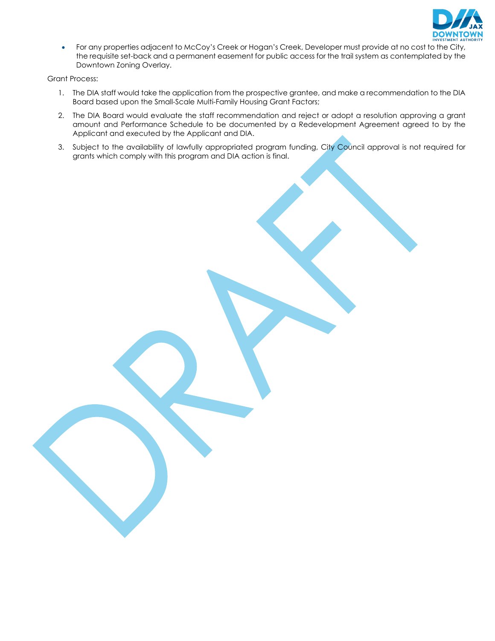

• For any properties adjacent to McCoy's Creek or Hogan's Creek, Developer must provide at no cost to the City, the requisite set-back and a permanent easement for public access for the trail system as contemplated by the Downtown Zoning Overlay.

Grant Process:

- 1. The DIA staff would take the application from the prospective grantee, and make a recommendation to the DIA Board based upon the Small-Scale Multi-Family Housing Grant Factors;
- 2. The DIA Board would evaluate the staff recommendation and reject or adopt a resolution approving a grant amount and Performance Schedule to be documented by a Redevelopment Agreement agreed to by the Applicant and executed by the Applicant and DIA.
- 3. Subject to the availability of lawfully appropriated program funding, City Council approval is not required for grants which comply with this program and DIA action is final.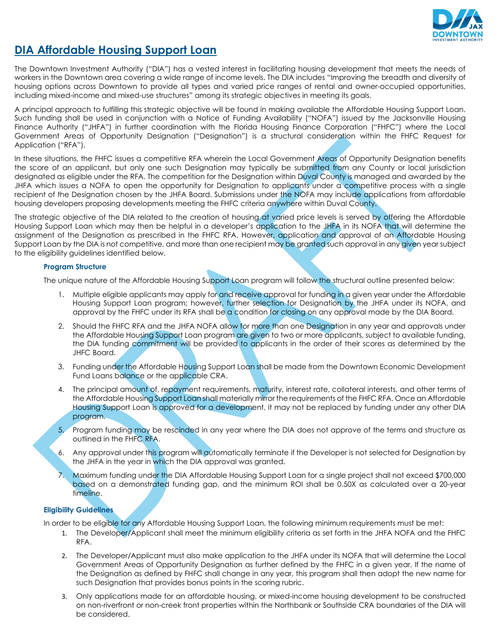

### **DIA Affordable Housing Support Loan**

The Downtown Investment Authority ("DIA") has a vested interest in facilitating housing development that meets the needs of workers in the Downtown area covering a wide range of income levels. The DIA includes "Improving the breadth and diversity of housing options across Downtown to provide all types and varied price ranges of rental and owner-occupied opportunities, including mixed-income and mixed-use structures" among its strategic objectives in meeting its goals.

A principal approach to fulfilling this strategic objective will be found in making available the Affordable Housing Support Loan. Such funding shall be used in conjunction with a Notice of Funding Availability ("NOFA") issued by the Jacksonville Housing Finance Authority ("JHFA") in further coordination with the Florida Housing Finance Corporation ("FHFC") where the Local Government Areas of Opportunity Designation ("Designation") is a structural consideration within the FHFC Request for Application ("RFA").

In these situations, the FHFC issues a competitive RFA wherein the Local Government Areas of Opportunity Designation benefits the score of an applicant, but only one such Designation may typically be submitted from any County or local jurisdiction designated as eligible under the RFA. The competition for the Designation within Duval County is managed and awarded by the JHFA which issues a NOFA to open the opportunity for Designation to applicants under a competitive process with a single recipient of the Designation chosen by the JHFA Board. Submissions under the NOFA may include applications from affordable housing developers proposing developments meeting the FHFC criteria anywhere within Duval County.

The strategic objective of the DIA related to the creation of housing at varied price levels is served by offering the Affordable Housing Support Loan which may then be helpful in a developer's application to the JHFA in its NOFA that will determine the assignment of the Designation as prescribed in the FHFC RFA. However, application and approval of an Affordable Housing Support Loan by the DIA is not competitive, and more than one recipient may be granted such approval in any given year subject to the eligibility guidelines identified below.

#### **Program Structure**

The unique nature of the Affordable Housing Support Loan program will follow the structural outline presented below:

- 1. Multiple eligible applicants may apply for and receive approval for funding in a given year under the Affordable Housing Support Loan program; however, further selection for Designation by the JHFA under its NOFA, and approval by the FHFC under its RFA shall be a condition for closing on any approval made by the DIA Board.
- 2. Should the FHFC RFA and the JHFA NOFA allow for more than one Designation in any year and approvals under the Affordable Housing Support Loan program are given to two or more applicants, subject to available funding, the DIA funding commitment will be provided to applicants in the order of their scores as determined by the JHFC Board.
- 3. Funding under the Affordable Housing Support Loan shall be made from the Downtown Economic Development Fund Loans balance or the applicable CRA.
- 4. The principal amount of, repayment requirements, maturity, interest rate, collateral interests, and other terms of the Affordable Housing Support Loan shall materially mirror the requirements of the FHFC RFA. Once an Affordable Housing Support Loan is approved for a development, it may not be replaced by funding under any other DIA program.
- 5. Program funding may be rescinded in any year where the DIA does not approve of the terms and structure as outlined in the FHFC RFA.
- 6. Any approval under this program will automatically terminate if the Developer is not selected for Designation by the JHFA in the year in which the DIA approval was granted.
- 7. Maximum funding under the DIA Affordable Housing Support Loan for a single project shall not exceed \$700,000 based on a demonstrated funding gap, and the minimum ROI shall be 0.50X as calculated over a 20-year timeline.

#### **Eligibility Guidelines**

In order to be eligible for any Affordable Housing Support Loan, the following minimum requirements must be met:

- 1. The Developer/Applicant shall meet the minimum eligibility criteria as set forth in the JHFA NOFA and the FHFC RFA.
- 2. The Developer/Applicant must also make application to the JHFA under its NOFA that will determine the Local Government Areas of Opportunity Designation as further defined by the FHFC in a given year. If the name of the Designation as defined by FHFC shall change in any year, this program shall then adopt the new name for such Designation that provides bonus points in the scoring rubric.
- 3. Only applications made for an affordable housing, or mixed-income housing development to be constructed on non-riverfront or non-creek front properties within the Northbank or Southside CRA boundaries of the DIA will be considered.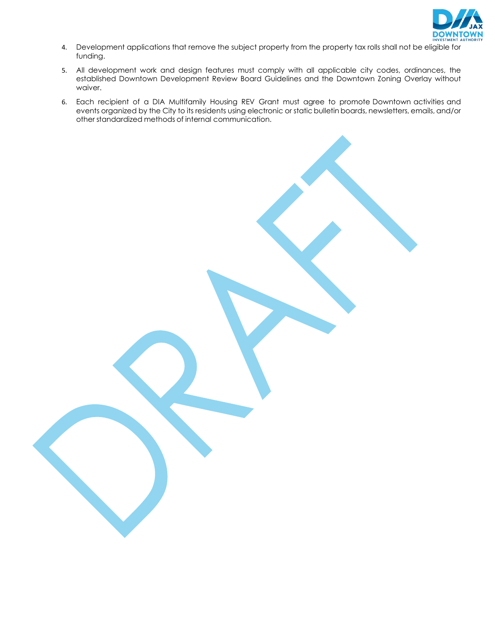

- 4. Development applications that remove the subject property from the property tax rolls shall not be eligible for funding.
- 5. All development work and design features must comply with all applicable city codes, ordinances, the established Downtown Development Review Board Guidelines and the Downtown Zoning Overlay without waiver.
- 6. Each recipient of a DIA Multifamily Housing REV Grant must agree to promote Downtown activities and events organized by the City to its residents using electronic or static bulletin boards, newsletters, emails, and/or other standardized methods of internal communication.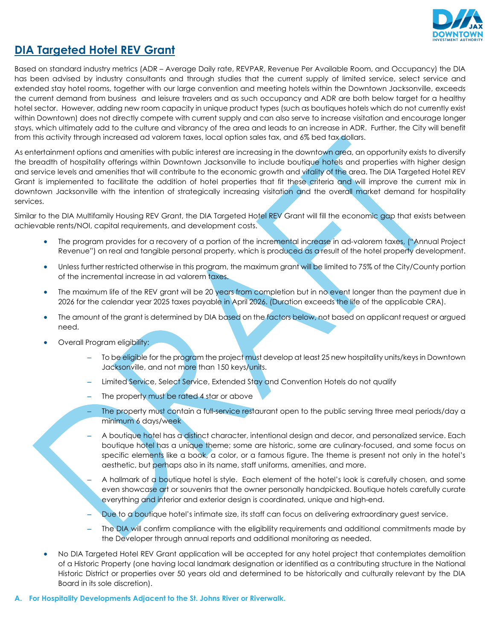

### **DIA Targeted Hotel REV Grant**

Based on standard industry metrics (ADR – Average Daily rate, REVPAR, Revenue Per Available Room, and Occupancy) the DIA has been advised by industry consultants and through studies that the current supply of limited service, select service and extended stay hotel rooms, together with our large convention and meeting hotels within the Downtown Jacksonville, exceeds the current demand from business and leisure travelers and as such occupancy and ADR are both below target for a healthy hotel sector. However, adding new room capacity in unique product types (such as boutiques hotels which do not currently exist within Downtown) does not directly compete with current supply and can also serve to increase visitation and encourage longer stays, which ultimately add to the culture and vibrancy of the area and leads to an increase in ADR. Further, the City will benefit from this activity through increased ad valorem taxes, local option sales tax, and 6% bed tax dollars.

As entertainment options and amenities with public interest are increasing in the downtown area, an opportunity exists to diversify the breadth of hospitality offerings within Downtown Jacksonville to include boutique hotels and properties with higher design and service levels and amenities that will contribute to the economic growth and vitality of the area. The DIA Targeted Hotel REV Grant is implemented to facilitate the addition of hotel properties that fit these criteria and will improve the current mix in downtown Jacksonville with the intention of strategically increasing visitation and the overall market demand for hospitality services.

Similar to the DIA Multifamily Housing REV Grant, the DIA Targeted Hotel REV Grant will fill the economic gap that exists between achievable rents/NOI, capital requirements, and development costs.

- The program provides for a recovery of a portion of the incremental increase in ad-valorem taxes, ("Annual Project Revenue") on real and tangible personal property, which is produced as a result of the hotel property development.
- Unless further restricted otherwise in this program, the maximum grant will be limited to 75% of the City/County portion of the incremental increase in ad valorem taxes.
- The maximum life of the REV grant will be 20 years from completion but in no event longer than the payment due in 2026 for the calendar year 2025 taxes payable in April 2026. (Duration exceeds the life of the applicable CRA).
- The amount of the grant is determined by DIA based on the factors below, not based on applicant request or argued need.
- Overall Program eligibility:
	- To be eligible for the program the project must develop at least 25 new hospitality units/keys in Downtown Jacksonville, and not more than 150 keys/units.
	- Limited Service, Select Service, Extended Stay and Convention Hotels do not qualify
	- The property must be rated 4 star or above
	- The property must contain a full-service restaurant open to the public serving three meal periods/day a minimum 6 days/week
	- A boutique hotel has a distinct character, intentional design and decor, and personalized service. Each boutique hotel has a unique theme; some are historic, some are culinary-focused, and some focus on specific elements like a book, a color, or a famous figure. The theme is present not only in the hotel's aesthetic, but perhaps also in its name, staff uniforms, amenities, and more.

– A hallmark of a boutique hotel is style. Each element of the hotel's look is carefully chosen, and some even showcase art or souvenirs that the owner personally handpicked. Boutique hotels carefully curate everything and interior and exterior design is coordinated, unique and high-end.

- Due to a boutique hotel's intimate size, its staff can focus on delivering extraordinary guest service.
- The DIA will confirm compliance with the eligibility requirements and additional commitments made by the Developer through annual reports and additional monitoring as needed.
- No DIA Targeted Hotel REV Grant application will be accepted for any hotel project that contemplates demolition of a Historic Property (one having local landmark designation or identified as a contributing structure in the National Historic District or properties over 50 years old and determined to be historically and culturally relevant by the DIA Board in its sole discretion).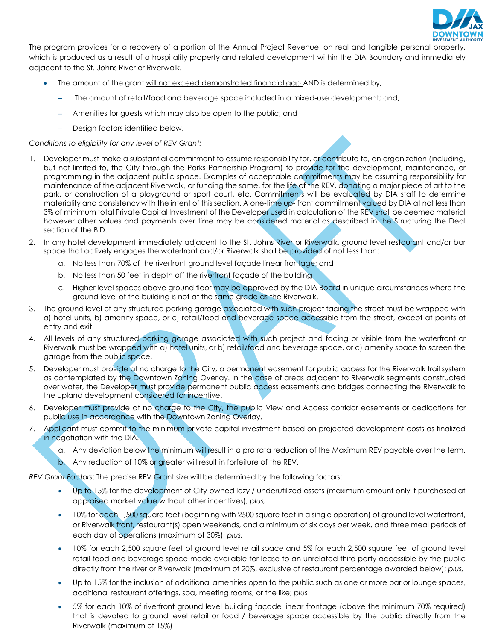

The program provides for a recovery of a portion of the Annual Project Revenue, on real and tangible personal property, which is produced as a result of a hospitality property and related development within the DIA Boundary and immediately adjacent to the St. Johns River or Riverwalk.

- The amount of the grant will not exceed demonstrated financial gap AND is determined by,
	- The amount of retail/food and beverage space included in a mixed-use development; and,
	- Amenities for guests which may also be open to the public; and
	- Design factors identified below.

#### *Conditions to eligibility for any level of REV Grant:*

- 1. Developer must make a substantial commitment to assume responsibility for, or contribute to, an organization (including, but not limited to, the City through the Parks Partnership Program) to provide for the development, maintenance, or programming in the adjacent public space. Examples of acceptable commitments may be assuming responsibility for maintenance of the adjacent Riverwalk, or funding the same, for the life of the REV, donating a major piece of art to the park, or construction of a playground or sport court, etc. Commitments will be evaluated by DIA staff to determine materiality and consistency with the intent of this section. A one-time up-front commitment valued by DIA at not less than 3% of minimum total Private Capital Investment of the Developer used in calculation of the REV shall be deemed material however other values and payments over time may be considered material as described in the Structuring the Deal section of the BID.
- 2. In any hotel development immediately adjacent to the St. Johns River or Riverwalk, ground level restaurant and/or bar space that actively engages the waterfront and/or Riverwalk shall be provided of not less than:
	- a. No less than 70% of the riverfront ground level façade linear frontage; and
	- b. No less than 50 feet in depth off the riverfront façade of the building
	- c. Higher level spaces above ground floor may be approved by the DIA Board in unique circumstances where the ground level of the building is not at the same grade as the Riverwalk.
- 3. The ground level of any structured parking garage associated with such project facing the street must be wrapped with a) hotel units, b) amenity space, or c) retail/food and beverage space accessible from the street, except at points of entry and exit.
- 4. All levels of any structured parking garage associated with such project and facing or visible from the waterfront or Riverwalk must be wrapped with a) hotel units, or b) retail/food and beverage space, or c) amenity space to screen the garage from the public space.
- 5. Developer must provide at no charge to the City, a permanent easement for public access for the Riverwalk trail system as contemplated by the Downtown Zoning Overlay. In the case of areas adjacent to Riverwalk segments constructed over water, the Developer must provide permanent public access easements and bridges connecting the Riverwalk to the upland development considered for incentive.
- 6. Developer must provide at no charge to the City, the public View and Access corridor easements or dedications for public use in accordance with the Downtown Zoning Overlay.
- 7. Applicant must commit to the minimum private capital investment based on projected development costs as finalized in negotiation with the DIA.
	- a. Any deviation below the minimum will result in a pro rata reduction of the Maximum REV payable over the term.
	- b. Any reduction of 10% or greater will result in forfeiture of the REV.

*REV Grant Factors*: The precise REV Grant size will be determined by the following factors:

- Up to 15% for the development of City-owned lazy / underutilized assets (maximum amount only if purchased at appraised market value without other incentives); *plus,*
- 10% for each 1,500 square feet (beginning with 2500 square feet in a single operation) of ground level waterfront, or Riverwalk front, restaurant(s) open weekends, and a minimum of six days per week, and three meal periods of each day of operations (maximum of 30%); *plus,*
- 10% for each 2,500 square feet of ground level retail space and 5% for each 2,500 square feet of ground level retail food and beverage space made available for lease to an unrelated third party accessible by the public directly from the river or Riverwalk (maximum of 20%, exclusive of restaurant percentage awarded below); *plus,*
- Up to 15% for the inclusion of additional amenities open to the public such as one or more bar or lounge spaces, additional restaurant offerings, spa, meeting rooms, or the like; *plus*
- 5% for each 10% of riverfront ground level building façade linear frontage (above the minimum 70% required) that is devoted to ground level retail or food / beverage space accessible by the public directly from the Riverwalk (maximum of 15%)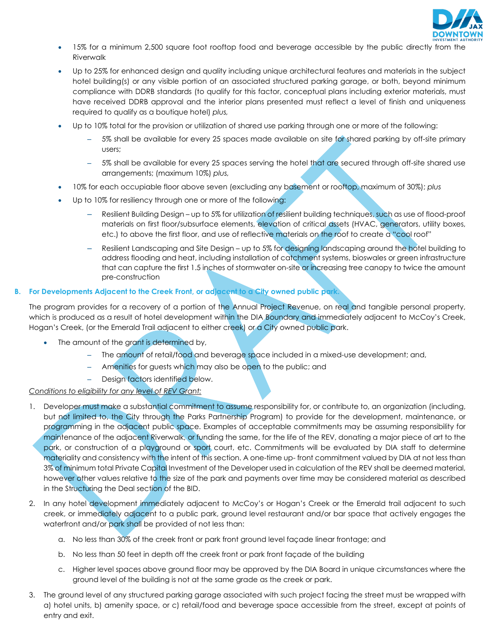

- 15% for a minimum 2,500 square foot rooftop food and beverage accessible by the public directly from the Riverwalk
- Up to 25% for enhanced design and quality including unique architectural features and materials in the subject hotel building(s) or any visible portion of an associated structured parking garage, or both, beyond minimum compliance with DDRB standards (to qualify for this factor, conceptual plans including exterior materials, must have received DDRB approval and the interior plans presented must reflect a level of finish and uniqueness required to qualify as a boutique hotel) *plus,*
- Up to 10% total for the provision or utilization of shared use parking through one or more of the following:
	- 5% shall be available for every 25 spaces made available on site for shared parking by off-site primary users;
	- 5% shall be available for every 25 spaces serving the hotel that are secured through off-site shared use arrangements; (maximum 10%) *plus,*
- 10% for each occupiable floor above seven (excluding any basement or rooftop, maximum of 30%); *plus*
- Up to 10% for resiliency through one or more of the following:
	- Resilient Building Design up to 5% for utilization of resilient building techniques, such as use of flood-proof materials on first floor/subsurface elements, elevation of critical assets (HVAC, generators, utility boxes, etc.) to above the first floor, and use of reflective materials on the roof to create a "cool roof"
	- Resilient Landscaping and Site Design up to 5% for designing landscaping around the hotel building to address flooding and heat, including installation of catchment systems, bioswales or green infrastructure that can capture the first 1.5 inches of stormwater on-site or increasing tree canopy to twice the amount pre-construction

### **B. For Developments Adjacent to the Creek Front, or adjacent to a City owned public park.**

The program provides for a recovery of a portion of the Annual Project Revenue, on real and tangible personal property, which is produced as a result of hotel development within the DIA Boundary and immediately adjacent to McCoy's Creek, Hogan's Creek, (or the Emerald Trail adjacent to either creek) or a City owned public park.

- The amount of the grant is determined by,
	- The amount of retail/food and beverage space included in a mixed-use development; and,
	- Amenities for guests which may also be open to the public; and
	- Design factors identified below.

### *Conditions to eligibility for any level of REV Grant:*

- 1. Developer must make a substantial commitment to assume responsibility for, or contribute to, an organization (including, but not limited to, the City through the Parks Partnership Program) to provide for the development, maintenance, or programming in the adjacent public space. Examples of acceptable commitments may be assuming responsibility for maintenance of the adjacent Riverwalk, or funding the same, for the life of the REV, donating a major piece of art to the park, or construction of a playground or sport court, etc. Commitments will be evaluated by DIA staff to determine materiality and consistency with the intent of this section. A one-time up-front commitment valued by DIA at not less than 3% of minimum total Private Capital Investment of the Developer used in calculation of the REV shall be deemed material, however other values relative to the size of the park and payments over time may be considered material as described in the Structuring the Deal section of the BID.
- 2. In any hotel development immediately adjacent to McCoy's or Hogan's Creek or the Emerald trail adjacent to such creek, or immediately adjacent to a public park, ground level restaurant and/or bar space that actively engages the waterfront and/or park shall be provided of not less than:
	- a. No less than 30% of the creek front or park front ground level façade linear frontage; and
	- b. No less than 50 feet in depth off the creek front or park front façade of the building
	- c. Higher level spaces above ground floor may be approved by the DIA Board in unique circumstances where the ground level of the building is not at the same grade as the creek or park.
- 3. The ground level of any structured parking garage associated with such project facing the street must be wrapped with a) hotel units, b) amenity space, or c) retail/food and beverage space accessible from the street, except at points of entry and exit.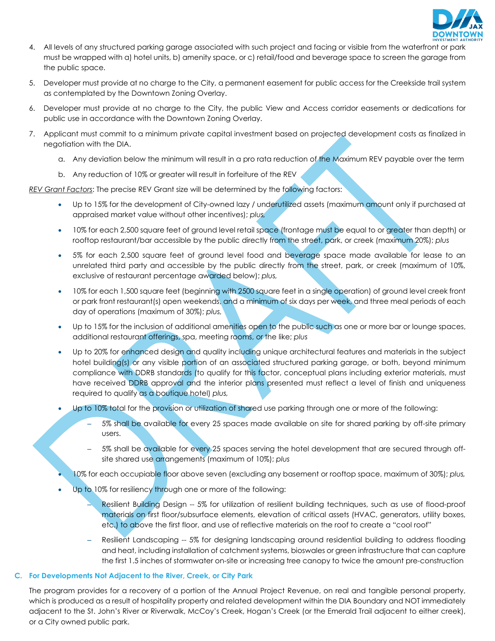

- 4. All levels of any structured parking garage associated with such project and facing or visible from the waterfront or park must be wrapped with a) hotel units, b) amenity space, or c) retail/food and beverage space to screen the garage from the public space.
- 5. Developer must provide at no charge to the City, a permanent easement for public access for the Creekside trail system as contemplated by the Downtown Zoning Overlay.
- 6. Developer must provide at no charge to the City, the public View and Access corridor easements or dedications for public use in accordance with the Downtown Zoning Overlay.
- 7. Applicant must commit to a minimum private capital investment based on projected development costs as finalized in negotiation with the DIA.
	- a. Any deviation below the minimum will result in a pro rata reduction of the Maximum REV payable over the term
	- b. Any reduction of 10% or greater will result in forfeiture of the REV

*REV Grant Factors*: The precise REV Grant size will be determined by the following factors:

- Up to 15% for the development of City-owned lazy / underutilized assets (maximum amount only if purchased at appraised market value without other incentives); *plus,*
- 10% for each 2,500 square feet of ground level retail space (frontage must be equal to or greater than depth) or rooftop restaurant/bar accessible by the public directly from the street, park, or creek (maximum 20%); *plus*
- 5% for each 2,500 square feet of ground level food and beverage space made available for lease to an unrelated third party and accessible by the public directly from the street, park, or creek (maximum of 10%, exclusive of restaurant percentage awarded below); *plus,*
- 10% for each 1,500 square feet (beginning with 2500 square feet in a single operation) of ground level creek front or park front restaurant(s) open weekends, and a minimum of six days per week, and three meal periods of each day of operations (maximum of 30%); *plus,*
- Up to 15% for the inclusion of additional amenities open to the public such as one or more bar or lounge spaces, additional restaurant offerings, spa, meeting rooms, or the like; *plus*
- Up to 20% for enhanced design and quality including unique architectural features and materials in the subject hotel building(s) or any visible portion of an associated structured parking garage, or both, beyond minimum compliance with DDRB standards (to qualify for this factor, conceptual plans including exterior materials, must have received DDRB approval and the interior plans presented must reflect a level of finish and uniqueness required to qualify as a boutique hotel) *plus,*
- Up to 10% total for the provision or utilization of shared use parking through one or more of the following:
	- 5% shall be available for every 25 spaces made available on site for shared parking by off-site primary users.
	- 5% shall be available for every 25 spaces serving the hotel development that are secured through offsite shared use arrangements (maximum of 10%); *plus*
- 10% for each occupiable floor above seven (excluding any basement or rooftop space, maximum of 30%); *plus,*
- Up to 10% for resiliency through one or more of the following:
	- Resilient Building Design -- 5% for utilization of resilient building techniques, such as use of flood-proof materials on first floor/subsurface elements, elevation of critical assets (HVAC, generators, utility boxes, etc.) to above the first floor, and use of reflective materials on the roof to create a "cool roof"
	- Resilient Landscaping -- 5% for designing landscaping around residential building to address flooding and heat, including installation of catchment systems, bioswales or green infrastructure that can capture the first 1.5 inches of stormwater on-site or increasing tree canopy to twice the amount pre-construction

#### **C. For Developments Not Adjacent to the River, Creek, or City Park**

The program provides for a recovery of a portion of the Annual Project Revenue, on real and tangible personal property, which is produced as a result of hospitality property and related development within the DIA Boundary and NOT immediately adjacent to the St. John's River or Riverwalk, McCoy's Creek, Hogan's Creek (or the Emerald Trail adjacent to either creek), or a City owned public park.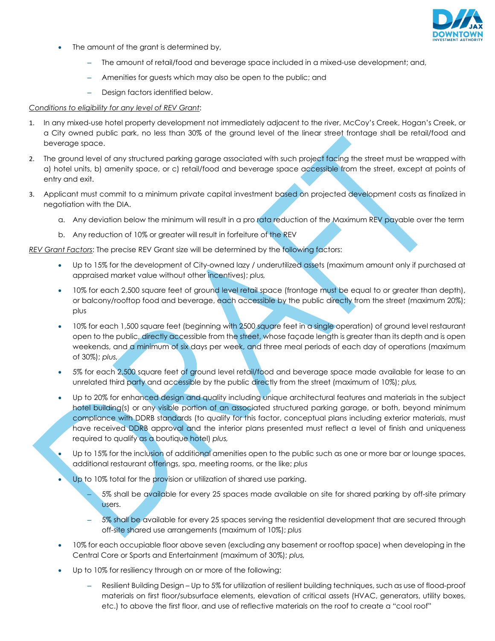

- The amount of the grant is determined by,
	- The amount of retail/food and beverage space included in a mixed-use development; and,
	- Amenities for guests which may also be open to the public; and
	- Design factors identified below.

#### *Conditions to eligibility for any level of REV Grant*:

- 1. In any mixed-use hotel property development not immediately adjacent to the river, McCoy's Creek, Hogan's Creek, or a City owned public park, no less than 30% of the ground level of the linear street frontage shall be retail/food and beverage space.
- 2. The ground level of any structured parking garage associated with such project facing the street must be wrapped with a) hotel units, b) amenity space, or c) retail/food and beverage space accessible from the street, except at points of entry and exit.
- 3. Applicant must commit to a minimum private capital investment based on projected development costs as finalized in negotiation with the DIA.
	- a. Any deviation below the minimum will result in a pro rata reduction of the Maximum REV payable over the term
	- b. Any reduction of 10% or greater will result in forfeiture of the REV

*REV Grant Factors*: The precise REV Grant size will be determined by the following factors:

- Up to 15% for the development of City-owned lazy / underutilized assets (maximum amount only if purchased at appraised market value without other incentives); *plus,*
- 10% for each 2,500 square feet of ground level retail space (frontage must be equal to or greater than depth), or balcony/rooftop food and beverage, each accessible by the public directly from the street (maximum 20%); plus
- 10% for each 1,500 square feet (beginning with 2500 square feet in a single operation) of ground level restaurant open to the public, directly accessible from the street, whose façade length is greater than its depth and is open weekends, and a minimum of six days per week, and three meal periods of each day of operations (maximum of 30%); *plus,*
- 5% for each 2,500 square feet of ground level retail/food and beverage space made available for lease to an unrelated third party and accessible by the public directly from the street (maximum of 10%); *plus,*
- Up to 20% for enhanced design and quality including unique architectural features and materials in the subject hotel building(s) or any visible portion of an associated structured parking garage, or both, beyond minimum compliance with DDRB standards (to qualify for this factor, conceptual plans including exterior materials, must have received DDRB approval and the interior plans presented must reflect a level of finish and uniqueness required to qualify as a boutique hotel) *plus,*
- Up to 15% for the inclusion of additional amenities open to the public such as one or more bar or lounge spaces, additional restaurant offerings, spa, meeting rooms, or the like; *plus*
- Up to 10% total for the provision or utilization of shared use parking.
	- 5% shall be available for every 25 spaces made available on site for shared parking by off-site primary users.
	- 5% shall be available for every 25 spaces serving the residential development that are secured through off-site shared use arrangements (maximum of 10%); *plus*
- 10% for each occupiable floor above seven (excluding any basement or rooftop space) when developing in the Central Core or Sports and Entertainment (maximum of 30%); *plus,*
- Up to 10% for resiliency through on or more of the following:
	- Resilient Building Design Up to 5% for utilization of resilient building techniques, such as use of flood-proof materials on first floor/subsurface elements, elevation of critical assets (HVAC, generators, utility boxes, etc.) to above the first floor, and use of reflective materials on the roof to create a "cool roof"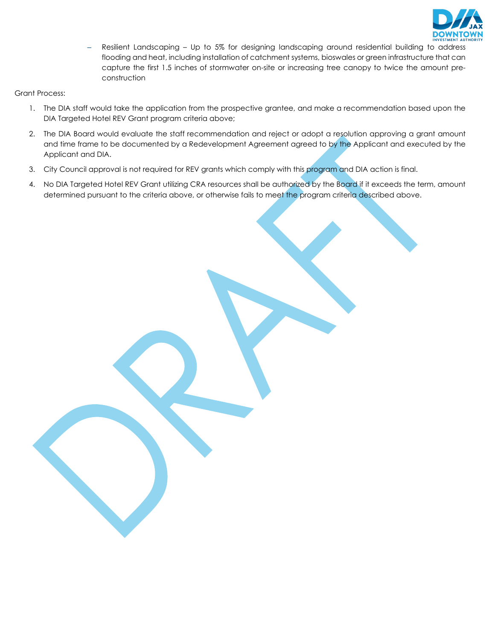

– Resilient Landscaping – Up to 5% for designing landscaping around residential building to address flooding and heat, including installation of catchment systems, bioswales or green infrastructure that can capture the first 1.5 inches of stormwater on-site or increasing tree canopy to twice the amount preconstruction

Grant Process:

- 1. The DIA staff would take the application from the prospective grantee, and make a recommendation based upon the DIA Targeted Hotel REV Grant program criteria above;
- 2. The DIA Board would evaluate the staff recommendation and reject or adopt a resolution approving a grant amount and time frame to be documented by a Redevelopment Agreement agreed to by the Applicant and executed by the Applicant and DIA.
- 3. City Council approval is not required for REV grants which comply with this program and DIA action is final.
- 4. No DIA Targeted Hotel REV Grant utilizing CRA resources shall be authorized by the Board if it exceeds the term, amount determined pursuant to the criteria above, or otherwise fails to meet the program criteria described above.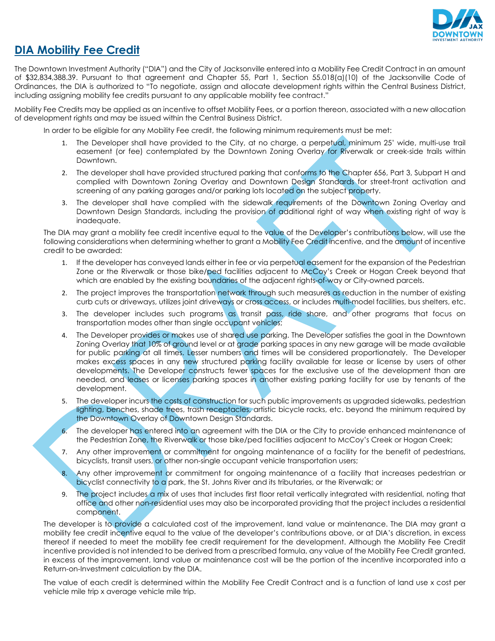

### **DIA Mobility Fee Credit**

The Downtown Investment Authority ("DIA") and the City of Jacksonville entered into a Mobility Fee Credit Contract in an amount of \$32,834,388.39. Pursuant to that agreement and Chapter 55, Part 1, Section 55.018(a)(10) of the Jacksonville Code of Ordinances, the DIA is authorized to "To negotiate, assign and allocate development rights within the Central Business District, including assigning mobility fee credits pursuant to any applicable mobility fee contract."

Mobility Fee Credits may be applied as an incentive to offset Mobility Fees, or a portion thereon, associated with a new allocation of development rights and may be issued within the Central Business District.

In order to be eligible for any Mobility Fee credit, the following minimum requirements must be met:

- 1. The Developer shall have provided to the City, at no charge, a perpetual, minimum 25' wide, multi-use trail easement (or fee) contemplated by the Downtown Zoning Overlay for Riverwalk or creek-side trails within Downtown.
- 2. The developer shall have provided structured parking that conforms to the Chapter 656, Part 3, Subpart H and complied with Downtown Zoning Overlay and Downtown Design Standards for street-front activation and screening of any parking garages and/or parking lots located on the subject property.
- 3. The developer shall have complied with the sidewalk requirements of the Downtown Zoning Overlay and Downtown Design Standards, including the provision of additional right of way when existing right of way is inadequate.

The DIA may grant a mobility fee credit incentive equal to the value of the Developer's contributions below, will use the following considerations when determining whether to grant a Mobility Fee Credit incentive, and the amount of incentive credit to be awarded:

- 1. If the developer has conveyed lands either in fee or via perpetual easement for the expansion of the Pedestrian Zone or the Riverwalk or those bike/ped facilities adjacent to McCoy's Creek or Hogan Creek beyond that which are enabled by the existing boundaries of the adjacent rights-of-way or City-owned parcels.
- 2. The project improves the transportation network through such measures as reduction in the number of existing curb cuts or driveways, utilizes joint driveways or cross access, or includes multi-model facilities, bus shelters, etc.
- 3. The developer includes such programs as transit pass, ride share, and other programs that focus on transportation modes other than single occupant vehicles;
- 4. The Developer provides or makes use of shared use parking. The Developer satisfies the goal in the Downtown Zoning Overlay that 10% of ground level or at grade parking spaces in any new garage will be made available for public parking at all times. Lesser numbers and times will be considered proportionately. The Developer makes excess spaces in any new structured parking facility available for lease or license by users of other developments. The Developer constructs fewer spaces for the exclusive use of the development than are needed, and leases or licenses parking spaces in another existing parking facility for use by tenants of the development.
- 5. The developer incurs the costs of construction for such public improvements as upgraded sidewalks, pedestrian lighting, benches, shade trees, trash receptacles, artistic bicycle racks, etc. beyond the minimum required by the Downtown Overlay of Downtown Design Standards.
- 6. The developer has entered into an agreement with the DIA or the City to provide enhanced maintenance of the Pedestrian Zone, the Riverwalk or those bike/ped facilities adjacent to McCoy's Creek or Hogan Creek;
- 7. Any other improvement or commitment for ongoing maintenance of a facility for the benefit of pedestrians, bicyclists, transit users, or other non-single occupant vehicle transportation users;
- 8. Any other improvement or commitment for ongoing maintenance of a facility that increases pedestrian or bicyclist connectivity to a park, the St. Johns River and its tributaries, or the Riverwalk; or
- 9. The project includes a mix of uses that includes first floor retail vertically integrated with residential, noting that office and other non-residential uses may also be incorporated providing that the project includes a residential component.

The developer is to provide a calculated cost of the improvement, land value or maintenance. The DIA may grant a mobility fee credit incentive equal to the value of the developer's contributions above, or at DIA's discretion, in excess thereof if needed to meet the mobility fee credit requirement for the development. Although the Mobility Fee Credit incentive provided is not intended to be derived from a prescribed formula, any value of the Mobility Fee Credit granted, in excess of the improvement, land value or maintenance cost will be the portion of the incentive incorporated into a Return-on-Investment calculation by the DIA.

The value of each credit is determined within the Mobility Fee Credit Contract and is a function of land use x cost per vehicle mile trip x average vehicle mile trip.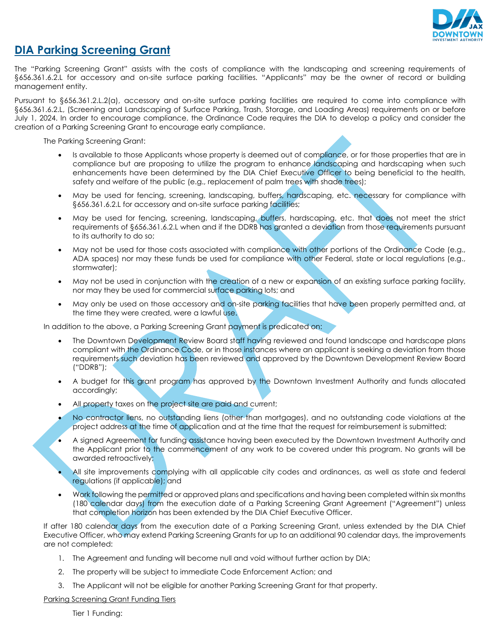

### **DIA Parking Screening Grant**

The "Parking Screening Grant" assists with the costs of compliance with the landscaping and screening requirements of §656.361.6.2.L for accessory and on-site surface parking facilities. "Applicants" may be the owner of record or building management entity.

Pursuant to §656.361.2.L.2(a), accessory and on-site surface parking facilities are required to come into compliance with §656.361.6.2.L, (Screening and Landscaping of Surface Parking, Trash, Storage, and Loading Areas) requirements on or before July 1, 2024. In order to encourage compliance, the Ordinance Code requires the DIA to develop a policy and consider the creation of a Parking Screening Grant to encourage early compliance.

The Parking Screening Grant:

- Is available to those Applicants whose property is deemed out of compliance, or for those properties that are in compliance but are proposing to utilize the program to enhance landscaping and hardscaping when such enhancements have been determined by the DIA Chief Executive Officer to being beneficial to the health, safety and welfare of the public (e.g., replacement of palm trees with shade trees);
- May be used for fencing, screening, landscaping, buffers, hardscaping, etc. necessary for compliance with §656.361.6.2.L for accessory and on-site surface parking facilities;
- May be used for fencing, screening, landscaping, buffers, hardscaping, etc. that does not meet the strict requirements of §656.361.6.2.L when and if the DDRB has granted a deviation from those requirements pursuant to its authority to do so;
- May not be used for those costs associated with compliance with other portions of the Ordinance Code (e.g., ADA spaces) nor may these funds be used for compliance with other Federal, state or local regulations (e.g., stormwater);
- May not be used in conjunction with the creation of a new or expansion of an existing surface parking facility, nor may they be used for commercial surface parking lots; and
- May only be used on those accessory and on-site parking facilities that have been properly permitted and, at the time they were created, were a lawful use.

In addition to the above, a Parking Screening Grant payment is predicated on:

- The Downtown Development Review Board staff having reviewed and found landscape and hardscape plans compliant with the Ordinance Code, or in those instances where an applicant is seeking a deviation from those requirements such deviation has been reviewed and approved by the Downtown Development Review Board ("DDRB");
- A budget for this grant program has approved by the Downtown Investment Authority and funds allocated accordingly;
- All property taxes on the project site are paid and current;
- No contractor liens, no outstanding liens (other than mortgages), and no outstanding code violations at the project address at the time of application and at the time that the request for reimbursement is submitted;
- A signed Agreement for funding assistance having been executed by the Downtown Investment Authority and the Applicant prior to the commencement of any work to be covered under this program. No grants will be awarded retroactively;
- All site improvements complying with all applicable city codes and ordinances, as well as state and federal regulations (if applicable); and
- Work following the permitted or approved plans and specifications and having been completed within six months (180 calendar days) from the execution date of a Parking Screening Grant Agreement ("Agreement") unless that completion horizon has been extended by the DIA Chief Executive Officer.

If after 180 calendar days from the execution date of a Parking Screening Grant, unless extended by the DIA Chief Executive Officer, who may extend Parking Screening Grants for up to an additional 90 calendar days, the improvements are not completed:

- 1. The Agreement and funding will become null and void without further action by DIA;
- 2. The property will be subject to immediate Code Enforcement Action; and
- 3. The Applicant will not be eligible for another Parking Screening Grant for that property.

Parking Screening Grant Funding Tiers

Tier 1 Funding: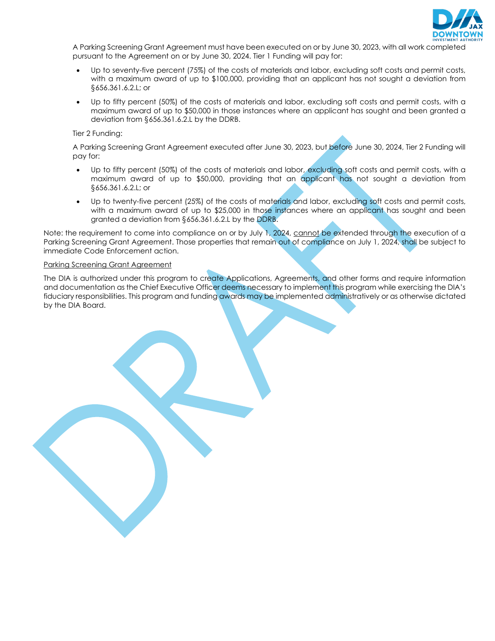

A Parking Screening Grant Agreement must have been executed on or by June 30, 2023, with all work completed pursuant to the Agreement on or by June 30, 2024. Tier 1 Funding will pay for:

- Up to seventy-five percent (75%) of the costs of materials and labor, excluding soft costs and permit costs, with a maximum award of up to \$100,000, providing that an applicant has not sought a deviation from §656.361.6.2.L; or
- Up to fifty percent (50%) of the costs of materials and labor, excluding soft costs and permit costs, with a maximum award of up to \$50,000 in those instances where an applicant has sought and been granted a deviation from §656.361.6.2.L by the DDRB.

Tier 2 Funding:

A Parking Screening Grant Agreement executed after June 30, 2023, but before June 30, 2024, Tier 2 Funding will pay for:

- Up to fifty percent (50%) of the costs of materials and labor, excluding soft costs and permit costs, with a maximum award of up to \$50,000, providing that an applicant has not sought a deviation from §656.361.6.2.L; or
- Up to twenty-five percent (25%) of the costs of materials and labor, excluding soft costs and permit costs, with a maximum award of up to \$25,000 in those instances where an applicant has sought and been granted a deviation from §656.361.6.2.L by the DDRB.

Note: the requirement to come into compliance on or by July 1, 2024, cannot be extended through the execution of a Parking Screening Grant Agreement. Those properties that remain out of compliance on July 1, 2024, shall be subject to immediate Code Enforcement action.

#### Parking Screening Grant Agreement

The DIA is authorized under this program to create Applications, Agreements, and other forms and require information and documentation as the Chief Executive Officer deems necessary to implement this program while exercising the DIA's fiduciary responsibilities. This program and funding awards may be implemented administratively or as otherwise dictated by the DIA Board.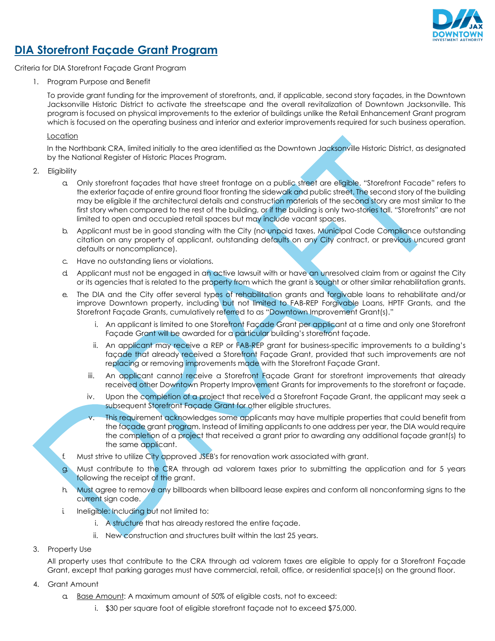

### **DIA Storefront Façade Grant Program**

Criteria for DIA Storefront Façade Grant Program

1. Program Purpose and Benefit

To provide grant funding for the improvement of storefronts, and, if applicable, second story façades, in the Downtown Jacksonville Historic District to activate the streetscape and the overall revitalization of Downtown Jacksonville. This program is focused on physical improvements to the exterior of buildings unlike the Retail Enhancement Grant program which is focused on the operating business and interior and exterior improvements required for such business operation.

#### **Location**

In the Northbank CRA, limited initially to the area identified as the Downtown Jacksonville Historic District, as designated by the National Register of Historic Places Program.

- 2. Eligibility
	- a. Only storefront façades that have street frontage on a public street are eligible. "Storefront Facade" refers to the exterior façade of entire ground floor fronting the sidewalk and public street. The second story of the building may be eligible if the architectural details and construction materials of the second story are most similar to the first story when compared to the rest of the building, or if the building is only two-stories tall. "Storefronts" are not limited to open and occupied retail spaces but may include vacant spaces.
	- b. Applicant must be in good standing with the City (no unpaid taxes, Municipal Code Compliance outstanding citation on any property of applicant, outstanding defaults on any City contract, or previous uncured grant defaults or noncompliance).
	- c. Have no outstanding liens or violations.
	- d. Applicant must not be engaged in an active lawsuit with or have an unresolved claim from or against the City or its agencies that is related to the property from which the grant is sought or other similar rehabilitation grants.
	- e. The DIA and the City offer several types of rehabilitation grants and forgivable loans to rehabilitate and/or improve Downtown property, including but not limited to FAB-REP Forgivable Loans, HPTF Grants, and the Storefront Façade Grants, cumulatively referred to as "Downtown Improvement Grant(s)."
		- i. An applicant is limited to one Storefront Façade Grant per applicant at a time and only one Storefront Facade Grant will be awarded for a particular building's storefront facade.
		- ii. An applicant may receive a REP or FAB-REP grant for business-specific improvements to a building's façade that already received a Storefront Façade Grant, provided that such improvements are not replacing or removing improvements made with the Storefront Façade Grant.
		- iii. An applicant cannot receive a Storefront Facade Grant for storefront improvements that already received other Downtown Property Improvement Grants for improvements to the storefront or façade.
		- iv. Upon the completion of a project that received a Storefront Façade Grant, the applicant may seek a subsequent Storefront Façade Grant for other eligible structures.
		- v. This requirement acknowledges some applicants may have multiple properties that could benefit from the façade grant program. Instead of limiting applicants to one address per year, the DIA would require the completion of a project that received a grant prior to awarding any additional façade grant(s) to the same applicant.
	- Must strive to utilize City approved JSEB's for renovation work associated with grant.
	- Must contribute to the CRA through ad valorem taxes prior to submitting the application and for 5 years following the receipt of the grant.
	- h. Must agree to remove any billboards when billboard lease expires and conform all nonconforming signs to the current sign code.
	- i. Ineligible: Including but not limited to:
		- i. A structure that has already restored the entire façade.
		- ii. New construction and structures built within the last 25 years.
- 3. Property Use

All property uses that contribute to the CRA through ad valorem taxes are eligible to apply for a Storefront Façade Grant, except that parking garages must have commercial, retail, office, or residential space(s) on the ground floor.

- 4. Grant Amount
	- a. Base Amount: A maximum amount of 50% of eligible costs, not to exceed:
		- i. \$30 per square foot of eligible storefront façade not to exceed \$75,000.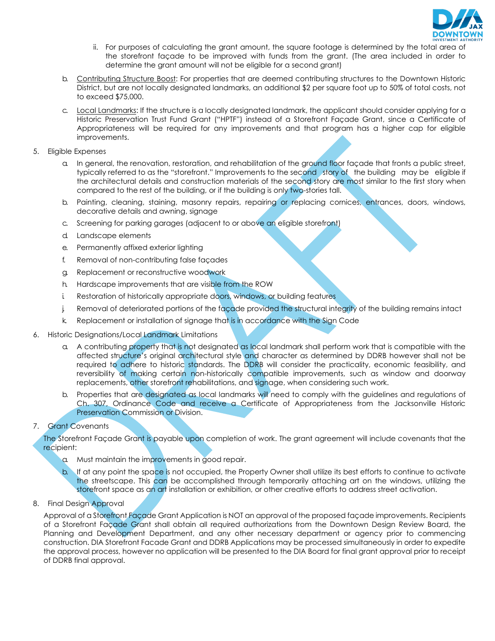

- ii. For purposes of calculating the grant amount, the square footage is determined by the total area of the storefront façade to be improved with funds from the grant. (The area included in order to determine the grant amount will not be eligible for a second grant)
- b. Contributing Structure Boost: For properties that are deemed contributing structures to the Downtown Historic District, but are not locally designated landmarks, an additional \$2 per square foot up to 50% of total costs, not to exceed \$75,000.
- c. Local Landmarks: If the structure is a locally designated landmark, the applicant should consider applying for a Historic Preservation Trust Fund Grant ("HPTF") instead of a Storefront Façade Grant, since a Certificate of Appropriateness will be required for any improvements and that program has a higher cap for eligible improvements.
- 5. Eligible Expenses
	- a. In general, the renovation, restoration, and rehabilitation of the ground floor façade that fronts a public street, typically referred to as the "storefront." Improvements to the second story of the building may be eligible if the architectural details and construction materials of the second story are most similar to the first story when compared to the rest of the building, or if the building is only two-stories tall.
	- b. Painting, cleaning, staining, masonry repairs, repairing or replacing cornices, entrances, doors, windows, decorative details and awning, signage
	- c. Screening for parking garages (adjacent to or above an eligible storefront)
	- d. Landscape elements
	- e. Permanently affixed exterior lighting
	- f. Removal of non-contributing false façades
	- g. Replacement or reconstructive woodwork
	- h. Hardscape improvements that are visible from the ROW
	- i. Restoration of historically appropriate doors, windows, or building features
	- j. Removal of deteriorated portions of the façade provided the structural integrity of the building remains intact
	- k Replacement or installation of signage that is in accordance with the Sign Code
- 6. Historic Designations/Local Landmark Limitations
	- a. A contributing property that is not designated as local landmark shall perform work that is compatible with the affected structure's original architectural style and character as determined by DDRB however shall not be required to adhere to historic standards. The DDRB will consider the practicality, economic feasibility, and reversibility of making certain non-historically compatible improvements, such as window and doorway replacements, other storefront rehabilitations, and signage, when considering such work.
	- b. Properties that are designated as local landmarks will need to comply with the guidelines and regulations of Ch. 307, Ordinance Code and receive a Certificate of Appropriateness from the Jacksonville Historic Preservation Commission or Division.
- 7. Grant Covenants

The Storefront Façade Grant is payable upon completion of work. The grant agreement will include covenants that the recipient:

- a. Must maintain the improvements in good repair.
- b. If at any point the space is not occupied, the Property Owner shall utilize its best efforts to continue to activate the streetscape. This can be accomplished through temporarily attaching art on the windows, utilizing the storefront space as an art installation or exhibition, or other creative efforts to address street activation.
- 8. Final Design Approval

Approval of a Storefront Façade Grant Application is NOT an approval of the proposed façade improvements. Recipients of a Storefront Façade Grant shall obtain all required authorizations from the Downtown Design Review Board, the Planning and Development Department, and any other necessary department or agency prior to commencing construction. DIA Storefront Facade Grant and DDRB Applications may be processed simultaneously in order to expedite the approval process, however no application will be presented to the DIA Board for final grant approval prior to receipt of DDRB final approval.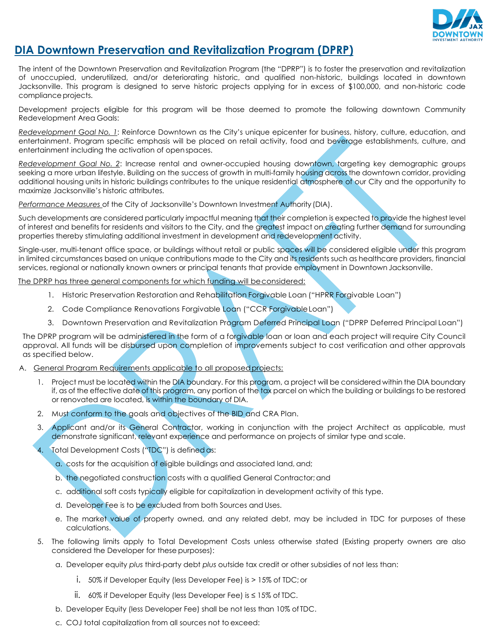

### **DIA Downtown Preservation and Revitalization Program (DPRP)**

The intent of the Downtown Preservation and Revitalization Program (the "DPRP") is to foster the preservation and revitalization of unoccupied, underutilized, and/or deteriorating historic, and qualified non-historic, buildings located in downtown Jacksonville. This program is designed to serve historic projects applying for in excess of \$100,000, and non-historic code compliance projects.

Development projects eligible for this program will be those deemed to promote the following downtown Community Redevelopment Area Goals:

*Redevelopment Goal No. 1*: Reinforce Downtown as the City's unique epicenter for business, history, culture, education, and entertainment. Program specific emphasis will be placed on retail activity, food and beverage establishments, culture, and entertainment including the activation of openspaces.

*Redevelopment Goal No. 2*: Increase rental and owner-occupied housing downtown, targeting key demographic groups seeking a more urban lifestyle. Building on the success of growth in multi-family housing across the downtown corridor, providing additional housing units in historic buildings contributes to the unique residential atmosphere of our City and the opportunity to maximize Jacksonville's historic attributes.

*Performance Measures* of the City of Jacksonville's Downtown Investment Authority (DIA).

Such developments are considered particularly impactful meaning that their completion is expected to provide the highest level of interest and benefits for residents and visitors to the City, and the greatest impact on creating further demand for surrounding properties thereby stimulating additional investment in development and redevelopment activity.

Single-user, multi-tenant office space, or buildings without retail or public spaces will be considered eligible under this program in limited circumstances based on unique contributions made to the City and its residents such as healthcare providers, financial services, regional or nationally known owners or principal tenants that provide employment in Downtown Jacksonville.

The DPRP has three general components for which funding will beconsidered:

- 1. Historic Preservation Restoration and Rehabilitation Forgivable Loan ("HPRR Forgivable Loan")
- 2. Code Compliance Renovations Forgivable Loan ("CCR ForgivableLoan")
- 3. Downtown Preservation and Revitalization Program Deferred Principal Loan ("DPRP Deferred Principal Loan")

The DPRP program will be administered in the form of a forgivable loan or loan and each project will require City Council approval. All funds will be disbursed upon completion of improvements subject to cost verification and other approvals as specified below.

A. General Program Requirements applicable to all proposedprojects:

- 1. Project must be located within the DIA boundary. For this program, a project will be considered within the DIA boundary if, as of the effective date of this program, any portion of the tax parcel on which the building or buildings to be restored or renovated are located, is within the boundary of DIA.
- 2. Must conform to the goals and objectives of the BID and CRA Plan.
- 3. Applicant and/or its General Contractor, working in conjunction with the project Architect as applicable, must demonstrate significant, relevant experience and performance on projects of similar type and scale.
- 4. Total Development Costs ("TDC") is defined as:
	- a. costs for the acquisition of eligible buildings and associated land, and;
	- b. the negotiated construction costs with a qualified General Contractor; and
	- c. additional soft costs typically eligible for capitalization in development activity of this type.
	- d. Developer Fee is to be excluded from both Sources and Uses.
	- e. The market value of property owned, and any related debt, may be included in TDC for purposes of these calculations.
- 5. The following limits apply to Total Development Costs unless otherwise stated (Existing property owners are also considered the Developer for these purposes):
	- a. Developer equity *plus* third-party debt *plus* outside tax credit or other subsidies of not less than:
		- i. 50% if Developer Equity (less Developer Fee) is > 15% of TDC; or
		- ii. 60% if Developer Equity (less Developer Fee) is ≤ 15% of TDC.
	- b. Developer Equity (less Developer Fee) shall be not less than 10% of TDC.
	- c. COJ total capitalization from all sources not to exceed: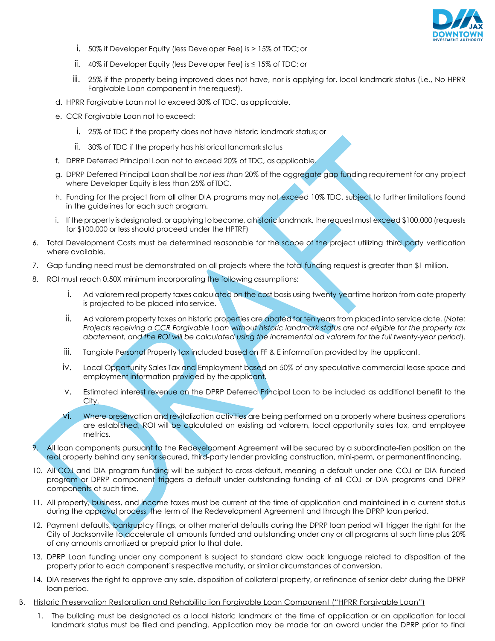

- i. 50% if Developer Equity (less Developer Fee) is > 15% of TDC; or
- ii. 40% if Developer Equity (less Developer Fee) is ≤ 15% of TDC; or
- iii. 25% if the property being improved does not have, nor is applying for, local landmark status (i.e., No HPRR Forgivable Loan component in therequest).
- d. HPRR Forgivable Loan not to exceed 30% of TDC, as applicable.
- e. CCR Forgivable Loan not to exceed:
	- i. 25% of TDC if the property does not have historic landmark status;or
	- ii. 30% of TDC if the property has historical landmark status
- f. DPRP Deferred Principal Loan not to exceed 20% of TDC, as applicable.
- g. DPRP Deferred Principal Loan shall be *not less than* 20% of the aggregate gap funding requirement for any project where Developer Equity is less than 25% of TDC.
- h. Funding for the project from all other DIA programs may not exceed 10% TDC, subject to further limitations found in the guidelines for each such program.
- i. If the property is designated, or applying to become, a historic landmark, the request must exceed \$100,000 (requests for \$100,000 or less should proceed under the HPTRF)
- 6. Total Development Costs must be determined reasonable for the scope of the project utilizing third party verification where available.
- 7. Gap funding need must be demonstrated on all projects where the total funding request is greater than \$1 million.
- 8. ROI must reach 0.50X minimum incorporating the following assumptions:
	- i. Ad valorem real property taxes calculated on the cost basis using twenty-yeartime horizon from date property is projected to be placed into service.
	- ii. Ad valorem property taxes on historic properties are abated for ten years from placed into service date. (*Note: Projects receiving a CCR Forgivable Loan without historic landmark status are not eligible for the property tax abatement, and the ROI will be calculated using the incremental ad valorem for the full twenty-year period*).
	- iii. Tangible Personal Property tax included based on FF & E information provided by the applicant.
	- iv. Local Opportunity Sales Tax and Employment based on 50% of any speculative commercial lease space and employment information provided by the applicant.
	- v. Estimated interest revenue on the DPRP Deferred Principal Loan to be included as additional benefit to the City.
	- vi. Where preservation and revitalization activities are being performed on a property where business operations are established, ROI will be calculated on existing ad valorem, local opportunity sales tax, and employee metrics.
- 9. All loan components pursuant to the Redevelopment Agreement will be secured by a subordinate-lien position on the real property behind any senior secured, third-party lender providing construction, mini-perm, or permanentfinancing.
- 10. All COJ and DIA program funding will be subject to cross-default, meaning a default under one COJ or DIA funded program or DPRP component triggers a default under outstanding funding of all COJ or DIA programs and DPRP components at such time.
- 11. All property, business, and income taxes must be current at the time of application and maintained in a current status during the approval process, the term of the Redevelopment Agreement and through the DPRP loan period.
- 12. Payment defaults, bankruptcy filings, or other material defaults during the DPRP loan period will trigger the right for the City of Jacksonville to accelerate all amounts funded and outstanding under any or all programs at such time plus 20% of any amounts amortized or prepaid prior to that date.
- 13. DPRP Loan funding under any component is subject to standard claw back language related to disposition of the property prior to each component's respective maturity, or similar circumstances of conversion.
- 14. DIA reserves the right to approve any sale, disposition of collateral property, or refinance of senior debt during the DPRP loan period.
- B. Historic Preservation Restoration and Rehabilitation Forgivable Loan Component ("HPRR Forgivable Loan")
	- 1. The building must be designated as a local historic landmark at the time of application or an application for local landmark status must be filed and pending. Application may be made for an award under the DPRP prior to final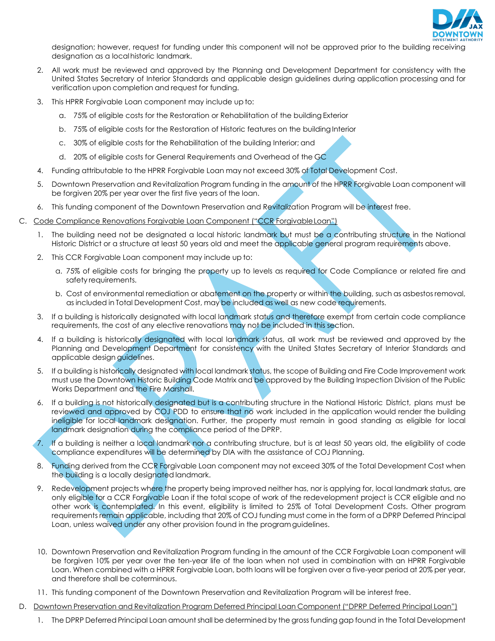

designation; however, request for funding under this component will not be approved prior to the building receiving designation as a localhistoric landmark.

- 2. All work must be reviewed and approved by the Planning and Development Department for consistency with the United States Secretary of Interior Standards and applicable design guidelines during application processing and for verification upon completion and request for funding.
- 3. This HPRR Forgivable Loan component may include up to:
	- a. 75% of eligible costs for the Restoration or Rehabilitation of the building Exterior
	- b. 75% of eligible costs for the Restoration of Historic features on the building Interior
	- c. 30% of eligible costs for the Rehabilitation of the building Interior; and
	- d. 20% of eligible costs for General Requirements and Overhead of the GC
- 4. Funding attributable to the HPRR Forgivable Loan may not exceed 30% of Total Development Cost.
- 5. Downtown Preservation and Revitalization Program funding in the amount of the HPRR Forgivable Loan component will be forgiven 20% per year over the first five years of the loan.
- 6. This funding component of the Downtown Preservation and Revitalization Program will be interest free.
- C. Code Compliance Renovations Forgivable Loan Component ("CCR ForgivableLoan")
	- 1. The building need not be designated a local historic landmark but must be a contributing structure in the National Historic District or a structure at least 50 years old and meet the applicable general program requirements above.
	- 2. This CCR Forgivable Loan component may include up to:
		- a. 75% of eligible costs for bringing the property up to levels as required for Code Compliance or related fire and safety requirements.
		- b. Cost of environmental remediation or abatement on the property or within the building, such as asbestos removal, as included in Total Development Cost, may be included as well as new code requirements.
	- 3. If a building is historically designated with local landmark status and therefore exempt from certain code compliance requirements, the cost of any elective renovations may not be included in this section.
	- 4. If a building is historically designated with local landmark status, all work must be reviewed and approved by the Planning and Development Department for consistency with the United States Secretary of Interior Standards and applicable design guidelines.
	- 5. If a building is historically designated with local landmark status, the scope of Building and Fire Code Improvement work must use the Downtown Historic Building Code Matrix and be approved by the Building Inspection Division of the Public Works Department and the Fire Marshall.
	- 6. If a building is not historically designated but is a contributing structure in the National Historic District, plans must be reviewed and approved by COJ PDD to ensure that no work included in the application would render the building ineligible for local landmark designation. Further, the property must remain in good standing as eligible for local landmark designation during the compliance period of the DPRP.
	- 7. If a building is neither a local landmark nor a contributing structure, but is at least 50 years old, the eligibility of code compliance expenditures will be determined by DIA with the assistance of COJ Planning.
	- 8. Funding derived from the CCR Forgivable Loan component may not exceed 30% of the Total Development Cost when the building is a locally designated landmark.
	- 9. Redevelopment projects where the property being improved neither has, nor is applying for, local landmark status, are only eligible for a CCR Forgivable Loan if the total scope of work of the redevelopment project is CCR eligible and no other work is contemplated. In this event, eligibility is limited to 25% of Total Development Costs. Other program requirements remain applicable, including that 20% of COJ funding must come in the form of a DPRP Deferred Principal Loan, unless waived under any other provision found in the programguidelines.
	- 10. Downtown Preservation and Revitalization Program funding in the amount of the CCR Forgivable Loan component will be forgiven 10% per year over the ten-year life of the loan when not used in combination with an HPRR Forgivable Loan. When combined with a HPRR Forgivable Loan, both loans will be forgiven over a five-year period at 20% per year, and therefore shall be coterminous.
	- 11. This funding component of the Downtown Preservation and Revitalization Program will be interest free.
- D. Downtown Preservation and Revitalization Program Deferred Principal Loan Component ("DPRP Deferred Principal Loan")
	- 1. The DPRP Deferred Principal Loan amount shall be determined by the gross funding gap found in the Total Development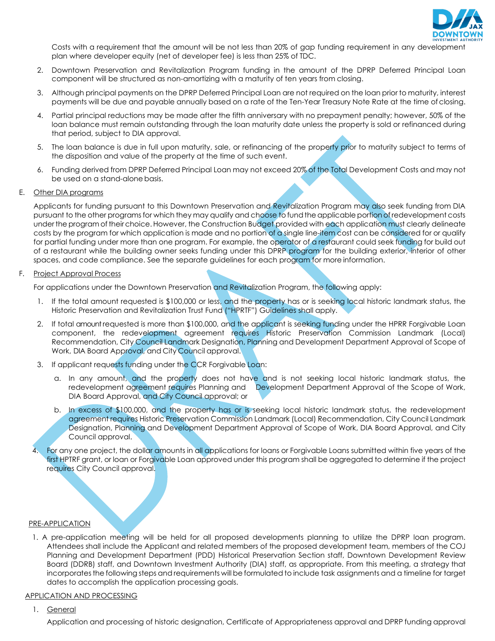

Costs with a requirement that the amount will be not less than 20% of gap funding requirement in any development plan where developer equity (net of developer fee) is less than 25% of TDC.

- 2. Downtown Preservation and Revitalization Program funding in the amount of the DPRP Deferred Principal Loan component will be structured as non-amortizing with a maturity of ten years from closing.
- 3. Although principal payments on the DPRP Deferred Principal Loan are not required on the loan prior to maturity, interest payments will be due and payable annually based on a rate of the Ten-Year Treasury Note Rate at the time ofclosing.
- 4. Partial principal reductions may be made after the fifth anniversary with no prepayment penalty; however, 50% of the loan balance must remain outstanding through the loan maturity date unless the property is sold or refinanced during that period, subject to DIA approval.
- 5. The loan balance is due in full upon maturity, sale, or refinancing of the property prior to maturity subject to terms of the disposition and value of the property at the time of such event.
- 6. Funding derived from DPRP Deferred Principal Loan may not exceed 20% of the Total Development Costs and may not be used on a stand-alone basis.

#### E. Other DIA programs

Applicants for funding pursuant to this Downtown Preservation and Revitalization Program may also seek funding from DIA pursuant to the other programs for which they may qualify and choose to fund the applicable portion of redevelopment costs under the program of their choice. However, the Construction Budget provided with each application must clearly delineate costs by the program for which application is made and no portion of a single line-item cost can be considered for or qualify for partial funding under more than one program. For example, the operator of a restaurant could seek funding for build out of a restaurant while the building owner seeks funding under this DPRP program for the building exterior, interior of other spaces, and code compliance. See the separate guidelines for each program for more information.

#### F. Project Approval Process

For applications under the Downtown Preservation and Revitalization Program, the following apply:

- 1. If the total amount requested is \$100,000 or less, and the property has or is seeking local historic landmark status, the Historic Preservation and Revitalization Trust Fund ("HPRTF") Guidelines shall apply.
- 2. If total amount requested is more than \$100,000, and the applicant is seeking funding under the HPRR Forgivable Loan component, the redevelopment agreement requires Historic Preservation Commission Landmark (Local) Recommendation, City Council Landmark Designation, Planning and Development Department Approval of Scope of Work, DIA Board Approval, and City Council approval.
- 3. If applicant requests funding under the CCR Forgivable Loan:
	- a. In any amount, and the property does not have and is not seeking local historic landmark status, the redevelopment agreement requires Planning and Development Department Approval of the Scope of Work, DIA Board Approval, and City Council approval; or
	- b. In excess of \$100,000, and the property has or is seeking local historic landmark status, the redevelopment agreement requires Historic Preservation Commission Landmark (Local) Recommendation, City Council Landmark Designation, Planning and Development Department Approval of Scope of Work, DIA Board Approval, and City Council approval.
- For any one project, the dollar amounts in all applications for loans or Forgivable Loans submitted within five years of the first HPTRF grant, or loan or Forgivable Loan approved under this program shall be aggregated to determine if the project requires City Council approval.

#### PRE-APPLICATION

1. A pre-application meeting will be held for all proposed developments planning to utilize the DPRP loan program. Attendees shall include the Applicant and related members of the proposed development team, members of the COJ Planning and Development Department (PDD) Historical Preservation Section staff, Downtown Development Review Board (DDRB) staff, and Downtown Investment Authority (DIA) staff, as appropriate. From this meeting, a strategy that incorporatesthe following steps and requirements will be formulated to include task assignments and a timeline for target dates to accomplish the application processing goals.

#### APPLICATION AND PROCESSING

1. General

Application and processing of historic designation, Certificate of Appropriateness approval and DPRP funding approval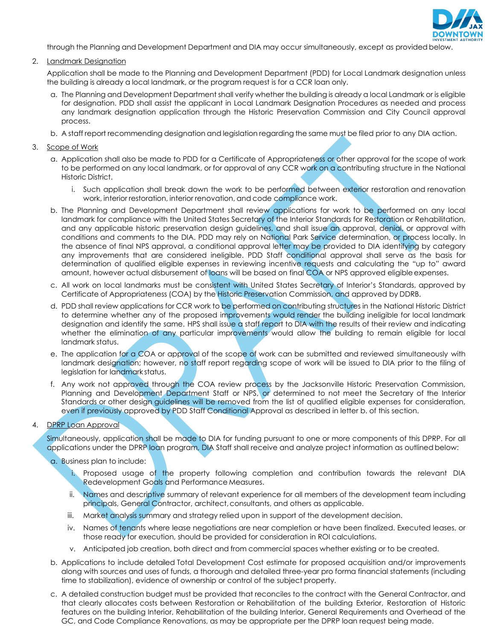

through the Planning and Development Department and DIA may occur simultaneously, except as provided below.

2. Landmark Designation

Application shall be made to the Planning and Development Department (PDD) for Local Landmark designation unless the building is already a local landmark, or the program request is for a CCR loan only.

- a. The Planning and Development Department shall verify whether the building is already a local Landmark or is eligible for designation. PDD shall assist the applicant in Local Landmark Designation Procedures as needed and process any landmark designation application through the Historic Preservation Commission and City Council approval process.
- b. A staff report recommending designation and legislation regarding the same must be filed prior to any DIA action.
- 3. Scope of Work
	- a. Application shall also be made to PDD for a Certificate of Appropriateness or other approval for the scope of work to be performed on any local landmark, or for approval of any CCR work on a contributing structure in the National Historic District.
		- i. Such application shall break down the work to be performed between exterior restoration and renovation work, interior restoration, interior renovation, and code compliance work.
	- b. The Planning and Development Department shall review applications for work to be performed on any local landmark for compliance with the United States Secretary of the Interior Standards for Restoration or Rehabilitation, and any applicable historic preservation design guidelines, and shall issue an approval, denial, or approval with conditions and comments to the DIA. PDD may rely on National Park Service determination, or process locally. In the absence of final NPS approval, a conditional approval letter may be provided to DIA identifying by category any improvements that are considered ineligible. PDD Staff conditional approval shall serve as the basis for determination of qualified eligible expenses in reviewing incentive requests and calculating the "up to" award amount, however actual disbursement of loans will be based on final COA or NPS approved eligible expenses.
	- c. All work on local landmarks must be consistent with United States Secretary of Interior's Standards, approved by Certificate of Appropriateness (COA) by the Historic Preservation Commission, and approved by DDRB.
	- d. PDD shall review applications for CCR work to be performed on contributing structures in the National Historic District to determine whether any of the proposed improvements would render the building ineligible for local landmark designation and identify the same. HPS shall issue a staff report to DIA with the results of their review and indicating whether the elimination of any particular improvements would allow the building to remain eligible for local landmark status.
	- e. The application for a COA or approval of the scope of work can be submitted and reviewed simultaneously with landmark designation; however, no staff report regarding scope of work will be issued to DIA prior to the filing of legislation for landmark status.
	- f. Any work not approved through the COA review process by the Jacksonville Historic Preservation Commission, Planning and Development Department Staff or NPS, or determined to not meet the Secretary of the Interior Standards or other design guidelines will be removed from the list of qualified eligible expenses for consideration, even if previously approved by PDD Staff Conditional Approval as described in letter b. of this section.

### 4. DPRP Loan Approval

Simultaneously, application shall be made to DIA for funding pursuant to one or more components of this DPRP. For all applications under the DPRP loan program, DIA Staff shall receive and analyze project information as outlined below:

- a. Business plan to include:
	- i. Proposed usage of the property following completion and contribution towards the relevant DIA Redevelopment Goals and Performance Measures.
	- ii. Names and descriptive summary of relevant experience for all members of the development team including principals, General Contractor, architect, consultants, and others as applicable.
	- iii. Market analysis summary and strategy relied upon in support of the development decision.
	- iv. Names of tenants where lease negotiations are near completion or have been finalized. Executed leases, or those ready for execution, should be provided for consideration in ROI calculations.
	- v. Anticipated job creation, both direct and from commercial spaces whether existing or to be created.
- b. Applications to include detailed Total Development Cost estimate for proposed acquisition and/or improvements along with sources and uses of funds, a thorough and detailed three-year pro forma financial statements (including time to stabilization), evidence of ownership or control of the subject property.
- c. A detailed construction budget must be provided that reconciles to the contract with the General Contractor, and that clearly allocates costs between Restoration or Rehabilitation of the building Exterior, Restoration of Historic features on the building Interior, Rehabilitation of the building Interior, General Requirements and Overhead of the GC, and Code Compliance Renovations, as may be appropriate per the DPRP loan request being made.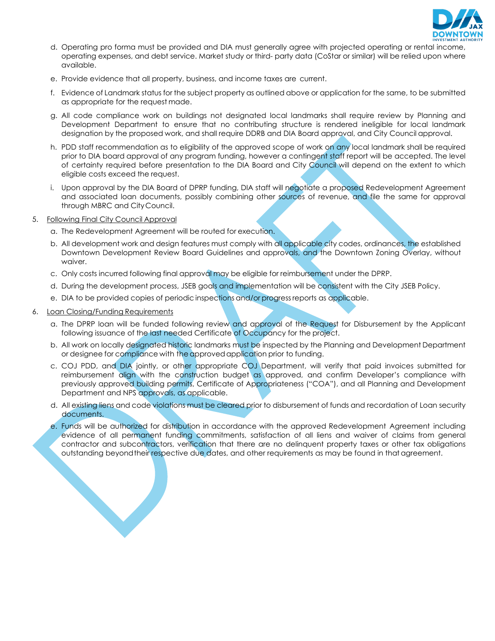

- d. Operating pro forma must be provided and DIA must generally agree with projected operating or rental income, operating expenses, and debt service. Market study or third- party data (CoStar or similar) will be relied upon where available.
- e. Provide evidence that all property, business, and income taxes are current.
- f. Evidence of Landmark status for the subject property as outlined above or application for the same, to be submitted as appropriate for the request made.
- g. All code compliance work on buildings not designated local landmarks shall require review by Planning and Development Department to ensure that no contributing structure is rendered ineligible for local landmark designation by the proposed work, and shall require DDRB and DIA Board approval, and City Council approval.
- h. PDD staff recommendation as to eligibility of the approved scope of work on any local landmark shall be required prior to DIA board approval of any program funding, however a contingent staff report will be accepted. The level of certainty required before presentation to the DIA Board and City Council will depend on the extent to which eligible costs exceed the request.
- i. Upon approval by the DIA Board of DPRP funding, DIA staff will negotiate a proposed Redevelopment Agreement and associated loan documents, possibly combining other sources of revenue, and file the same for approval through MBRC and CityCouncil.
- 5. Following Final City Council Approval
	- a. The Redevelopment Agreement will be routed for execution.
	- b. All development work and design features must comply with all applicable city codes, ordinances, the established Downtown Development Review Board Guidelines and approvals, and the Downtown Zoning Overlay, without waiver.
	- c. Only costs incurred following final approval may be eligible for reimbursement under the DPRP.
	- d. During the development process, JSEB goals and implementation will be consistent with the City JSEB Policy.
	- e. DIA to be provided copies of periodic inspections and/or progressreports as applicable.
- 6. Loan Closing/Funding Requirements
	- a. The DPRP loan will be funded following review and approval of the Request for Disbursement by the Applicant following issuance of the last needed Certificate of Occupancy for the project.
	- b. All work on locally designated historic landmarks must be inspected by the Planning and Development Department or designee for compliance with the approvedapplication prior to funding.
	- c. COJ PDD, and DIA jointly, or other appropriate COJ Department, will verify that paid invoices submitted for reimbursement align with the construction budget as approved, and confirm Developer's compliance with previously approved building permits, Certificate of Appropriateness ("COA"), and all Planning and Development Department and NPS approvals, as applicable.
	- d. All existing liens and code violations must be cleared prior to disbursement of funds and recordation of Loan security documents.
	- e. Funds will be authorized for distribution in accordance with the approved Redevelopment Agreement including evidence of all permanent funding commitments, satisfaction of all liens and waiver of claims from general contractor and subcontractors, verification that there are no delinquent property taxes or other tax obligations outstanding beyondtheir respective due dates, and other requirements as may be found in that agreement.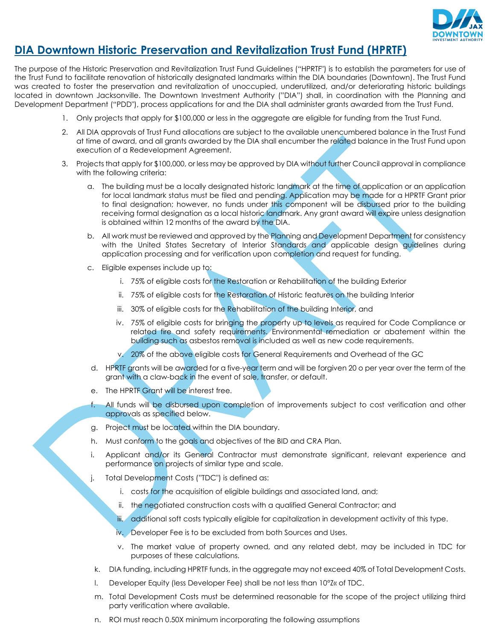

### **DIA Downtown Historic Preservation and Revitalization Trust Fund (HPRTF)**

The purpose of the Historic Preservation and Revitalization Trust Fund Guidelines ("HPRTF") is to establish the parameters for use of the Trust Fund to facilitate renovation of historically designated landmarks within the DIA boundaries (Downtown). The Trust Fund was created to foster the preservation and revitalization of unoccupied, underutilized, and/or deteriorating historic buildings located in downtown Jacksonville. The Downtown Investment Authority ("DIA") shall, in coordination with the Planning and Development Department ("PDD"), process applications for and the DIA shall administer grants awarded from the Trust Fund.

- 1. Only projects that apply for \$100,000 or less in the aggregate are eligible for funding from the Trust Fund.
- 2. All DIA approvals of Trust Fund allocations are subject to the available unencumbered balance in the Trust Fund at time of award, and all grants awarded by the DIA shall encumber the related balance in the Trust Fund upon execution of a Redevelopment Agreement.
- 3. Projects that apply for \$100,000, or less may be approved by DIA without further Council approval in compliance with the following criteria:
	- a. The building must be a locally designated historic landmark at the time of application or an application for local landmark status must be filed and pending. Application may be made for a HPRTF Grant prior to final designation; however, no funds under this component will be disbursed prior to the building receiving formal designation as a local historic landmark. Any grant award will expire unless designation is obtained within 12 months of the award by the DIA.
	- b. All work must be reviewed and approved by the Planning and Development Department for consistency with the United States Secretary of Interior Standards and applicable design guidelines during application processing and for verification upon completion and request for funding.
	- c. Eligible expenses include up to:
		- i. 75% of eligible costs for the Restoration or Rehabilitation of the building Exterior
		- ii. 75% of eligible costs for the Restoration of Historic features on the building Interior
		- iii. 30% of eligible costs for the Rehabilitation of the building Interior, and
		- iv. 75% of eligible costs for bringing the property up to levels as required for Code Compliance or related fire and safety requirements. Environmental remediation or abatement within the building such as asbestos removal is included as well as new code requirements.
		- 20% of the above eligible costs for General Requirements and Overhead of the GC
	- d. HPRTF grants will be awarded for a five-year term and will be forgiven 20 o per year over the term of the grant with a claw-back in the event of sale, transfer, or default.
	- e. The HPRTF Grant will be interest free.
	- f. All funds will be disbursed upon completion of improvements subject to cost verification and other approvals as specified below.
	- g. Project must be located within the DIA boundary.
	- h. Must conform to the goals and objectives of the BID and CRA Plan.
	- i. Applicant and/or its General Contractor must demonstrate significant, relevant experience and performance on projects of similar type and scale.
	- j. Total Development Costs ("TDC") is defined as:
		- i. costs for the acquisition of eligible buildings and associated land, and;
		- ii. the negotiated construction costs with a qualified General Contractor; and
		- iii. additional soft costs typically eligible for capitalization in development activity of this type.
		- iv. Developer Fee is to be excluded from both Sources and Uses.
		- v. The market value of property owned, and any related debt, may be included in TDC for purposes of these calculations.
	- k. DIA funding, including HPRTF funds, in the aggregate may not exceed 40% of Total Development Costs.
	- l. Developer Equity (less Developer Fee) shall be not less than 10°Z« of TDC.
	- m. Total Development Costs must be determined reasonable for the scope of the project utilizing third party verification where available.
	- n. ROI must reach 0.50X minimum incorporating the following assumptions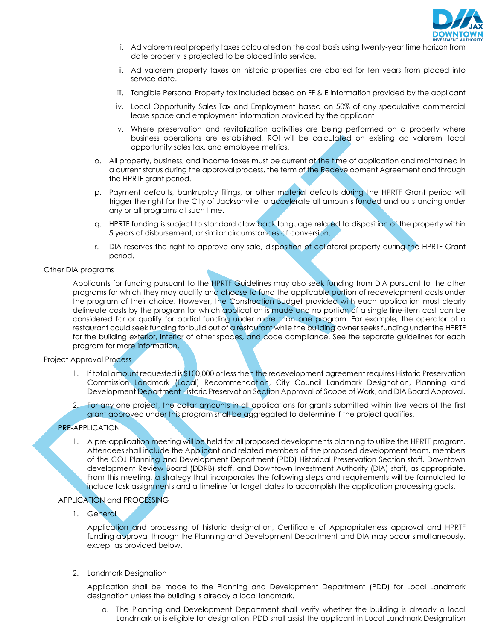

- i. Ad valorem real property taxes calculated on the cost basis using twenty-year time horizon from date property is projected to be placed into service.
- ii. Ad valorem property taxes on historic properties are abated for ten years from placed into service date.
- iii. Tangible Personal Property tax included based on FF & E information provided by the applicant
- iv. Local Opportunity Sales Tax and Employment based on 50% of any speculative commercial lease space and employment information provided by the applicant
- v. Where preservation and revitalization activities are being performed on a property where business operations are established, ROI will be calculated on existing ad valorem, local opportunity sales tax, and employee metrics.
- o. All property, business, and income taxes must be current at the time of application and maintained in a current status during the approval process, the term of the Redevelopment Agreement and through the HPRTF grant period.
- p. Payment defaults, bankruptcy filings, or other material defaults during the HPRTF Grant period will trigger the right for the City of Jacksonville to accelerate all amounts funded and outstanding under any or all programs at such time.
- q. HPRTF funding is subject to standard claw back language related to disposition of the property within 5 years of disbursement, or similar circumstances of conversion.
- r. DIA reserves the right to approve any sale, disposition of collateral property during the HPRTF Grant period.

#### Other DIA programs

Applicants for funding pursuant to the HPRTF Guidelines may also seek funding from DIA pursuant to the other programs for which they may qualify and choose to fund the applicable portion of redevelopment costs under the program of their choice. However, the Construction Budget provided with each application must clearly delineate costs by the program for which application is made and no portion of a single line-item cost can be considered for or qualify for partial funding under more than one program. For example, the operator of a restaurant could seek funding for build out of a restaurant while the building owner seeks funding under the HPRTF for the building exterior, interior of other spaces, and code compliance. See the separate guidelines for each program for more information.

#### Project Approval Process

- 1. If total amount requested is \$100,000 or less then the redevelopment agreement requires Historic Preservation Commission Landmark (Local) Recommendation, City Council Landmark Designation, Planning and Development Department Historic Preservation Section Approval of Scope of Work, and DIA Board Approval.
- 2. For any one project, the dollar amounts in all applications for grants submitted within five years of the first grant approved under this program shall be aggregated to determine if the project qualifies.

#### PRE-APPLICATION

1. A pre-application meeting will be held for all proposed developments planning to utilize the HPRTF program. Attendees shall include the Applicant and related members of the proposed development team, members of the COJ Planning and Development Department (PDD) Historical Preservation Section staff, Downtown development Review Board (DDRB) staff, and Downtown Investment Authority (DIA) staff, as appropriate. From this meeting, a strategy that incorporates the following steps and requirements will be formulated to include task assignments and a timeline for target dates to accomplish the application processing goals.

#### APPLICATION and PROCESSING

1. General

Application and processing of historic designation, Certificate of Appropriateness approval and HPRTF funding approval through the Planning and Development Department and DIA may occur simultaneously, except as provided below.

2. Landmark Designation

Application shall be made to the Planning and Development Department (PDD) for Local Landmark designation unless the building is already a local landmark.

a. The Planning and Development Department shall verify whether the building is already a local Landmark or is eligible for designation. PDD shall assist the applicant in Local Landmark Designation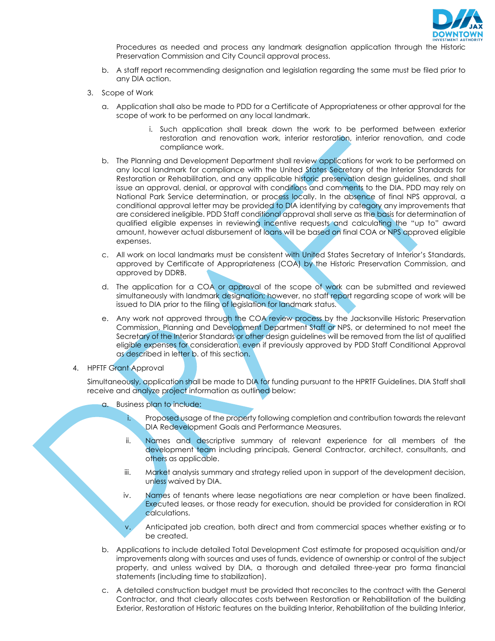

Procedures as needed and process any landmark designation application through the Historic Preservation Commission and City Council approval process.

- b. A staff report recommending designation and legislation regarding the same must be filed prior to any DIA action.
- 3. Scope of Work
	- a. Application shall also be made to PDD for a Certificate of Appropriateness or other approval for the scope of work to be performed on any local landmark.
		- i. Such application shall break down the work to be performed between exterior restoration and renovation work, interior restoration, interior renovation, and code compliance work.
	- b. The Planning and Development Department shall review applications for work to be performed on any local landmark for compliance with the United States Secretary of the Interior Standards for Restoration or Rehabilitation, and any applicable historic preservation design guidelines, and shall issue an approval, denial, or approval with conditions and comments to the DIA. PDD may rely on National Park Service determination, or process locally. In the absence of final NPS approval, a conditional approval letter may be provided to DIA identifying by category any improvements that are considered ineligible. PDD Staff conditional approval shall serve as the basis for determination of qualified eligible expenses in reviewing incentive requests and calculating the "up to" award amount, however actual disbursement of loans will be based on final COA or NPS approved eligible expenses.
	- c. All work on local landmarks must be consistent with United States Secretary of Interior's Standards, approved by Certificate of Appropriateness (COA) by the Historic Preservation Commission, and approved by DDRB.
	- d. The application for a COA or approval of the scope of work can be submitted and reviewed simultaneously with landmark designation; however, no staff report regarding scope of work will be issued to DIA prior to the filing of legislation for landmark status.
	- e. Any work not approved through the COA review process by the Jacksonville Historic Preservation Commission, Planning and Development Department Staff or NPS, or determined to not meet the Secretary of the Interior Standards or other design guidelines will be removed from the list of qualified eligible expenses for consideration, even if previously approved by PDD Staff Conditional Approval as described in letter b. of this section.
- 4. HPFTF Grant Approval

Simultaneously, application shall be made to DIA for funding pursuant to the HPRTF Guidelines. DIA Staff shall receive and analyze project information as outlined below:

- a. Business plan to include:
	- i. Proposed usage of the property following completion and contribution towards the relevant DIA Redevelopment Goals and Performance Measures.
	- ii. Names and descriptive summary of relevant experience for all members of the development team including principals, General Contractor, architect, consultants, and others as applicable.
	- iii. Market analysis summary and strategy relied upon in support of the development decision, unless waived by DIA.
	- iv. Names of tenants where lease negotiations are near completion or have been finalized. Executed leases, or those ready for execution, should be provided for consideration in ROI calculations.

v. Anticipated job creation, both direct and from commercial spaces whether existing or to be created.

- b. Applications to include detailed Total Development Cost estimate for proposed acquisition and/or improvements along with sources and uses of funds, evidence of ownership or control of the subject property, and unless waived by DIA, a thorough and detailed three-year pro forma financial statements (including time to stabilization).
- c. A detailed construction budget must be provided that reconciles to the contract with the General Contractor, and that clearly allocates costs between Restoration or Rehabilitation of the building Exterior, Restoration of Historic features on the building Interior, Rehabilitation of the building Interior,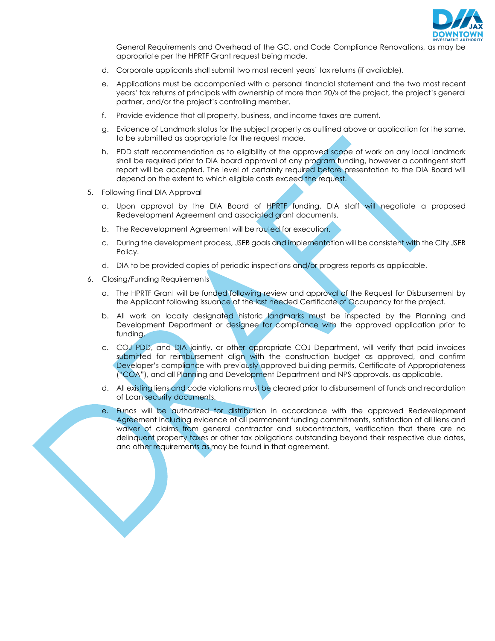

General Requirements and Overhead of the GC, and Code Compliance Renovations, as may be appropriate per the HPRTF Grant request being made.

- d. Corporate applicants shall submit two most recent years' tax returns (if available).
- e. Applications must be accompanied with a personal financial statement and the two most recent years' tax returns of principals with ownership of more than 20/» of the project, the project's general partner, and/or the project's controlling member.
- f. Provide evidence that all property, business, and income taxes are current.
- g. Evidence of Landmark status for the subject property as outlined above or application for the same, to be submitted as appropriate for the request made.
- h. PDD staff recommendation as to eligibility of the approved scope of work on any local landmark shall be required prior to DIA board approval of any program funding, however a contingent staff report will be accepted. The level of certainty required before presentation to the DIA Board will depend on the extent to which eligible costs exceed the request.
- 5. Following Final DIA Approval
	- a. Upon approval by the DIA Board of HPRTF funding, DIA staff will negotiate a proposed Redevelopment Agreement and associated grant documents.
	- b. The Redevelopment Agreement will be routed for execution.
	- c. During the development process, JSEB goals and implementation will be consistent with the City JSEB Policy.
	- d. DIA to be provided copies of periodic inspections and/or progress reports as applicable.
- 6. Closing/Funding Requirements
	- a. The HPRTF Grant will be funded following review and approval of the Request for Disbursement by the Applicant following issuance of the last needed Certificate of Occupancy for the project.
	- b. All work on locally designated historic landmarks must be inspected by the Planning and Development Department or designee for compliance with the approved application prior to funding.
	- c. COJ PDD, and DIA jointly, or other appropriate COJ Department, will verify that paid invoices submitted for reimbursement align with the construction budget as approved, and confirm Developer's compliance with previously approved building permits, Certificate of Appropriateness ("COA"), and all Planning and Development Department and NPS approvals, as applicable.
	- d. All existing liens and code violations must be cleared prior to disbursement of funds and recordation of Loan security documents.
	- e. Funds will be authorized for distribution in accordance with the approved Redevelopment Agreement including evidence of all permanent funding commitments, satisfaction of all liens and waiver of claims from general contractor and subcontractors, verification that there are no delinquent property taxes or other tax obligations outstanding beyond their respective due dates, and other requirements as may be found in that agreement.